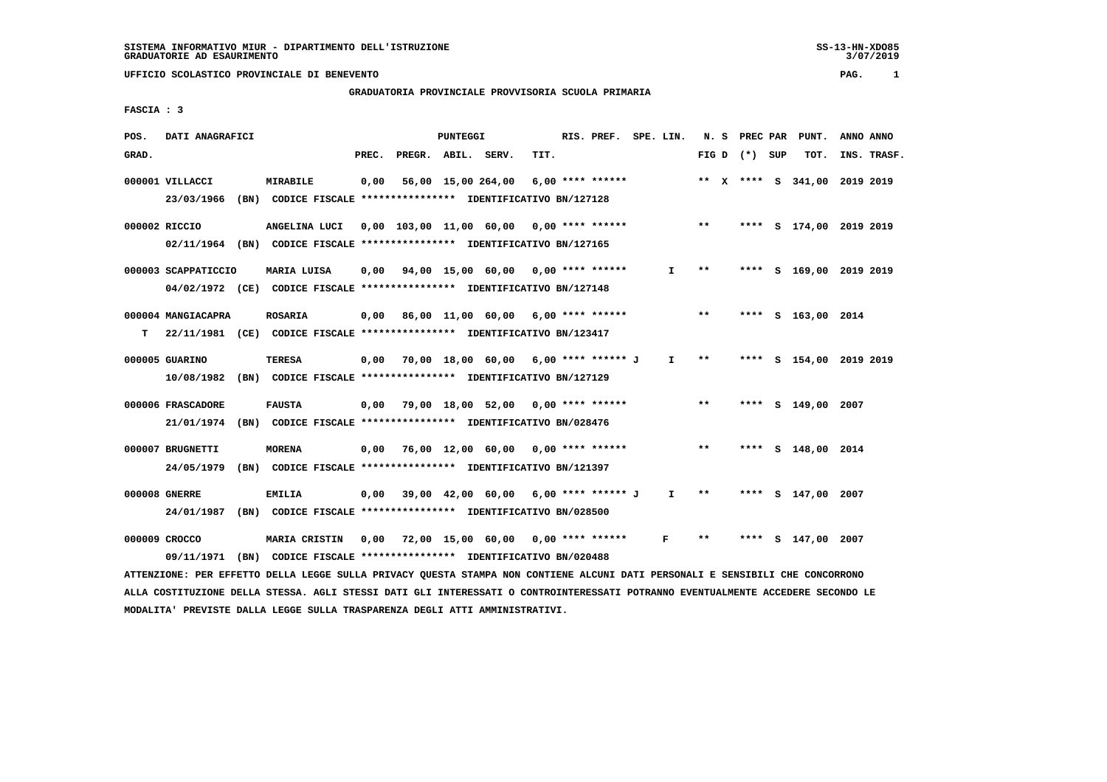# **GRADUATORIA PROVINCIALE PROVVISORIA SCUOLA PRIMARIA**

 **FASCIA : 3**

| POS.  | DATI ANAGRAFICI     |                                                                          |       |                    | PUNTEGGI |                                                        |      | RIS. PREF. SPE. LIN. |              |       |                 | N. S PREC PAR PUNT.          | ANNO ANNO |             |
|-------|---------------------|--------------------------------------------------------------------------|-------|--------------------|----------|--------------------------------------------------------|------|----------------------|--------------|-------|-----------------|------------------------------|-----------|-------------|
| GRAD. |                     |                                                                          | PREC. | PREGR. ABIL. SERV. |          |                                                        | TIT. |                      |              |       | FIG D $(*)$ SUP | TOT.                         |           | INS. TRASF. |
|       | 000001 VILLACCI     | MIRABILE                                                                 | 0,00  |                    |          | 56,00 15,00 264,00                                     |      | $6.00$ **** ******   |              |       |                 | ** X **** S 341,00 2019 2019 |           |             |
|       | 23/03/1966          | (BN) CODICE FISCALE **************** IDENTIFICATIVO BN/127128            |       |                    |          |                                                        |      |                      |              |       |                 |                              |           |             |
|       | 000002 RICCIO       | ANGELINA LUCI                                                            |       |                    |          | 0,00 103,00 11,00 60,00 0,00 **** ******               |      |                      |              | $***$ |                 | **** S 174,00 2019 2019      |           |             |
|       |                     | 02/11/1964 (BN) CODICE FISCALE *************** IDENTIFICATIVO BN/127165  |       |                    |          |                                                        |      |                      |              |       |                 |                              |           |             |
|       | 000003 SCAPPATICCIO | MARIA LUISA                                                              |       |                    |          | $0,00$ $94,00$ $15,00$ $60,00$ $0,00$ $***$ **** ***** |      |                      | $\mathbf{I}$ | $***$ |                 | **** S 169,00 2019 2019      |           |             |
|       |                     | 04/02/1972 (CE) CODICE FISCALE *************** IDENTIFICATIVO BN/127148  |       |                    |          |                                                        |      |                      |              |       |                 |                              |           |             |
|       | 000004 MANGIACAPRA  | <b>ROSARIA</b>                                                           | 0,00  |                    |          | 86,00 11,00 60,00 6,00 **** ******                     |      |                      |              | $***$ |                 | **** S 163,00 2014           |           |             |
| т     |                     | 22/11/1981 (CE) CODICE FISCALE **************** IDENTIFICATIVO BN/123417 |       |                    |          |                                                        |      |                      |              |       |                 |                              |           |             |
|       | 000005 GUARINO      | <b>TERESA</b>                                                            | 0,00  |                    |          | 70,00 18,00 60,00 6,00 **** ****** J                   |      |                      | $\mathbf{I}$ | $* *$ |                 | **** S 154,00 2019 2019      |           |             |
|       |                     | 10/08/1982 (BN) CODICE FISCALE *************** IDENTIFICATIVO BN/127129  |       |                    |          |                                                        |      |                      |              |       |                 |                              |           |             |
|       |                     |                                                                          |       |                    |          |                                                        |      |                      |              |       |                 |                              |           |             |
|       | 000006 FRASCADORE   | <b>FAUSTA</b>                                                            |       |                    |          | $0,00$ 79,00 18,00 52,00 0,00 **** ******              |      |                      |              | $***$ | ****            | S 149,00 2007                |           |             |
|       | 21/01/1974          | (BN) CODICE FISCALE **************** IDENTIFICATIVO BN/028476            |       |                    |          |                                                        |      |                      |              |       |                 |                              |           |             |
|       | 000007 BRUGNETTI    | <b>MORENA</b>                                                            | 0,00  |                    |          | 76,00 12,00 60,00 0,00 **** ******                     |      |                      |              | $* *$ |                 | **** S 148,00 2014           |           |             |
|       | 24/05/1979          | (BN) CODICE FISCALE **************** IDENTIFICATIVO BN/121397            |       |                    |          |                                                        |      |                      |              |       |                 |                              |           |             |
|       | 000008 GNERRE       | <b>EMILIA</b>                                                            | 0,00  |                    |          | 39,00 42,00 60,00 6,00 **** ****** J                   |      |                      | $\mathbf{I}$ | $* *$ |                 | **** S 147,00 2007           |           |             |
|       | 24/01/1987          | (BN) CODICE FISCALE **************** IDENTIFICATIVO BN/028500            |       |                    |          |                                                        |      |                      |              |       |                 |                              |           |             |
|       |                     |                                                                          |       |                    |          |                                                        |      |                      |              |       |                 |                              |           |             |
|       | 000009 CROCCO       | MARIA CRISTIN                                                            | 0,00  |                    |          | 72,00 15,00 60,00 0,00 **** ******                     |      |                      | F            | * *   |                 | S 147,00 2007                |           |             |
|       | 09/11/1971          | (BN) CODICE FISCALE **************** IDENTIFICATIVO BN/020488            |       |                    |          |                                                        |      |                      |              |       |                 |                              |           |             |

 **ATTENZIONE: PER EFFETTO DELLA LEGGE SULLA PRIVACY QUESTA STAMPA NON CONTIENE ALCUNI DATI PERSONALI E SENSIBILI CHE CONCORRONO ALLA COSTITUZIONE DELLA STESSA. AGLI STESSI DATI GLI INTERESSATI O CONTROINTERESSATI POTRANNO EVENTUALMENTE ACCEDERE SECONDO LE MODALITA' PREVISTE DALLA LEGGE SULLA TRASPARENZA DEGLI ATTI AMMINISTRATIVI.**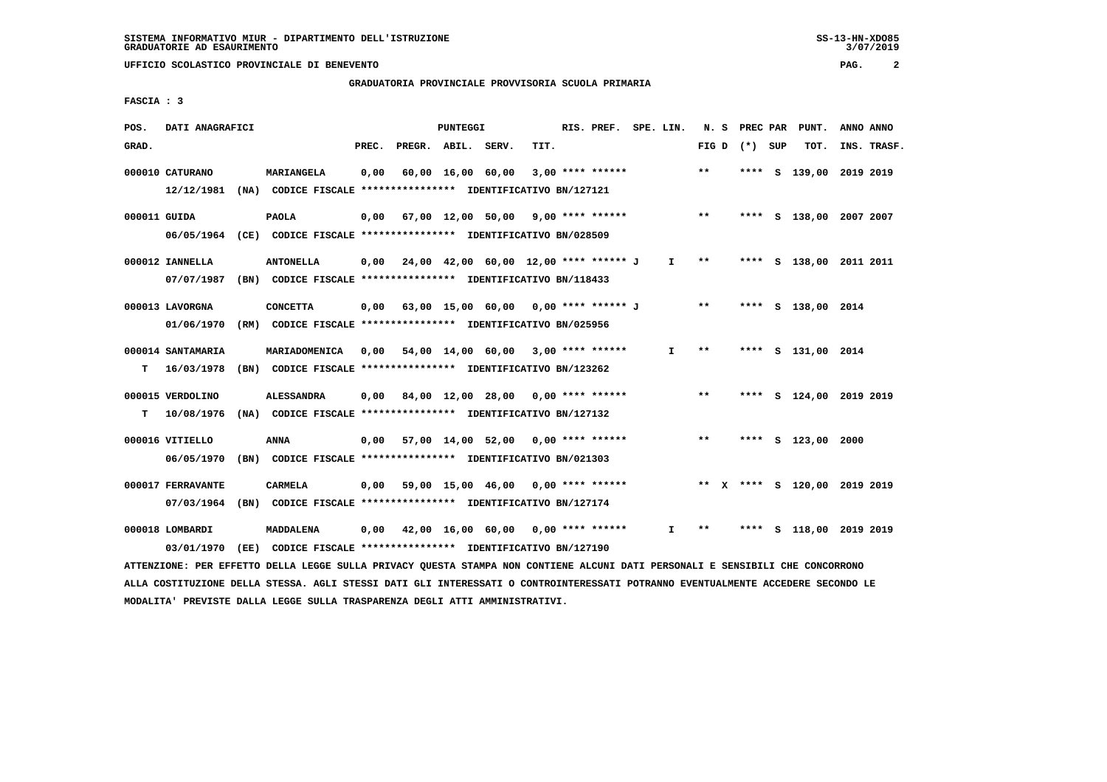### **GRADUATORIA PROVINCIALE PROVVISORIA SCUOLA PRIMARIA**

 **FASCIA : 3**

| POS.         | DATI ANAGRAFICI   |                                                                                                                               |       |                                                           | PUNTEGGI |                   |      | RIS. PREF. SPE. LIN. |    |       |                 | N. S PREC PAR PUNT.          | ANNO ANNO |             |
|--------------|-------------------|-------------------------------------------------------------------------------------------------------------------------------|-------|-----------------------------------------------------------|----------|-------------------|------|----------------------|----|-------|-----------------|------------------------------|-----------|-------------|
| GRAD.        |                   |                                                                                                                               | PREC. | PREGR. ABIL. SERV.                                        |          |                   | TIT. |                      |    |       | FIG D $(*)$ SUP | TOT.                         |           | INS. TRASF. |
|              | 000010 CATURANO   | MARIANGELA                                                                                                                    | 0,00  |                                                           |          | 60,00 16,00 60,00 |      | $3,00$ **** ******   |    | $* *$ | **** S          | 139,00 2019 2019             |           |             |
|              |                   | 12/12/1981 (NA) CODICE FISCALE *************** IDENTIFICATIVO BN/127121                                                       |       |                                                           |          |                   |      |                      |    |       |                 |                              |           |             |
| 000011 GUIDA |                   | <b>PAOLA</b>                                                                                                                  |       | $0,00$ 67,00 12,00 50,00 9,00 **** ******                 |          |                   |      |                      |    | $***$ |                 | **** S 138,00 2007 2007      |           |             |
|              |                   | 06/05/1964 (CE) CODICE FISCALE *************** IDENTIFICATIVO BN/028509                                                       |       |                                                           |          |                   |      |                      |    |       |                 |                              |           |             |
|              | 000012 IANNELLA   | <b>ANTONELLA</b>                                                                                                              |       | $0,00$ $24,00$ $42,00$ $60,00$ $12,00$ $***$ **** ***** J |          |                   |      |                      | I. | $***$ |                 | **** S 138,00 2011 2011      |           |             |
|              |                   | 07/07/1987 (BN) CODICE FISCALE *************** IDENTIFICATIVO BN/118433                                                       |       |                                                           |          |                   |      |                      |    |       |                 |                              |           |             |
|              | 000013 LAVORGNA   | <b>CONCETTA</b>                                                                                                               |       | 0,00 63,00 15,00 60,00 0,00 **** ****** J                 |          |                   |      |                      |    | $* *$ |                 | **** S 138,00 2014           |           |             |
|              | 01/06/1970        | (RM) CODICE FISCALE **************** IDENTIFICATIVO BN/025956                                                                 |       |                                                           |          |                   |      |                      |    |       |                 |                              |           |             |
|              | 000014 SANTAMARIA | MARIADOMENICA                                                                                                                 | 0,00  | 54,00 14,00 60,00 3,00 **** ******                        |          |                   |      |                      | I. | $***$ |                 | **** S 131,00 2014           |           |             |
| т            | 16/03/1978        | (BN) CODICE FISCALE **************** IDENTIFICATIVO BN/123262                                                                 |       |                                                           |          |                   |      |                      |    |       |                 |                              |           |             |
|              | 000015 VERDOLINO  | <b>ALESSANDRA</b>                                                                                                             |       | $0,00$ 84,00 12,00 28,00 0,00 **** ******                 |          |                   |      |                      |    | $***$ |                 | **** S 124,00 2019 2019      |           |             |
| т            | 10/08/1976        | (NA) CODICE FISCALE *************** IDENTIFICATIVO BN/127132                                                                  |       |                                                           |          |                   |      |                      |    |       |                 |                              |           |             |
|              | 000016 VITIELLO   | ANNA                                                                                                                          |       | $0,00$ 57,00 14,00 52,00 0,00 **** ******                 |          |                   |      |                      |    | $* *$ |                 | **** S 123,00 2000           |           |             |
|              | 06/05/1970        | (BN) CODICE FISCALE **************** IDENTIFICATIVO BN/021303                                                                 |       |                                                           |          |                   |      |                      |    |       |                 |                              |           |             |
|              | 000017 FERRAVANTE | <b>CARMELA</b>                                                                                                                |       | $0,00$ 59,00 15,00 46,00 0,00 **** ******                 |          |                   |      |                      |    |       |                 | ** X **** S 120,00 2019 2019 |           |             |
|              | 07/03/1964        | (BN) CODICE FISCALE *************** IDENTIFICATIVO BN/127174                                                                  |       |                                                           |          |                   |      |                      |    |       |                 |                              |           |             |
|              | 000018 LOMBARDI   | MADDALENA                                                                                                                     |       | $0,00$ 42,00 16,00 60,00 0,00 **** ******                 |          |                   |      |                      | I. | $***$ |                 | **** S 118,00 2019 2019      |           |             |
|              | 03/01/1970        | (EE) CODICE FISCALE **************** IDENTIFICATIVO BN/127190                                                                 |       |                                                           |          |                   |      |                      |    |       |                 |                              |           |             |
|              |                   | ATTENZIONE: PER EFFETTO DELLA LEGGE SULLA PRIVACY QUESTA STAMPA NON CONTIENE ALCUNI DATI PERSONALI E SENSIBILI CHE CONCORRONO |       |                                                           |          |                   |      |                      |    |       |                 |                              |           |             |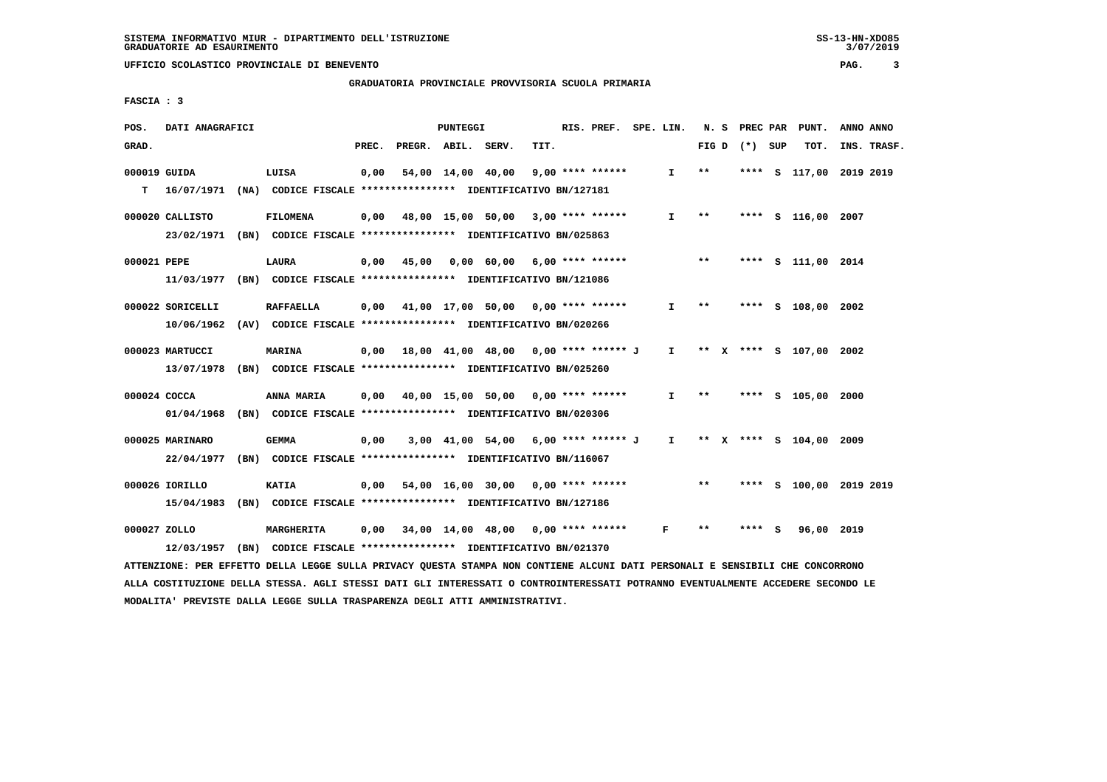#### **GRADUATORIA PROVINCIALE PROVVISORIA SCUOLA PRIMARIA**

 **FASCIA : 3**

| POS.         | DATI ANAGRAFICI                                                                                                               |                                                               |       | PUNTEGGI |                                                               |      | RIS. PREF. SPE. LIN. |              |       |                 | N. S PREC PAR PUNT.       | ANNO ANNO |             |
|--------------|-------------------------------------------------------------------------------------------------------------------------------|---------------------------------------------------------------|-------|----------|---------------------------------------------------------------|------|----------------------|--------------|-------|-----------------|---------------------------|-----------|-------------|
| GRAD.        |                                                                                                                               |                                                               | PREC. |          | PREGR. ABIL. SERV.                                            | TIT. |                      |              |       | FIG D $(*)$ SUP | тот.                      |           | INS. TRASF. |
| 000019 GUIDA |                                                                                                                               | LUISA                                                         | 0,00  |          | 54,00 14,00 40,00                                             |      | $9,00$ **** ******   | $\mathbf{I}$ | $**$  |                 | **** S 117,00 2019 2019   |           |             |
| т            | 16/07/1971 (NA) CODICE FISCALE **************** IDENTIFICATIVO BN/127181                                                      |                                                               |       |          |                                                               |      |                      |              |       |                 |                           |           |             |
|              | 000020 CALLISTO                                                                                                               | <b>FILOMENA</b>                                               |       |          | $0,00$ 48,00 15,00 50,00 3,00 **** ******                     |      |                      | $\mathbf{I}$ | $***$ |                 | **** S 116,00 2007        |           |             |
|              | 23/02/1971 (BN) CODICE FISCALE *************** IDENTIFICATIVO BN/025863                                                       |                                                               |       |          |                                                               |      |                      |              |       |                 |                           |           |             |
| 000021 PEPE  |                                                                                                                               | LAURA                                                         |       |          | $0,00$ 45,00 0,00 60,00 6,00 **** ******                      |      |                      |              | $***$ |                 | **** S 111,00 2014        |           |             |
|              | 11/03/1977 (BN) CODICE FISCALE *************** IDENTIFICATIVO BN/121086                                                       |                                                               |       |          |                                                               |      |                      |              |       |                 |                           |           |             |
|              | 000022 SORICELLI                                                                                                              | <b>RAFFAELLA</b>                                              |       |          | $0,00$ 41,00 17,00 50,00 0,00 **** ******                     |      |                      | $\mathbf{I}$ | $***$ |                 | **** S 108,00 2002        |           |             |
|              | 10/06/1962 (AV) CODICE FISCALE **************** IDENTIFICATIVO BN/020266                                                      |                                                               |       |          |                                                               |      |                      |              |       |                 |                           |           |             |
|              | 000023 MARTUCCI                                                                                                               | <b>MARINA</b>                                                 |       |          | $0,00$ 18,00 41,00 48,00 0,00 **** ****** J                   |      |                      |              |       |                 | I ** X **** S 107,00 2002 |           |             |
|              | 13/07/1978 (BN) CODICE FISCALE *************** IDENTIFICATIVO BN/025260                                                       |                                                               |       |          |                                                               |      |                      |              |       |                 |                           |           |             |
| 000024 COCCA |                                                                                                                               | <b>ANNA MARIA</b>                                             |       |          | $0,00$ 40,00 15,00 50,00 0,00 **** ******                     |      |                      | $\mathbf{I}$ | $***$ |                 | **** S 105,00 2000        |           |             |
|              | 01/04/1968 (BN) CODICE FISCALE *************** IDENTIFICATIVO BN/020306                                                       |                                                               |       |          |                                                               |      |                      |              |       |                 |                           |           |             |
|              | 000025 MARINARO                                                                                                               | <b>GEMMA</b>                                                  | 0,00  |          | 3,00 41,00 54,00 6,00 **** ****** J I ** X **** S 104,00 2009 |      |                      |              |       |                 |                           |           |             |
|              | 22/04/1977 (BN) CODICE FISCALE *************** IDENTIFICATIVO BN/116067                                                       |                                                               |       |          |                                                               |      |                      |              |       |                 |                           |           |             |
|              | 000026 IORILLO                                                                                                                | KATIA                                                         |       |          | $0,00$ 54,00 16,00 30,00 0,00 **** ******                     |      |                      |              | $***$ |                 | **** S 100,00 2019 2019   |           |             |
|              | 15/04/1983 (BN) CODICE FISCALE **************** IDENTIFICATIVO BN/127186                                                      |                                                               |       |          |                                                               |      |                      |              |       |                 |                           |           |             |
| 000027 ZOLLO |                                                                                                                               | MARGHERITA                                                    |       |          | 0,00 34,00 14,00 48,00 0,00 **** ******                       |      |                      | F            | $* *$ | **** S          | 96,00 2019                |           |             |
|              | 12/03/1957                                                                                                                    | (BN) CODICE FISCALE **************** IDENTIFICATIVO BN/021370 |       |          |                                                               |      |                      |              |       |                 |                           |           |             |
|              | ATTENZIONE: PER EFFETTO DELLA LEGGE SULLA PRIVACY QUESTA STAMPA NON CONTIENE ALCUNI DATI PERSONALI E SENSIBILI CHE CONCORRONO |                                                               |       |          |                                                               |      |                      |              |       |                 |                           |           |             |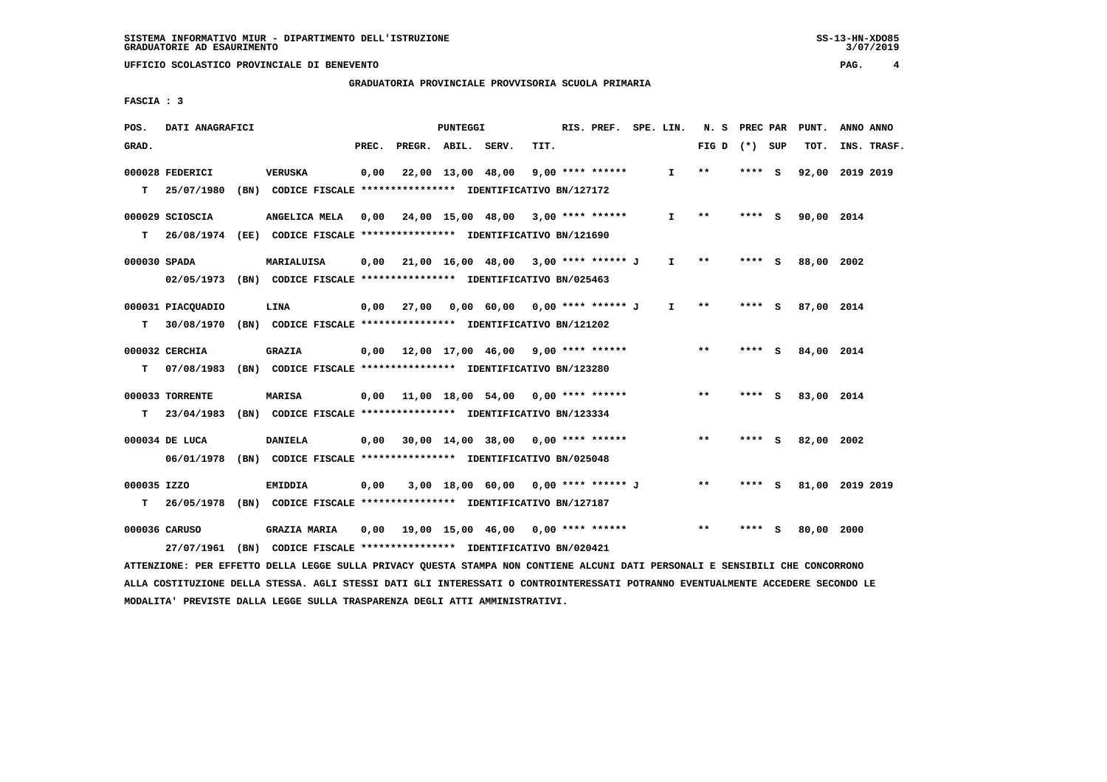#### **GRADUATORIA PROVINCIALE PROVVISORIA SCUOLA PRIMARIA**

 **FASCIA : 3**

| POS.         | DATI ANAGRAFICI                                                                           |                                                               |       |                    | PUNTEGGI |                                                           |      | RIS. PREF. SPE. LIN. |              | N. S PREC PAR   |         |     | PUNT.           | ANNO ANNO |             |
|--------------|-------------------------------------------------------------------------------------------|---------------------------------------------------------------|-------|--------------------|----------|-----------------------------------------------------------|------|----------------------|--------------|-----------------|---------|-----|-----------------|-----------|-------------|
| GRAD.        |                                                                                           |                                                               | PREC. | PREGR. ABIL. SERV. |          |                                                           | TIT. |                      |              | FIG D $(*)$ SUP |         |     | TOT.            |           | INS. TRASF. |
|              | 000028 FEDERICI                                                                           | VERUSKA                                                       | 0,00  |                    |          | 22,00 13,00 48,00                                         |      | $9,00$ **** ******   | I.           | $* *$           | **** S  |     | 92,00           | 2019 2019 |             |
| T.           | 25/07/1980                                                                                | (BN) CODICE FISCALE **************** IDENTIFICATIVO BN/127172 |       |                    |          |                                                           |      |                      |              |                 |         |     |                 |           |             |
|              | 000029 SCIOSCIA                                                                           | ANGELICA MELA                                                 | 0,00  |                    |          | 24,00 15,00 48,00 3,00 **** ******                        |      |                      | $\mathbf{I}$ | $* *$           | $***$ S |     | 90,00 2014      |           |             |
| T.           | 26/08/1974 (EE) CODICE FISCALE *************** IDENTIFICATIVO BN/121690                   |                                                               |       |                    |          |                                                           |      |                      |              |                 |         |     |                 |           |             |
| 000030 SPADA |                                                                                           | MARIALUISA                                                    |       |                    |          | $0.00$ $21.00$ $16.00$ $48.00$ $3.00$ $***$ **** ****** J |      |                      | $\mathbf{I}$ | $***$           | **** S  |     | 88,00           | 2002      |             |
|              | 02/05/1973 (BN) CODICE FISCALE *************** IDENTIFICATIVO BN/025463                   |                                                               |       |                    |          |                                                           |      |                      |              |                 |         |     |                 |           |             |
|              | 000031 PIACQUADIO                                                                         | <b>LINA</b>                                                   |       |                    |          | 0,00 27,00 0,00 60,00 0,00 **** ****** J                  |      |                      | $\mathbf{I}$ | $* *$           | **** S  |     | 87,00 2014      |           |             |
| т            | 30/08/1970 (BN) CODICE FISCALE **************** IDENTIFICATIVO BN/121202                  |                                                               |       |                    |          |                                                           |      |                      |              |                 |         |     |                 |           |             |
|              | 000032 CERCHIA                                                                            | <b>GRAZIA</b>                                                 |       |                    |          | $0,00$ 12,00 17,00 46,00 9,00 **** ******                 |      |                      |              | $**$            | **** S  |     | 84,00 2014      |           |             |
| т            | 07/08/1983                                                                                | (BN) CODICE FISCALE **************** IDENTIFICATIVO BN/123280 |       |                    |          |                                                           |      |                      |              |                 |         |     |                 |           |             |
|              | 000033 TORRENTE                                                                           | <b>MARISA</b>                                                 | 0,00  |                    |          | 11,00 18,00 54,00 0,00 **** ******                        |      |                      |              | $**$            | $***$ S |     | 83,00 2014      |           |             |
| T.           | 23/04/1983                                                                                | (BN) CODICE FISCALE **************** IDENTIFICATIVO BN/123334 |       |                    |          |                                                           |      |                      |              |                 |         |     |                 |           |             |
|              |                                                                                           |                                                               |       |                    |          |                                                           |      |                      |              | $* *$           |         |     |                 |           |             |
|              | 000034 DE LUCA<br>06/01/1978 (BN) CODICE FISCALE *************** IDENTIFICATIVO BN/025048 | <b>DANIELA</b>                                                | 0,00  |                    |          | $30,00$ 14,00 38,00 0,00 **** ******                      |      |                      |              |                 | **** S  |     | 82,00           | 2002      |             |
|              |                                                                                           |                                                               |       |                    |          |                                                           |      |                      |              |                 |         |     |                 |           |             |
| 000035 IZZO  |                                                                                           | EMIDDIA                                                       | 0,00  |                    |          | 3,00 18,00 60,00 0,00 **** ****** J                       |      |                      |              | $***$           | **** S  |     | 81,00 2019 2019 |           |             |
| T.           | 26/05/1978 (BN) CODICE FISCALE *************** IDENTIFICATIVO BN/127187                   |                                                               |       |                    |          |                                                           |      |                      |              |                 |         |     |                 |           |             |
|              | 000036 CARUSO                                                                             | <b>GRAZIA MARIA</b>                                           |       |                    |          | 0,00 19,00 15,00 46,00                                    |      | $0.00$ **** ******   |              | $* *$           | ****    | - S | 80,00           | 2000      |             |
|              | 27/07/1961 (BN) CODICE FISCALE *************** IDENTIFICATIVO BN/020421                   |                                                               |       |                    |          |                                                           |      |                      |              |                 |         |     |                 |           |             |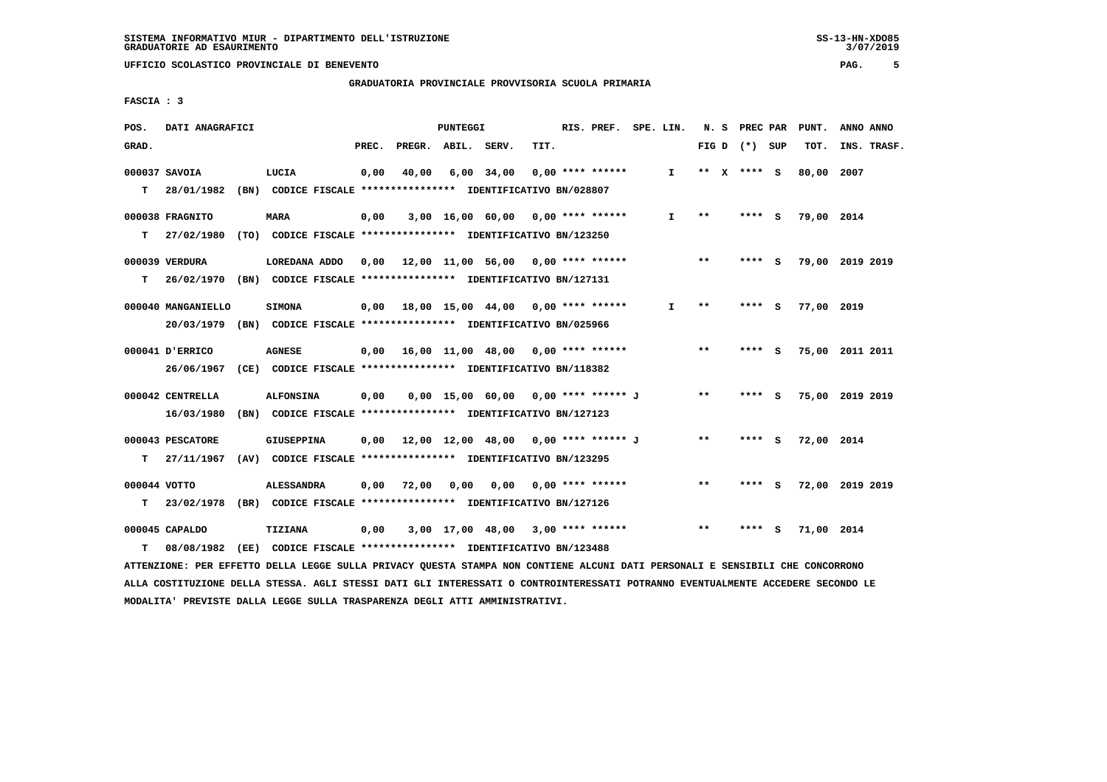**GRADUATORIA PROVINCIALE PROVVISORIA SCUOLA PRIMARIA**

 **FASCIA : 3**

| POS.         | DATI ANAGRAFICI    |                                                                                                                               |       |                                           | <b>PUNTEGGI</b> |                                        |      | RIS. PREF.         | SPE. LIN.    | N. S  | PREC PAR        |     | PUNT.           | ANNO ANNO |             |
|--------------|--------------------|-------------------------------------------------------------------------------------------------------------------------------|-------|-------------------------------------------|-----------------|----------------------------------------|------|--------------------|--------------|-------|-----------------|-----|-----------------|-----------|-------------|
| GRAD.        |                    |                                                                                                                               | PREC. | PREGR. ABIL. SERV.                        |                 |                                        | TIT. |                    |              |       | FIG D $(*)$ SUP |     | TOT.            |           | INS. TRASF. |
|              | 000037 SAVOIA      | LUCIA                                                                                                                         | 0,00  | 40,00                                     |                 | $6,00$ 34,00                           |      | $0.00$ **** ****** | $\mathbf{I}$ |       | ** x **** s     |     | 80,00 2007      |           |             |
| т            | 28/01/1982         | (BN) CODICE FISCALE **************** IDENTIFICATIVO BN/028807                                                                 |       |                                           |                 |                                        |      |                    |              |       |                 |     |                 |           |             |
|              | 000038 FRAGNITO    | <b>MARA</b>                                                                                                                   | 0,00  |                                           |                 | $3,00$ 16,00 60,00 0,00 **** ******    |      |                    | I.           | $**$  | **** S          |     | 79,00 2014      |           |             |
| T.           | 27/02/1980         | (TO) CODICE FISCALE **************** IDENTIFICATIVO BN/123250                                                                 |       |                                           |                 |                                        |      |                    |              |       |                 |     |                 |           |             |
|              | 000039 VERDURA     | LOREDANA ADDO                                                                                                                 |       | $0,00$ 12,00 11,00 56,00 0,00 **** ****** |                 |                                        |      |                    |              | $**$  | **** S          |     | 79,00 2019 2019 |           |             |
| т            |                    | 26/02/1970 (BN) CODICE FISCALE **************** IDENTIFICATIVO BN/127131                                                      |       |                                           |                 |                                        |      |                    |              |       |                 |     |                 |           |             |
|              | 000040 MANGANIELLO | <b>SIMONA</b>                                                                                                                 | 0,00  | 18,00 15,00 44,00 0,00 **** ******        |                 |                                        |      |                    | I.           | $* *$ | **** S          |     | 77,00 2019      |           |             |
|              | 20/03/1979         | (BN) CODICE FISCALE **************** IDENTIFICATIVO BN/025966                                                                 |       |                                           |                 |                                        |      |                    |              |       |                 |     |                 |           |             |
|              | 000041 D'ERRICO    | <b>AGNESE</b>                                                                                                                 |       | $0,00$ 16,00 11,00 48,00 0,00 **** ****** |                 |                                        |      |                    |              | $***$ | **** S          |     | 75,00 2011 2011 |           |             |
|              | 26/06/1967         | (CE) CODICE FISCALE **************** IDENTIFICATIVO BN/118382                                                                 |       |                                           |                 |                                        |      |                    |              |       |                 |     |                 |           |             |
|              | 000042 CENTRELLA   | <b>ALFONSINA</b>                                                                                                              | 0,00  |                                           |                 | 0,00 15,00 60,00 0,00 **** ****** J    |      |                    |              | $***$ | **** S          |     | 75,00 2019 2019 |           |             |
|              | 16/03/1980         | (BN) CODICE FISCALE **************** IDENTIFICATIVO BN/127123                                                                 |       |                                           |                 |                                        |      |                    |              |       |                 |     |                 |           |             |
|              | 000043 PESCATORE   | <b>GIUSEPPINA</b>                                                                                                             |       | 0,00 12,00 12,00 48,00 0,00 **** ****** J |                 |                                        |      |                    |              | $***$ | $***$ S         |     | 72,00 2014      |           |             |
| т            | 27/11/1967         | (AV) CODICE FISCALE **************** IDENTIFICATIVO BN/123295                                                                 |       |                                           |                 |                                        |      |                    |              |       |                 |     |                 |           |             |
| 000044 VOTTO |                    | <b>ALESSANDRA</b>                                                                                                             | 0,00  | 72,00                                     |                 | $0,00$ $0,00$ $0,00$ $***$ **** ****** |      |                    |              | $***$ | **** S          |     | 72,00 2019 2019 |           |             |
| т            | 23/02/1978         | (BR) CODICE FISCALE *************** IDENTIFICATIVO BN/127126                                                                  |       |                                           |                 |                                        |      |                    |              |       |                 |     |                 |           |             |
|              | 000045 CAPALDO     | <b>TIZIANA</b>                                                                                                                | 0,00  |                                           |                 | $3,00$ 17,00 48,00 3,00 **** ******    |      |                    |              | $**$  | ****            | - 5 | 71,00 2014      |           |             |
| т            | 08/08/1982         | (EE) CODICE FISCALE **************** IDENTIFICATIVO BN/123488                                                                 |       |                                           |                 |                                        |      |                    |              |       |                 |     |                 |           |             |
|              |                    | ATTENZIONE: PER EFFETTO DELLA LEGGE SULLA PRIVACY QUESTA STAMPA NON CONTIENE ALCUNI DATI PERSONALI E SENSIBILI CHE CONCORRONO |       |                                           |                 |                                        |      |                    |              |       |                 |     |                 |           |             |

 **ALLA COSTITUZIONE DELLA STESSA. AGLI STESSI DATI GLI INTERESSATI O CONTROINTERESSATI POTRANNO EVENTUALMENTE ACCEDERE SECONDO LE MODALITA' PREVISTE DALLA LEGGE SULLA TRASPARENZA DEGLI ATTI AMMINISTRATIVI.**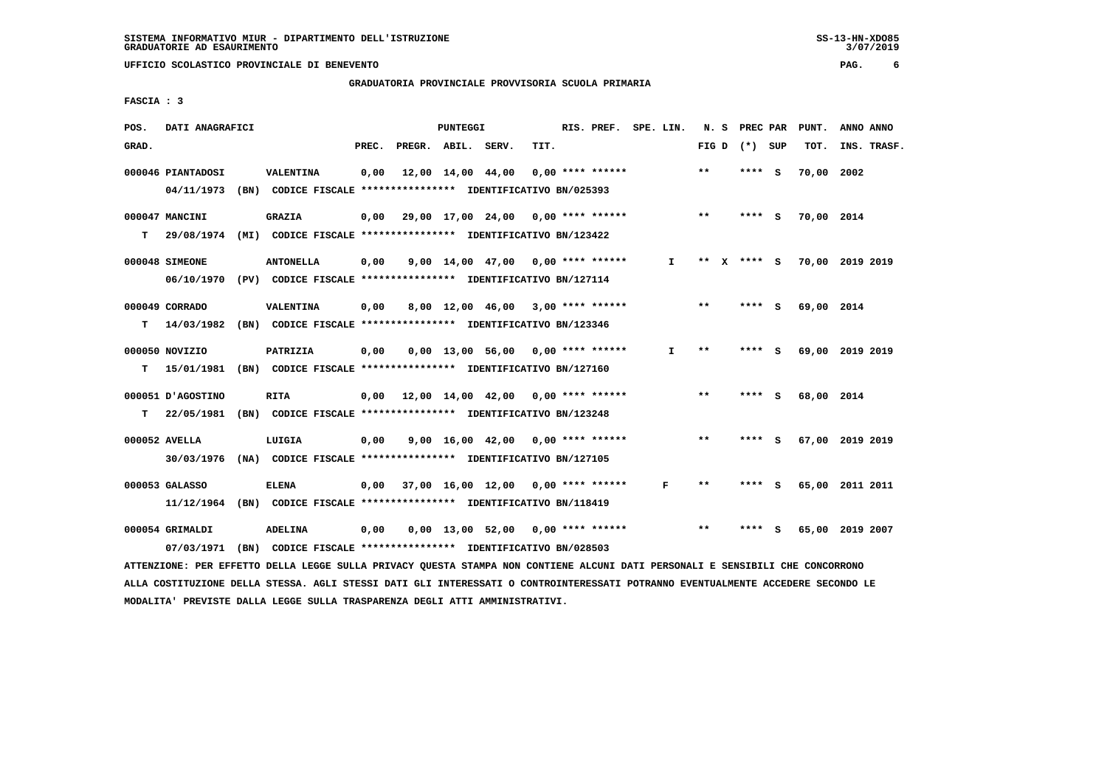**UFFICIO SCOLASTICO PROVINCIALE DI BENEVENTO PAG. 6**

 **GRADUATORIA PROVINCIALE PROVVISORIA SCUOLA PRIMARIA**

 **FASCIA : 3**

| POS.  | DATI ANAGRAFICI   |                                                                                                                               |       |                    | PUNTEGGI |                                           |      | RIS. PREF. SPE. LIN. |    |                 | N. S PREC PAR |        |             | PUNT.           | ANNO ANNO       |  |
|-------|-------------------|-------------------------------------------------------------------------------------------------------------------------------|-------|--------------------|----------|-------------------------------------------|------|----------------------|----|-----------------|---------------|--------|-------------|-----------------|-----------------|--|
| GRAD. |                   |                                                                                                                               | PREC. | PREGR. ABIL. SERV. |          |                                           | TIT. |                      |    | FIG D $(*)$ SUP |               |        |             | TOT.            | INS. TRASF.     |  |
|       | 000046 PIANTADOSI | <b>VALENTINA</b>                                                                                                              | 0,00  |                    |          | 12,00 14,00 44,00                         |      | $0,00$ **** ******   |    | $**$            |               | **** S |             | 70,00 2002      |                 |  |
|       | 04/11/1973        | (BN) CODICE FISCALE **************** IDENTIFICATIVO BN/025393                                                                 |       |                    |          |                                           |      |                      |    |                 |               |        |             |                 |                 |  |
|       | 000047 MANCINI    | <b>GRAZIA</b>                                                                                                                 |       |                    |          | $0,00$ 29,00 17,00 24,00 0,00 **** ****** |      |                      |    | $***$           |               | **** S |             | 70,00 2014      |                 |  |
| T.    |                   | 29/08/1974 (MI) CODICE FISCALE **************** IDENTIFICATIVO BN/123422                                                      |       |                    |          |                                           |      |                      |    |                 |               |        |             |                 |                 |  |
|       | 000048 SIMEONE    | <b>ANTONELLA</b>                                                                                                              | 0,00  |                    |          | 9,00 14,00 47,00 0,00 **** ******         |      |                      | I. |                 |               |        | ** X **** S | 70,00 2019 2019 |                 |  |
|       |                   | 06/10/1970 (PV) CODICE FISCALE *************** IDENTIFICATIVO BN/127114                                                       |       |                    |          |                                           |      |                      |    |                 |               |        |             |                 |                 |  |
|       | 000049 CORRADO    | <b>VALENTINA</b>                                                                                                              | 0,00  |                    |          | 8,00 12,00 46,00 3,00 **** ******         |      |                      |    | $* *$           |               | **** S |             | 69,00 2014      |                 |  |
| т     |                   | 14/03/1982 (BN) CODICE FISCALE **************** IDENTIFICATIVO BN/123346                                                      |       |                    |          |                                           |      |                      |    |                 |               |        |             |                 |                 |  |
|       | 000050 NOVIZIO    | PATRIZIA                                                                                                                      | 0,00  |                    |          | $0,00$ 13,00 56,00 0,00 **** ******       |      |                      | I. | $***$           |               | **** S |             |                 | 69,00 2019 2019 |  |
| т     |                   | 15/01/1981 (BN) CODICE FISCALE **************** IDENTIFICATIVO BN/127160                                                      |       |                    |          |                                           |      |                      |    |                 |               |        |             |                 |                 |  |
|       | 000051 D'AGOSTINO | <b>RITA</b>                                                                                                                   | 0,00  |                    |          | 12,00 14,00 42,00 0,00 **** ******        |      |                      |    | $***$           |               | **** S |             | 68,00 2014      |                 |  |
| т     |                   | 22/05/1981 (BN) CODICE FISCALE **************** IDENTIFICATIVO BN/123248                                                      |       |                    |          |                                           |      |                      |    |                 |               |        |             |                 |                 |  |
|       | 000052 AVELLA     | LUIGIA                                                                                                                        | 0,00  |                    |          | $9.00$ 16.00 42.00 0.00 **** ******       |      |                      |    | $* *$           |               | **** S |             |                 | 67,00 2019 2019 |  |
|       |                   | 30/03/1976 (NA) CODICE FISCALE *************** IDENTIFICATIVO BN/127105                                                       |       |                    |          |                                           |      |                      |    |                 |               |        |             |                 |                 |  |
|       | 000053 GALASSO    | <b>ELENA</b>                                                                                                                  |       |                    |          | $0,00$ 37,00 16,00 12,00 0,00 **** ****** |      |                      | F  | **              |               | **** S |             | 65,00 2011 2011 |                 |  |
|       |                   | 11/12/1964 (BN) CODICE FISCALE **************** IDENTIFICATIVO BN/118419                                                      |       |                    |          |                                           |      |                      |    |                 |               |        |             |                 |                 |  |
|       | 000054 GRIMALDI   | ADELINA                                                                                                                       | 0,00  |                    |          | 0,00 13,00 52,00 0,00 **** ******         |      |                      |    | $* *$           |               | ****   | - 5         |                 | 65,00 2019 2007 |  |
|       | 07/03/1971        | (BN) CODICE FISCALE **************** IDENTIFICATIVO BN/028503                                                                 |       |                    |          |                                           |      |                      |    |                 |               |        |             |                 |                 |  |
|       |                   | ATTENZIONE: PER EFFETTO DELLA LEGGE SULLA PRIVACY QUESTA STAMPA NON CONTIENE ALCUNI DATI PERSONALI E SENSIBILI CHE CONCORRONO |       |                    |          |                                           |      |                      |    |                 |               |        |             |                 |                 |  |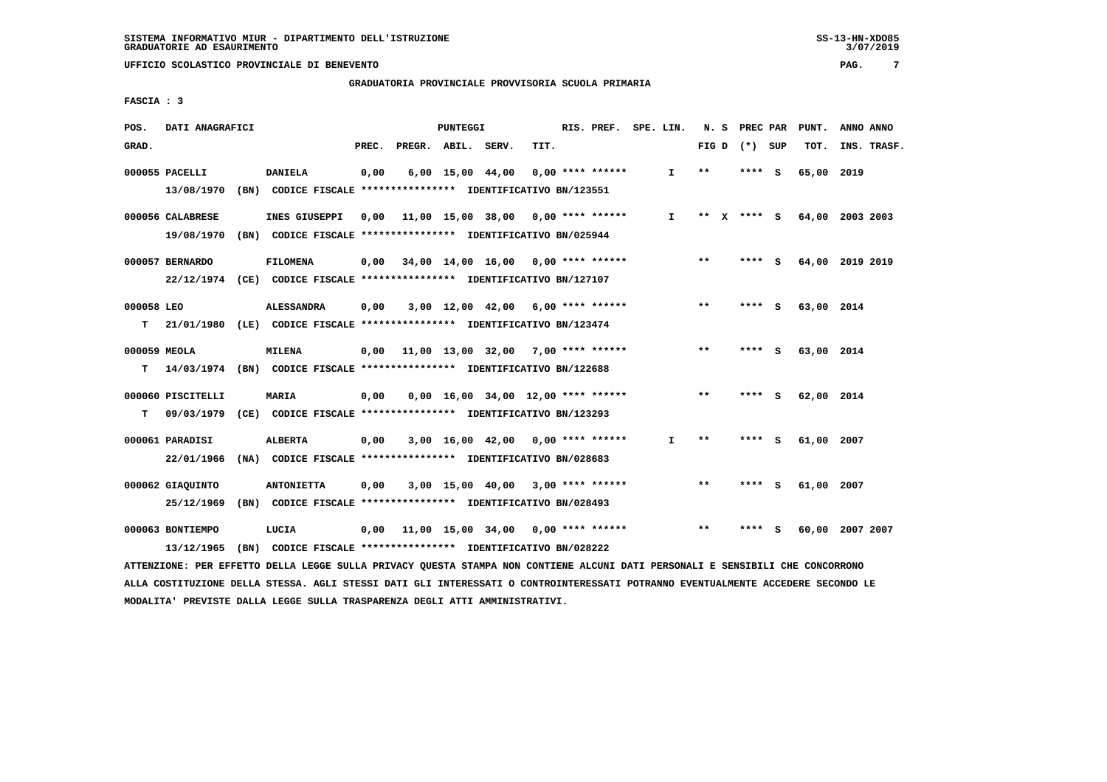**GRADUATORIA PROVINCIALE PROVVISORIA SCUOLA PRIMARIA**

 **FASCIA : 3**

| POS.         | DATI ANAGRAFICI   |                                                                          |       |                                           | PUNTEGGI |                                      |      | RIS. PREF.         | SPE. LIN. |              | N. S    | PREC PAR        | PUNT.      | ANNO ANNO       |
|--------------|-------------------|--------------------------------------------------------------------------|-------|-------------------------------------------|----------|--------------------------------------|------|--------------------|-----------|--------------|---------|-----------------|------------|-----------------|
| GRAD.        |                   |                                                                          | PREC. | PREGR. ABIL. SERV.                        |          |                                      | TIT. |                    |           |              |         | FIG D $(*)$ SUP | TOT.       | INS. TRASF.     |
|              | 000055 PACELLI    | <b>DANIELA</b>                                                           | 0,00  |                                           |          | $6,00$ 15,00 44,00                   |      | $0.00$ **** ****** |           | I.           | $* *$   | **** S          | 65,00      | 2019            |
|              | 13/08/1970        | (BN) CODICE FISCALE **************** IDENTIFICATIVO BN/123551            |       |                                           |          |                                      |      |                    |           |              |         |                 |            |                 |
|              | 000056 CALABRESE  | INES GIUSEPPI                                                            | 0.00  | 11,00 15,00 38,00 0,00 **** ******        |          |                                      |      |                    |           | I.           | $***$ X | $***$ S         |            | 64,00 2003 2003 |
|              | 19/08/1970        | (BN) CODICE FISCALE **************** IDENTIFICATIVO BN/025944            |       |                                           |          |                                      |      |                    |           |              |         |                 |            |                 |
|              | 000057 BERNARDO   | <b>FILOMENA</b>                                                          | 0,00  | 34,00 14,00 16,00 0,00 **** ******        |          |                                      |      |                    |           |              | $***$   | **** S          |            | 64,00 2019 2019 |
|              |                   | 22/12/1974 (CE) CODICE FISCALE *************** IDENTIFICATIVO BN/127107  |       |                                           |          |                                      |      |                    |           |              |         |                 |            |                 |
| 000058 LEO   |                   | <b>ALESSANDRA</b>                                                        | 0,00  |                                           |          | $3,00$ 12,00 42,00 6,00 **** ******  |      |                    |           |              | **      | **** S          | 63,00 2014 |                 |
| т            |                   | 21/01/1980 (LE) CODICE FISCALE *************** IDENTIFICATIVO BN/123474  |       |                                           |          |                                      |      |                    |           |              |         |                 |            |                 |
| 000059 MEOLA |                   | MILENA                                                                   |       | $0.00$ 11,00 13,00 32,00 7,00 **** ****** |          |                                      |      |                    |           |              | $**$    | **** S          | 63,00 2014 |                 |
| т            |                   | 14/03/1974 (BN) CODICE FISCALE *************** IDENTIFICATIVO BN/122688  |       |                                           |          |                                      |      |                    |           |              |         |                 |            |                 |
|              | 000060 PISCITELLI | MARIA                                                                    | 0,00  |                                           |          | $0.00$ 16.00 34.00 12.00 **** ****** |      |                    |           |              | $* *$   | **** S          | 62,00 2014 |                 |
| т            |                   | 09/03/1979 (CE) CODICE FISCALE **************** IDENTIFICATIVO BN/123293 |       |                                           |          |                                      |      |                    |           |              |         |                 |            |                 |
|              | 000061 PARADISI   | <b>ALBERTA</b>                                                           | 0,00  |                                           |          | $3,00$ 16,00 42,00 0,00 **** ******  |      |                    |           | $\mathbf{I}$ | $***$   | **** S          | 61,00 2007 |                 |
|              | 22/01/1966        | (NA) CODICE FISCALE **************** IDENTIFICATIVO BN/028683            |       |                                           |          |                                      |      |                    |           |              |         |                 |            |                 |
|              | 000062 GIAQUINTO  | <b>ANTONIETTA</b>                                                        | 0,00  |                                           |          | $3,00$ 15,00 40,00 3,00 **** ******  |      |                    |           |              | **      | **** S          | 61,00 2007 |                 |
|              | 25/12/1969        | (BN) CODICE FISCALE **************** IDENTIFICATIVO BN/028493            |       |                                           |          |                                      |      |                    |           |              |         |                 |            |                 |
|              | 000063 BONTIEMPO  | LUCIA                                                                    | 0,00  | 11,00 15,00 34,00 0,00 **** ******        |          |                                      |      |                    |           |              | **      | **** S          |            | 60,00 2007 2007 |
|              | 13/12/1965        | (BN) CODICE FISCALE **************** IDENTIFICATIVO BN/028222            |       |                                           |          |                                      |      |                    |           |              |         |                 |            |                 |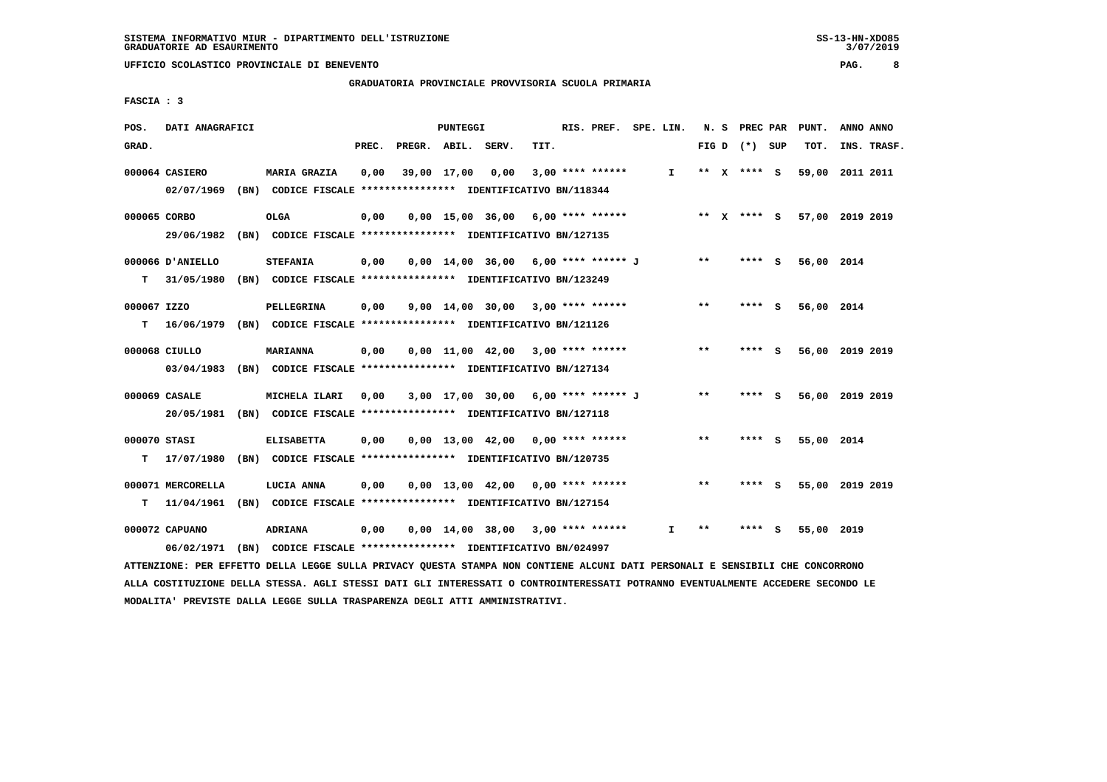**GRADUATORIA PROVINCIALE PROVVISORIA SCUOLA PRIMARIA**

 **FASCIA : 3**

| POS.         | DATI ANAGRAFICI   |                                                               |       |              | PUNTEGGI    |                                       |      | RIS. PREF.         | SPE. LIN. | N. S  | PREC PAR        |     | PUNT.      | ANNO ANNO       |
|--------------|-------------------|---------------------------------------------------------------|-------|--------------|-------------|---------------------------------------|------|--------------------|-----------|-------|-----------------|-----|------------|-----------------|
| GRAD.        |                   |                                                               | PREC. | PREGR. ABIL. |             | SERV.                                 | TIT. |                    |           |       | FIG D $(*)$ SUP |     | TOT.       | INS. TRASF.     |
|              | 000064 CASIERO    | <b>MARIA GRAZIA</b>                                           | 0,00  |              | 39,00 17,00 | 0,00                                  |      | $3,00$ **** ****** | I.        |       | ** X **** S     |     | 59,00      | 2011 2011       |
|              | 02/07/1969        | (BN) CODICE FISCALE *************** IDENTIFICATIVO BN/118344  |       |              |             |                                       |      |                    |           |       |                 |     |            |                 |
| 000065 CORBO |                   | <b>OLGA</b>                                                   | 0,00  |              |             | $0,00$ 15,00 36,00 6,00 **** ******   |      |                    |           |       | ** x **** S     |     |            | 57,00 2019 2019 |
|              | 29/06/1982        | (BN) CODICE FISCALE **************** IDENTIFICATIVO BN/127135 |       |              |             |                                       |      |                    |           |       |                 |     |            |                 |
|              | 000066 D'ANIELLO  | <b>STEFANIA</b>                                               | 0,00  |              |             | $0,00$ 14,00 36,00 6,00 **** ****** J |      |                    |           | $***$ | **** S          |     | 56,00 2014 |                 |
| т            | 31/05/1980        | (BN) CODICE FISCALE **************** IDENTIFICATIVO BN/123249 |       |              |             |                                       |      |                    |           |       |                 |     |            |                 |
| 000067 IZZO  |                   | PELLEGRINA                                                    | 0,00  |              |             | 9,00 14,00 30,00 3,00 **** ******     |      |                    |           | $**$  | ****            | - S | 56,00 2014 |                 |
| т            | 16/06/1979        | (BN) CODICE FISCALE **************** IDENTIFICATIVO BN/121126 |       |              |             |                                       |      |                    |           |       |                 |     |            |                 |
|              | 000068 CIULLO     | <b>MARIANNA</b>                                               | 0,00  |              |             | $0,00$ 11,00 42,00 3,00 **** ******   |      |                    |           | $***$ | **** S          |     |            | 56,00 2019 2019 |
|              | 03/04/1983        | (BN) CODICE FISCALE **************** IDENTIFICATIVO BN/127134 |       |              |             |                                       |      |                    |           |       |                 |     |            |                 |
|              | 000069 CASALE     | MICHELA ILARI                                                 | 0,00  |              |             | 3,00 17,00 30,00 6,00 **** ****** J   |      |                    |           | $***$ | ****            | - 5 |            | 56,00 2019 2019 |
|              | 20/05/1981        | (BN) CODICE FISCALE **************** IDENTIFICATIVO BN/127118 |       |              |             |                                       |      |                    |           |       |                 |     |            |                 |
| 000070 STASI |                   | <b>ELISABETTA</b>                                             | 0,00  |              |             | $0.00$ 13.00 42.00 0.00 **** ******   |      |                    |           | $* *$ | **** S          |     | 55,00 2014 |                 |
| т            | 17/07/1980        | (BN) CODICE FISCALE **************** IDENTIFICATIVO BN/120735 |       |              |             |                                       |      |                    |           |       |                 |     |            |                 |
|              | 000071 MERCORELLA | LUCIA ANNA                                                    | 0,00  |              |             | $0,00$ 13,00 42,00 0,00 **** ******   |      |                    |           | **    | **** S          |     |            | 55,00 2019 2019 |
| т            | 11/04/1961        | (BN) CODICE FISCALE **************** IDENTIFICATIVO BN/127154 |       |              |             |                                       |      |                    |           |       |                 |     |            |                 |
|              | 000072 CAPUANO    | ADRIANA                                                       | 0,00  |              |             | $0,00$ 14,00 38,00 3,00 **** ******   |      |                    | I.        | **    | ****            | - 5 | 55,00      | 2019            |
|              | 06/02/1971        | (BN) CODICE FISCALE **************** IDENTIFICATIVO BN/024997 |       |              |             |                                       |      |                    |           |       |                 |     |            |                 |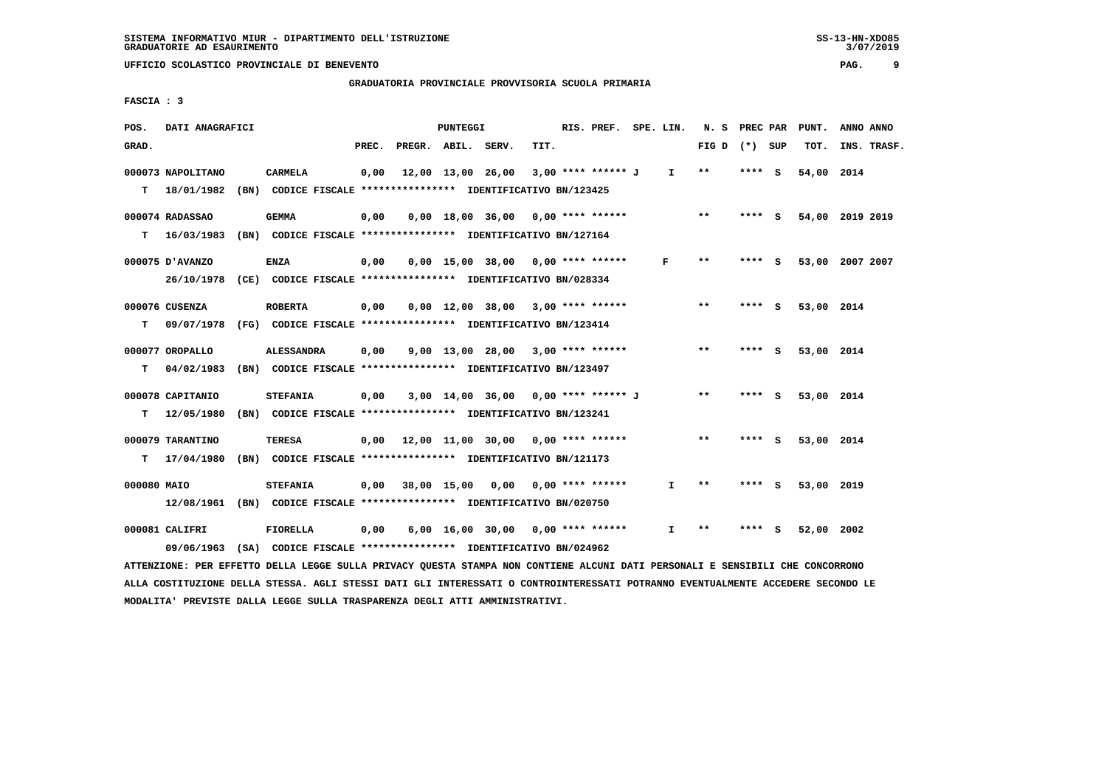**GRADUATORIA PROVINCIALE PROVVISORIA SCUOLA PRIMARIA**

 **FASCIA : 3**

| POS.        | DATI ANAGRAFICI                                                                            |                                                                                    |       |                    | PUNTEGGI |                                           |      | RIS. PREF. SPE. LIN. |              | N.S          | PREC PAR |     | PUNT.      | ANNO ANNO       |
|-------------|--------------------------------------------------------------------------------------------|------------------------------------------------------------------------------------|-------|--------------------|----------|-------------------------------------------|------|----------------------|--------------|--------------|----------|-----|------------|-----------------|
| GRAD.       |                                                                                            |                                                                                    | PREC. | PREGR. ABIL. SERV. |          |                                           | TIT. |                      |              | FIG D        | (*) SUP  |     | TOT.       | INS. TRASF.     |
| т           | 000073 NAPOLITANO<br>18/01/1982                                                            | <b>CARMELA</b><br>(BN) CODICE FISCALE **************** IDENTIFICATIVO BN/123425    | 0,00  |                    |          | 12,00 13,00 26,00                         |      | 3,00 **** ****** J   | $\mathbf{I}$ | $* *$        | **** S   |     | 54,00      | 2014            |
| т           | 000074 RADASSAO<br>16/03/1983                                                              | <b>GEMMA</b><br>(BN) CODICE FISCALE **************** IDENTIFICATIVO BN/127164      | 0,00  |                    |          | $0,00$ 18,00 36,00                        |      | 0,00 **** ******     |              | $***$        | **** S   |     |            | 54,00 2019 2019 |
|             | 000075 D'AVANZO<br>26/10/1978 (CE) CODICE FISCALE *************** IDENTIFICATIVO BN/028334 | ENZA                                                                               | 0,00  |                    |          | $0,00$ 15,00 38,00 0,00 **** ******       |      |                      | F            | $\star\star$ | **** S   |     | 53,00      | 2007 2007       |
| т           | 000076 CUSENZA<br>09/07/1978                                                               | <b>ROBERTA</b><br>(FG) CODICE FISCALE *************** IDENTIFICATIVO BN/123414     | 0,00  |                    |          | $0,00$ 12,00 38,00 3,00 **** ******       |      |                      |              | **           | $***$ S  |     | 53,00 2014 |                 |
| т           | 000077 OROPALLO<br>04/02/1983                                                              | <b>ALESSANDRA</b><br>(BN) CODICE FISCALE **************** IDENTIFICATIVO BN/123497 | 0,00  |                    |          | $9.00$ 13.00 28.00 3.00 **** ******       |      |                      |              | **           | **** S   |     | 53,00 2014 |                 |
| т           | 000078 CAPITANIO<br>12/05/1980                                                             | <b>STEFANIA</b><br>(BN) CODICE FISCALE **************** IDENTIFICATIVO BN/123241   | 0,00  |                    |          | 3,00 14,00 36,00 0,00 **** ****** J       |      |                      |              | $***$        | $***$ S  |     | 53,00 2014 |                 |
| т           | 000079 TARANTINO<br>17/04/1980                                                             | <b>TERESA</b><br>(BN) CODICE FISCALE **************** IDENTIFICATIVO BN/121173     |       |                    |          | $0,00$ 12,00 11,00 30,00 0,00 **** ****** |      |                      |              | $***$        | **** S   |     | 53,00 2014 |                 |
| 000080 MAIO | 12/08/1961 (BN) CODICE FISCALE *************** IDENTIFICATIVO BN/020750                    | <b>STEFANIA</b>                                                                    | 0,00  | 38,00 15,00        |          | 0,00                                      |      | $0.00$ **** ******   | I.           | $* *$        | ****     | - 5 | 53,00 2019 |                 |
|             | 000081 CALIFRI<br>09/06/1963 (SA) CODICE FISCALE *************** IDENTIFICATIVO BN/024962  | <b>FIORELLA</b>                                                                    | 0,00  |                    |          | $6,00 \quad 16,00 \quad 30,00$            |      | $0.00$ **** ******   | I.           | $* *$        | ****     | s   | 52,00      | 2002            |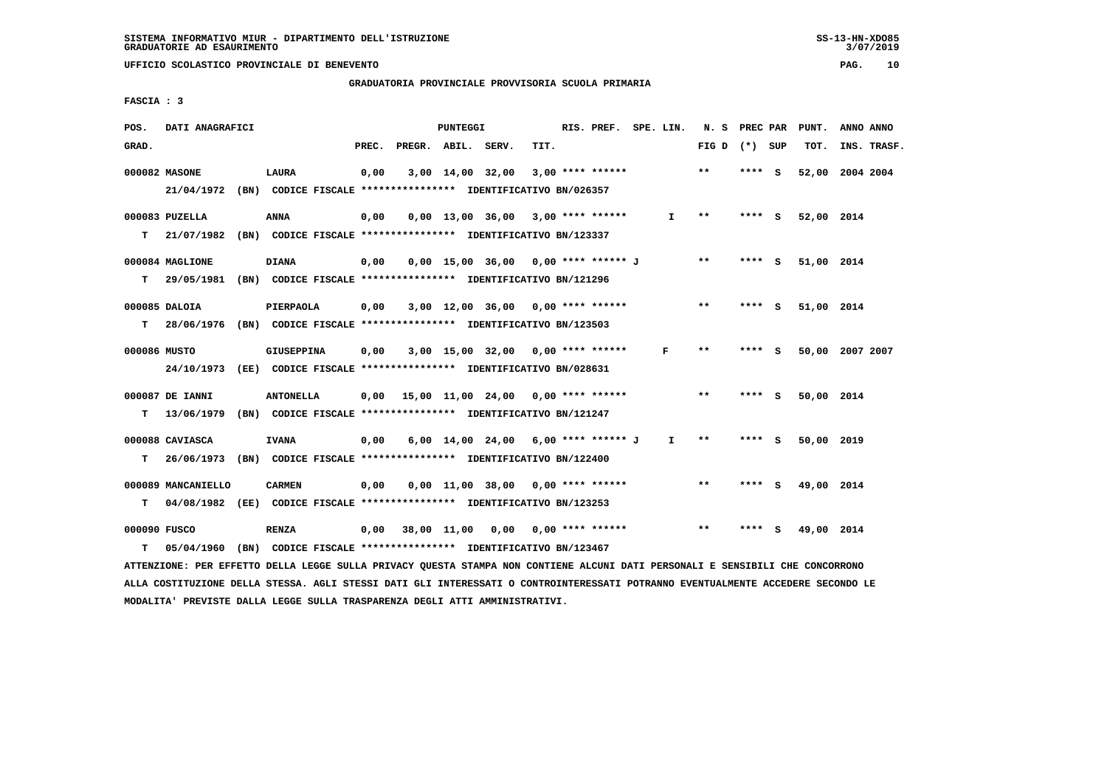**UFFICIO SCOLASTICO PROVINCIALE DI BENEVENTO PAG. 10**

### **GRADUATORIA PROVINCIALE PROVVISORIA SCUOLA PRIMARIA**

 **FASCIA : 3**

| POS.         | DATI ANAGRAFICI    |                                                                                                                               |      |                          | PUNTEGGI |                                     |      | RIS. PREF. SPE. LIN. |              |                 |         | N. S PREC PAR PUNT. | ANNO ANNO       |  |
|--------------|--------------------|-------------------------------------------------------------------------------------------------------------------------------|------|--------------------------|----------|-------------------------------------|------|----------------------|--------------|-----------------|---------|---------------------|-----------------|--|
| GRAD.        |                    |                                                                                                                               |      | PREC. PREGR. ABIL. SERV. |          |                                     | TIT. |                      |              | FIG D $(*)$ SUP |         | TOT.                | INS. TRASF.     |  |
|              | 000082 MASONE      | LAURA                                                                                                                         | 0,00 |                          |          | $3,00$ 14,00 32,00 3,00 **** ****** |      |                      |              | $* *$           | **** S  |                     | 52,00 2004 2004 |  |
|              |                    | 21/04/1972 (BN) CODICE FISCALE *************** IDENTIFICATIVO BN/026357                                                       |      |                          |          |                                     |      |                      |              |                 |         |                     |                 |  |
|              | 000083 PUZELLA     | <b>ANNA</b>                                                                                                                   | 0,00 |                          |          | $0,00$ 13,00 36,00 3,00 **** ****** |      |                      | I.           | $* *$           | **** S  | 52,00 2014          |                 |  |
|              |                    | T 21/07/1982 (BN) CODICE FISCALE *************** IDENTIFICATIVO BN/123337                                                     |      |                          |          |                                     |      |                      |              |                 |         |                     |                 |  |
|              | 000084 MAGLIONE    | <b>DIANA</b>                                                                                                                  | 0,00 |                          |          | 0,00 15,00 36,00 0,00 **** ****** J |      |                      |              | $* *$           | $***$ S | 51,00 2014          |                 |  |
| T.           |                    | 29/05/1981 (BN) CODICE FISCALE **************** IDENTIFICATIVO BN/121296                                                      |      |                          |          |                                     |      |                      |              |                 |         |                     |                 |  |
|              | 000085 DALOIA      | PIERPAOLA                                                                                                                     | 0,00 |                          |          | $3,00$ 12,00 36,00 0,00 **** ****** |      |                      |              | $***$           | **** S  | 51,00 2014          |                 |  |
|              |                    | T 28/06/1976 (BN) CODICE FISCALE *************** IDENTIFICATIVO BN/123503                                                     |      |                          |          |                                     |      |                      |              |                 |         |                     |                 |  |
| 000086 MUSTO |                    | <b>GIUSEPPINA</b>                                                                                                             | 0,00 |                          |          | $3,00$ 15,00 32,00 0,00 **** ****** |      |                      | F            | $* *$           | **** S  |                     | 50,00 2007 2007 |  |
|              |                    | 24/10/1973 (EE) CODICE FISCALE *************** IDENTIFICATIVO BN/028631                                                       |      |                          |          |                                     |      |                      |              |                 |         |                     |                 |  |
|              | 000087 DE IANNI    | <b>ANTONELLA</b>                                                                                                              | 0.00 |                          |          |                                     |      |                      |              | $**$            | **** S  | 50,00 2014          |                 |  |
| т            | 13/06/1979         | (BN) CODICE FISCALE **************** IDENTIFICATIVO BN/121247                                                                 |      |                          |          |                                     |      |                      |              |                 |         |                     |                 |  |
|              | 000088 CAVIASCA    | <b>IVANA</b>                                                                                                                  | 0,00 |                          |          | 6,00 14,00 24,00 6,00 **** ****** J |      |                      | $\mathbf{I}$ | $* *$           | **** S  | 50,00 2019          |                 |  |
| т            |                    | 26/06/1973 (BN) CODICE FISCALE **************** IDENTIFICATIVO BN/122400                                                      |      |                          |          |                                     |      |                      |              |                 |         |                     |                 |  |
|              | 000089 MANCANIELLO | <b>CARMEN</b>                                                                                                                 | 0,00 |                          |          | $0,00$ 11,00 38,00 0,00 **** ****** |      |                      |              | $***$           | $***$ S | 49,00 2014          |                 |  |
| т            |                    | 04/08/1982 (EE) CODICE FISCALE **************** IDENTIFICATIVO BN/123253                                                      |      |                          |          |                                     |      |                      |              |                 |         |                     |                 |  |
| 000090 FUSCO |                    | <b>RENZA</b>                                                                                                                  | 0,00 |                          |          | 38,00 11,00 0,00 0,00 **** ******   |      |                      |              | $***$           | **** S  | 49,00 2014          |                 |  |
| т            | 05/04/1960         | (BN) CODICE FISCALE **************** IDENTIFICATIVO BN/123467                                                                 |      |                          |          |                                     |      |                      |              |                 |         |                     |                 |  |
|              |                    | ATTENZIONE: PER EFFETTO DELLA LEGGE SULLA PRIVACY OUESTA STAMPA NON CONTIENE ALCUNI DATI PERSONALI E SENSIBILI CHE CONCORRONO |      |                          |          |                                     |      |                      |              |                 |         |                     |                 |  |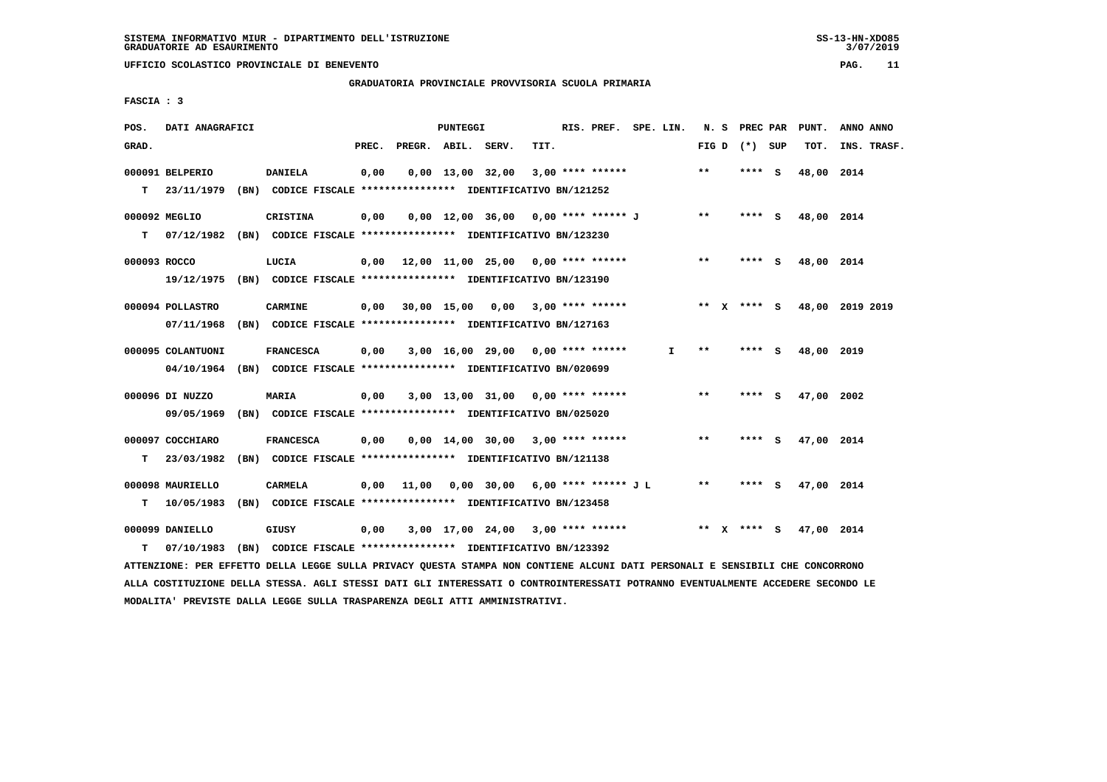**UFFICIO SCOLASTICO PROVINCIALE DI BENEVENTO PAG. 11**

 **GRADUATORIA PROVINCIALE PROVVISORIA SCUOLA PRIMARIA**

 **FASCIA : 3**

| POS.         | DATI ANAGRAFICI   |                                                               |       |                    | PUNTEGGI |                                           |      | RIS. PREF. SPE. LIN. |    |         | N. S PREC PAR   | PUNT.      | ANNO ANNO                   |
|--------------|-------------------|---------------------------------------------------------------|-------|--------------------|----------|-------------------------------------------|------|----------------------|----|---------|-----------------|------------|-----------------------------|
| GRAD.        |                   |                                                               | PREC. | PREGR. ABIL. SERV. |          |                                           | TIT. |                      |    |         | FIG D $(*)$ SUP | TOT.       | INS. TRASF.                 |
|              | 000091 BELPERIO   | <b>DANIELA</b>                                                | 0,00  |                    |          | $0,00$ 13,00 32,00                        |      | $3,00$ **** ******   |    | **      | **** S          | 48,00 2014 |                             |
| т            | 23/11/1979        | (BN) CODICE FISCALE **************** IDENTIFICATIVO BN/121252 |       |                    |          |                                           |      |                      |    |         |                 |            |                             |
|              | 000092 MEGLIO     | <b>CRISTINA</b>                                               | 0,00  |                    |          | 0,00 12,00 36,00 0,00 **** ****** J       |      |                      |    | $* *$   | $***$ S         | 48,00 2014 |                             |
| T.           | 07/12/1982        | (BN) CODICE FISCALE **************** IDENTIFICATIVO BN/123230 |       |                    |          |                                           |      |                      |    |         |                 |            |                             |
| 000093 ROCCO |                   | LUCIA                                                         |       |                    |          | $0,00$ 12,00 11,00 25,00 0,00 **** ****** |      |                      |    | $***$   | **** S          | 48,00 2014 |                             |
|              | 19/12/1975        | (BN) CODICE FISCALE **************** IDENTIFICATIVO BN/123190 |       |                    |          |                                           |      |                      |    |         |                 |            |                             |
|              | 000094 POLLASTRO  | CARMINE                                                       | 0,00  |                    |          | 30,00 15,00 0,00 3,00 **** ******         |      |                      |    |         |                 |            | ** X **** S 48,00 2019 2019 |
|              | 07/11/1968        | (BN) CODICE FISCALE **************** IDENTIFICATIVO BN/127163 |       |                    |          |                                           |      |                      |    |         |                 |            |                             |
|              | 000095 COLANTUONI | <b>FRANCESCA</b>                                              | 0,00  |                    |          | $3,00$ 16,00 29,00 0,00 **** ******       |      |                      | I. | $* *$   | **** S          | 48,00 2019 |                             |
|              | 04/10/1964        | (BN) CODICE FISCALE **************** IDENTIFICATIVO BN/020699 |       |                    |          |                                           |      |                      |    |         |                 |            |                             |
|              | 000096 DI NUZZO   | <b>MARIA</b>                                                  | 0,00  |                    |          | $3,00$ 13,00 31,00 0,00 **** ******       |      |                      |    | $* *$   | $***$ S         | 47,00 2002 |                             |
|              | 09/05/1969        | (BN) CODICE FISCALE **************** IDENTIFICATIVO BN/025020 |       |                    |          |                                           |      |                      |    |         |                 |            |                             |
|              | 000097 COCCHIARO  | <b>FRANCESCA</b>                                              | 0.00  |                    |          | $0,00$ 14,00 30,00 3,00 **** ******       |      |                      |    | $**$    | **** S          | 47,00 2014 |                             |
| т            | 23/03/1982        | (BN) CODICE FISCALE **************** IDENTIFICATIVO BN/121138 |       |                    |          |                                           |      |                      |    |         |                 |            |                             |
|              | 000098 MAURIELLO  | CARMELA                                                       | 0.00  | 11,00              |          | $0,00$ 30,00 6,00 **** ****** J L         |      |                      |    | $* *$   | **** S          | 47,00 2014 |                             |
| т            | 10/05/1983        | (BN) CODICE FISCALE **************** IDENTIFICATIVO BN/123458 |       |                    |          |                                           |      |                      |    |         |                 |            |                             |
|              | 000099 DANIELLO   | GIUSY                                                         | 0,00  |                    |          | $3,00$ 17,00 24,00 3,00 **** ******       |      |                      |    | $***$ X | **** S          | 47,00 2014 |                             |
| т            | 07/10/1983        | (BN) CODICE FISCALE **************** IDENTIFICATIVO BN/123392 |       |                    |          |                                           |      |                      |    |         |                 |            |                             |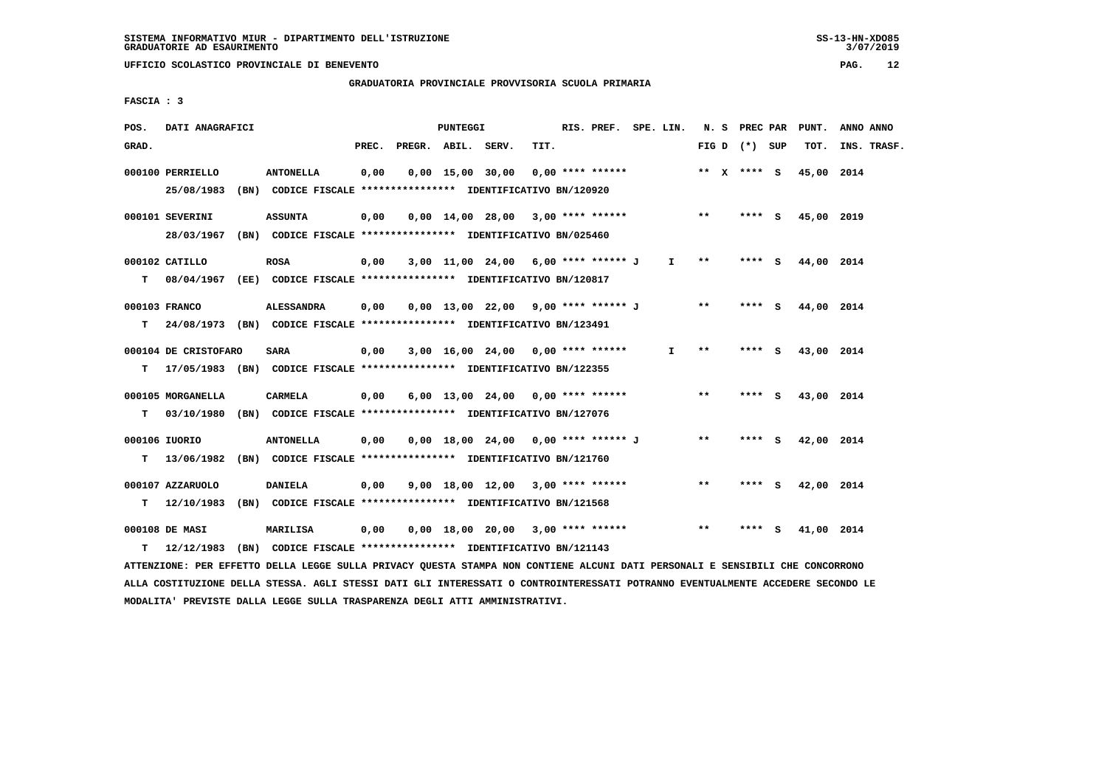#### **GRADUATORIA PROVINCIALE PROVVISORIA SCUOLA PRIMARIA**

 **FASCIA : 3**

| POS.  | DATI ANAGRAFICI                                                                                                               |                   |       |                    | <b>PUNTEGGI</b> |                                                               |      | RIS. PREF. SPE. LIN. |              |       | N. S PREC PAR   |          | PUNT.      | ANNO ANNO   |
|-------|-------------------------------------------------------------------------------------------------------------------------------|-------------------|-------|--------------------|-----------------|---------------------------------------------------------------|------|----------------------|--------------|-------|-----------------|----------|------------|-------------|
| GRAD. |                                                                                                                               |                   | PREC. | PREGR. ABIL. SERV. |                 |                                                               | TIT. |                      |              |       | FIG D $(*)$ SUP |          | TOT.       | INS. TRASF. |
|       | 000100 PERRIELLO                                                                                                              | <b>ANTONELLA</b>  | 0,00  |                    |                 | $0,00$ 15,00 30,00                                            |      | $0.00$ **** ******   |              |       | ** $X$ **** S   |          | 45,00 2014 |             |
|       | 25/08/1983                                                                                                                    |                   |       |                    |                 | (BN) CODICE FISCALE **************** IDENTIFICATIVO BN/120920 |      |                      |              |       |                 |          |            |             |
|       | 000101 SEVERINI                                                                                                               | <b>ASSUNTA</b>    | 0,00  |                    |                 | $0,00$ 14,00 28,00 3,00 **** ******                           |      |                      |              | $***$ | **** S          |          | 45,00 2019 |             |
|       | 28/03/1967 (BN) CODICE FISCALE *************** IDENTIFICATIVO BN/025460                                                       |                   |       |                    |                 |                                                               |      |                      |              |       |                 |          |            |             |
|       | 000102 CATILLO                                                                                                                | <b>ROSA</b>       | 0,00  |                    |                 | 3,00 11,00 24,00 6,00 **** ****** J                           |      |                      | $\mathbf{I}$ | $* *$ | ****            | <b>S</b> | 44,00 2014 |             |
| т     | 08/04/1967 (EE) CODICE FISCALE *************** IDENTIFICATIVO BN/120817                                                       |                   |       |                    |                 |                                                               |      |                      |              |       |                 |          |            |             |
|       | 000103 FRANCO                                                                                                                 | <b>ALESSANDRA</b> | 0.00  |                    |                 | $0,00$ 13,00 22,00 9,00 **** ****** J                         |      |                      |              | $* *$ | $***$ S         |          | 44,00 2014 |             |
| т     | 24/08/1973 (BN) CODICE FISCALE **************** IDENTIFICATIVO BN/123491                                                      |                   |       |                    |                 |                                                               |      |                      |              |       |                 |          |            |             |
|       | 000104 DE CRISTOFARO                                                                                                          | <b>SARA</b>       | 0,00  |                    |                 | 3,00 16,00 24,00 0,00 **** ******                             |      |                      | I.           | $* *$ | $***$ S         |          | 43,00 2014 |             |
| т     | 17/05/1983 (BN) CODICE FISCALE *************** IDENTIFICATIVO BN/122355                                                       |                   |       |                    |                 |                                                               |      |                      |              |       |                 |          |            |             |
|       | 000105 MORGANELLA                                                                                                             | <b>CARMELA</b>    | 0,00  |                    |                 | $6,00$ 13,00 24,00 0,00 **** ******                           |      |                      |              | **    | **** S          |          | 43,00 2014 |             |
| т     | 03/10/1980 (BN) CODICE FISCALE **************** IDENTIFICATIVO BN/127076                                                      |                   |       |                    |                 |                                                               |      |                      |              |       |                 |          |            |             |
|       | 000106 IUORIO                                                                                                                 | <b>ANTONELLA</b>  | 0,00  |                    |                 | 0,00 18,00 24,00 0,00 **** ****** J                           |      |                      |              | **    | ****            | - 5      | 42,00 2014 |             |
| т     | 13/06/1982 (BN) CODICE FISCALE *************** IDENTIFICATIVO BN/121760                                                       |                   |       |                    |                 |                                                               |      |                      |              |       |                 |          |            |             |
|       | 000107 AZZARUOLO                                                                                                              | <b>DANIELA</b>    | 0.00  |                    |                 | $9,00$ 18,00 12,00 3,00 **** ******                           |      |                      |              | $* *$ | ****            | - 5      | 42,00 2014 |             |
| т     | 12/10/1983                                                                                                                    |                   |       |                    |                 | (BN) CODICE FISCALE **************** IDENTIFICATIVO BN/121568 |      |                      |              |       |                 |          |            |             |
|       | 000108 DE MASI                                                                                                                | <b>MARILISA</b>   | 0,00  |                    |                 | $0.00$ 18.00 20.00 3.00 **** ******                           |      |                      |              | $***$ | $***$ S         |          | 41,00 2014 |             |
| т     | 12/12/1983 (BN) CODICE FISCALE **************** IDENTIFICATIVO BN/121143                                                      |                   |       |                    |                 |                                                               |      |                      |              |       |                 |          |            |             |
|       | AFFENITIONS. ORD REPERT A TROOD OUTLE A DITURCY OURGES CEANDS MON CONTIBUTE SIGURIT DATE DROOMSIT R CENCIDITIT CUR CONCORDONO |                   |       |                    |                 |                                                               |      |                      |              |       |                 |          |            |             |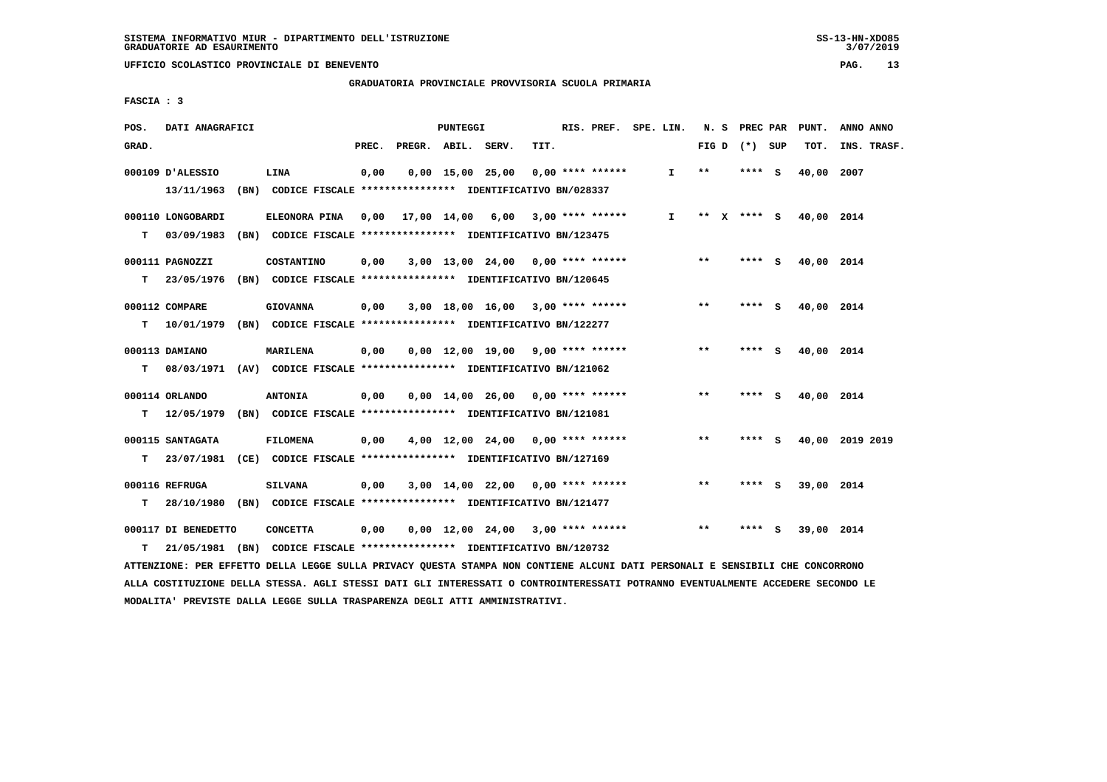**GRADUATORIA PROVINCIALE PROVVISORIA SCUOLA PRIMARIA**

 **FASCIA : 3**

| POS.  | DATI ANAGRAFICI     |                                                                          |       |                    | <b>PUNTEGGI</b> |                    |                                     | RIS. PREF. SPE. LIN. |                 | N. S PREC PAR |     | PUNT.                  | ANNO ANNO       |
|-------|---------------------|--------------------------------------------------------------------------|-------|--------------------|-----------------|--------------------|-------------------------------------|----------------------|-----------------|---------------|-----|------------------------|-----------------|
| GRAD. |                     |                                                                          | PREC. | PREGR. ABIL. SERV. |                 |                    | TIT.                                |                      | FIG D $(*)$ SUP |               |     | TOT.                   | INS. TRASF.     |
|       | 000109 D'ALESSIO    | LINA                                                                     | 0,00  |                    |                 | $0,00$ 15,00 25,00 | $0,00$ **** ******                  | $\mathbf{I}$         | $***$           | ****          | ్   | 40,00 2007             |                 |
|       | 13/11/1963          | (BN) CODICE FISCALE **************** IDENTIFICATIVO BN/028337            |       |                    |                 |                    |                                     |                      |                 |               |     |                        |                 |
|       | 000110 LONGOBARDI   | ELEONORA PINA                                                            | 0,00  |                    |                 |                    | 17,00 14,00 6,00 3,00 **** ******   | I.                   |                 |               |     | ** X **** S 40,00 2014 |                 |
| т     | 03/09/1983          | (BN) CODICE FISCALE *************** IDENTIFICATIVO BN/123475             |       |                    |                 |                    |                                     |                      |                 |               |     |                        |                 |
|       | 000111 PAGNOZZI     | COSTANTINO                                                               | 0,00  |                    |                 |                    | $3,00$ 13,00 24,00 0,00 **** ****** |                      | $***$           | **** S        |     | 40,00 2014             |                 |
| т     | 23/05/1976          | (BN) CODICE FISCALE **************** IDENTIFICATIVO BN/120645            |       |                    |                 |                    |                                     |                      |                 |               |     |                        |                 |
|       | 000112 COMPARE      | <b>GIOVANNA</b>                                                          | 0,00  |                    |                 |                    | $3,00$ 18,00 16,00 3,00 **** ****** |                      | $* *$           | **** S        |     | 40,00 2014             |                 |
| т     | 10/01/1979          | (BN) CODICE FISCALE **************** IDENTIFICATIVO BN/122277            |       |                    |                 |                    |                                     |                      |                 |               |     |                        |                 |
|       | 000113 DAMIANO      | MARILENA                                                                 | 0,00  |                    |                 |                    | $0.00$ 12.00 19.00 9.00 **** ****** |                      | **              | **** S        |     | 40,00 2014             |                 |
| т     |                     | 08/03/1971 (AV) CODICE FISCALE **************** IDENTIFICATIVO BN/121062 |       |                    |                 |                    |                                     |                      |                 |               |     |                        |                 |
|       | 000114 ORLANDO      | <b>ANTONIA</b>                                                           | 0,00  |                    |                 |                    | $0,00$ 14,00 26,00 0,00 **** ****** |                      | $\star\star$    | **** S        |     | 40,00 2014             |                 |
| т     | 12/05/1979          | (BN) CODICE FISCALE **************** IDENTIFICATIVO BN/121081            |       |                    |                 |                    |                                     |                      |                 |               |     |                        |                 |
|       | 000115 SANTAGATA    | <b>FILOMENA</b>                                                          | 0,00  |                    |                 |                    | $4,00$ 12,00 24,00 0,00 **** ****** |                      | $* *$           | **** S        |     |                        | 40,00 2019 2019 |
| т     | 23/07/1981          | (CE) CODICE FISCALE **************** IDENTIFICATIVO BN/127169            |       |                    |                 |                    |                                     |                      |                 |               |     |                        |                 |
|       | 000116 REFRUGA      | <b>SILVANA</b>                                                           | 0,00  |                    |                 |                    | $3,00$ 14,00 22,00 0,00 **** ****** |                      | **              | **** S        |     | 39,00 2014             |                 |
| т     | 28/10/1980          | (BN) CODICE FISCALE **************** IDENTIFICATIVO BN/121477            |       |                    |                 |                    |                                     |                      |                 |               |     |                        |                 |
|       | 000117 DI BENEDETTO | <b>CONCETTA</b>                                                          | 0,00  |                    |                 |                    | $0,00$ 12,00 24,00 3,00 **** ****** |                      | $* *$           | ****          | - S | 39,00 2014             |                 |
| т     |                     | 21/05/1981 (BN) CODICE FISCALE *************** IDENTIFICATIVO BN/120732  |       |                    |                 |                    |                                     |                      |                 |               |     |                        |                 |

 **ATTENZIONE: PER EFFETTO DELLA LEGGE SULLA PRIVACY QUESTA STAMPA NON CONTIENE ALCUNI DATI PERSONALI E SENSIBILI CHE CONCORRONO ALLA COSTITUZIONE DELLA STESSA. AGLI STESSI DATI GLI INTERESSATI O CONTROINTERESSATI POTRANNO EVENTUALMENTE ACCEDERE SECONDO LE MODALITA' PREVISTE DALLA LEGGE SULLA TRASPARENZA DEGLI ATTI AMMINISTRATIVI.**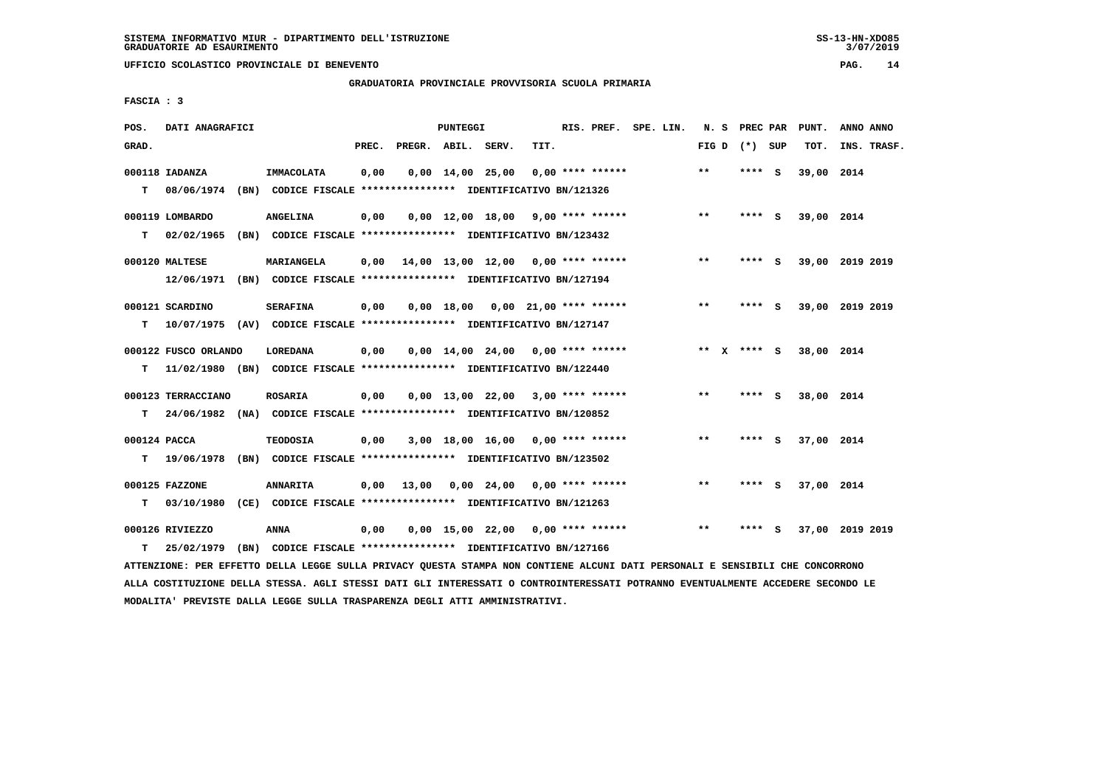**UFFICIO SCOLASTICO PROVINCIALE DI BENEVENTO PAG. 14**

 **GRADUATORIA PROVINCIALE PROVVISORIA SCUOLA PRIMARIA**

 **FASCIA : 3**

| POS.         | DATI ANAGRAFICI      |                                                                                                                               |       |                    | PUNTEGGI |                        |                                           |                    | RIS. PREF. SPE. LIN. | N. S PREC PAR     |        |     | PUNT.      | ANNO ANNO       |
|--------------|----------------------|-------------------------------------------------------------------------------------------------------------------------------|-------|--------------------|----------|------------------------|-------------------------------------------|--------------------|----------------------|-------------------|--------|-----|------------|-----------------|
| GRAD.        |                      |                                                                                                                               | PREC. | PREGR. ABIL. SERV. |          |                        | TIT.                                      |                    |                      | FIG $D$ $(*)$ SUP |        |     | TOT.       | INS. TRASF.     |
|              | 000118 IADANZA       | <b>IMMACOLATA</b>                                                                                                             | 0,00  |                    |          | $0,00$ $14,00$ $25,00$ |                                           | $0.00$ **** ****** |                      | $**$              | ****   | - S | 39,00 2014 |                 |
| T.           |                      | 08/06/1974 (BN) CODICE FISCALE **************** IDENTIFICATIVO BN/121326                                                      |       |                    |          |                        |                                           |                    |                      |                   |        |     |            |                 |
|              |                      |                                                                                                                               |       |                    |          |                        |                                           |                    |                      |                   |        |     |            |                 |
|              | 000119 LOMBARDO      | <b>ANGELINA</b>                                                                                                               | 0,00  |                    |          |                        | $0,00$ 12,00 18,00 9,00 **** ******       |                    |                      | $***$             | **** S |     | 39,00 2014 |                 |
| T.           |                      | 02/02/1965 (BN) CODICE FISCALE **************** IDENTIFICATIVO BN/123432                                                      |       |                    |          |                        |                                           |                    |                      |                   |        |     |            |                 |
|              | 000120 MALTESE       | <b>MARIANGELA</b>                                                                                                             |       |                    |          |                        | $0,00$ 14,00 13,00 12,00 0,00 **** ****** |                    |                      | $**$              | **** S |     |            | 39,00 2019 2019 |
|              |                      | 12/06/1971 (BN) CODICE FISCALE *************** IDENTIFICATIVO BN/127194                                                       |       |                    |          |                        |                                           |                    |                      |                   |        |     |            |                 |
|              |                      |                                                                                                                               |       |                    |          |                        |                                           |                    |                      |                   |        |     |            |                 |
|              | 000121 SCARDINO      | <b>SERAFINA</b>                                                                                                               | 0,00  |                    |          |                        | $0,00$ 18,00 0,00 21,00 **** ******       |                    |                      | $***$             | **** S |     |            | 39,00 2019 2019 |
| т            |                      | 10/07/1975 (AV) CODICE FISCALE **************** IDENTIFICATIVO BN/127147                                                      |       |                    |          |                        |                                           |                    |                      |                   |        |     |            |                 |
|              | 000122 FUSCO ORLANDO | LOREDANA                                                                                                                      | 0,00  |                    |          |                        | $0,00$ 14,00 24,00 0,00 **** ******       |                    |                      | ** x **** S       |        |     | 38,00 2014 |                 |
| т            |                      | 11/02/1980 (BN) CODICE FISCALE *************** IDENTIFICATIVO BN/122440                                                       |       |                    |          |                        |                                           |                    |                      |                   |        |     |            |                 |
|              |                      |                                                                                                                               |       |                    |          |                        |                                           |                    |                      |                   |        |     |            |                 |
|              | 000123 TERRACCIANO   | <b>ROSARIA</b>                                                                                                                | 0,00  |                    |          |                        | $0,00$ 13,00 22,00 3,00 **** ******       |                    |                      | **                | **** S |     | 38,00 2014 |                 |
| T.           |                      | 24/06/1982 (NA) CODICE FISCALE *************** IDENTIFICATIVO BN/120852                                                       |       |                    |          |                        |                                           |                    |                      |                   |        |     |            |                 |
| 000124 PACCA |                      | <b>TEODOSIA</b>                                                                                                               | 0,00  |                    |          |                        | $3,00$ 18,00 16,00 0,00 **** ******       |                    |                      | **                | **** S |     | 37,00 2014 |                 |
| T.           |                      | 19/06/1978 (BN) CODICE FISCALE *************** IDENTIFICATIVO BN/123502                                                       |       |                    |          |                        |                                           |                    |                      |                   |        |     |            |                 |
|              |                      |                                                                                                                               |       |                    |          |                        |                                           |                    |                      |                   |        |     |            |                 |
|              | 000125 FAZZONE       | <b>ANNARITA</b>                                                                                                               |       |                    |          |                        | $0,00$ 13,00 0,00 24,00 0,00 **** ******  |                    |                      | $***$             | **** S |     | 37,00 2014 |                 |
| т            |                      | 03/10/1980 (CE) CODICE FISCALE **************** IDENTIFICATIVO BN/121263                                                      |       |                    |          |                        |                                           |                    |                      |                   |        |     |            |                 |
|              | 000126 RIVIEZZO      | ANNA                                                                                                                          | 0,00  |                    |          |                        | $0.00$ 15.00 22.00 0.00 **** ******       |                    |                      | $* *$             | **** S |     |            | 37,00 2019 2019 |
| т            | 25/02/1979           | (BN) CODICE FISCALE **************** IDENTIFICATIVO BN/127166                                                                 |       |                    |          |                        |                                           |                    |                      |                   |        |     |            |                 |
|              |                      | ATTENZIONE: PER EFFETTO DELLA LEGGE SULLA PRIVACY QUESTA STAMPA NON CONTIENE ALCUNI DATI PERSONALI E SENSIBILI CHE CONCORRONO |       |                    |          |                        |                                           |                    |                      |                   |        |     |            |                 |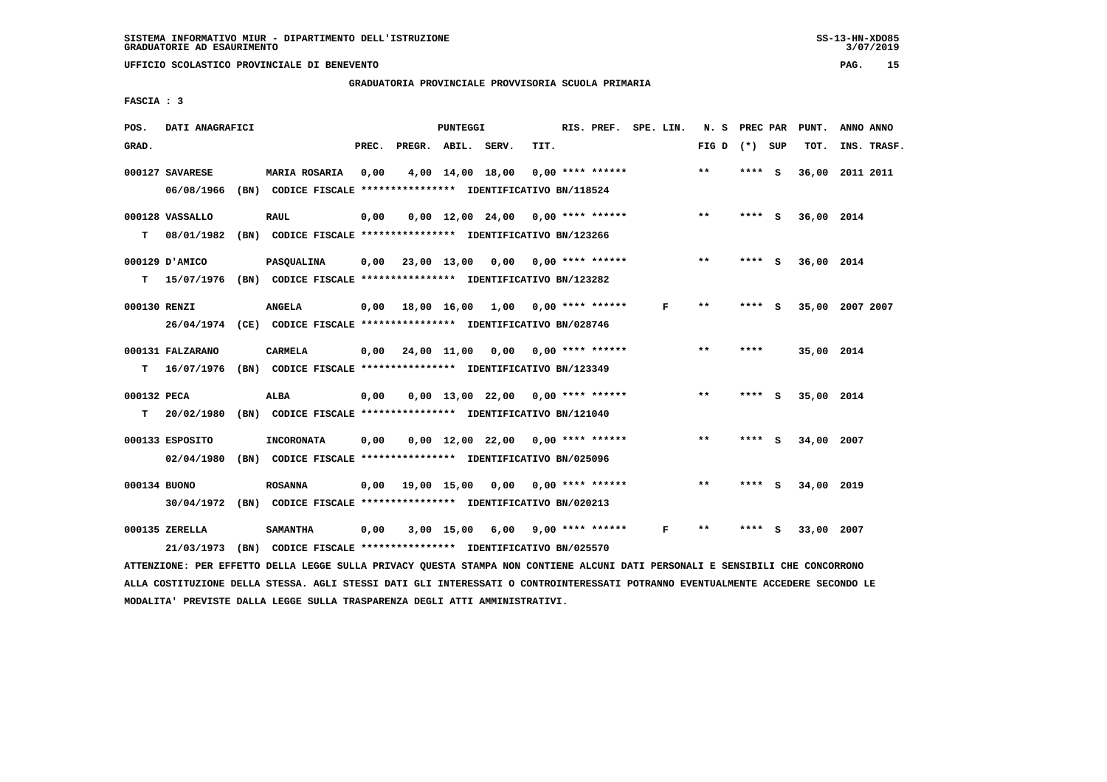**UFFICIO SCOLASTICO PROVINCIALE DI BENEVENTO PAG. 15**

 **GRADUATORIA PROVINCIALE PROVVISORIA SCUOLA PRIMARIA**

 **FASCIA : 3**

| POS.         | DATI ANAGRAFICI  |                                                                         |       |                        | PUNTEGGI |                                          |      | RIS. PREF. SPE. LIN. |   | N. S PREC PAR     |         |     | PUNT.           | ANNO ANNO |             |
|--------------|------------------|-------------------------------------------------------------------------|-------|------------------------|----------|------------------------------------------|------|----------------------|---|-------------------|---------|-----|-----------------|-----------|-------------|
| GRAD.        |                  |                                                                         | PREC. | PREGR. ABIL. SERV.     |          |                                          | TIT. |                      |   | FIG $D$ $(*)$ SUP |         |     | TOT.            |           | INS. TRASF. |
|              | 000127 SAVARESE  | <b>MARIA ROSARIA</b>                                                    | 0,00  |                        |          | 4,00 14,00 18,00                         |      | $0.00$ **** ******   |   | $***$             | **** S  |     | 36,00 2011 2011 |           |             |
|              | 06/08/1966       | (BN) CODICE FISCALE **************** IDENTIFICATIVO BN/118524           |       |                        |          |                                          |      |                      |   |                   |         |     |                 |           |             |
|              | 000128 VASSALLO  | <b>RAUL</b>                                                             | 0,00  |                        |          | $0,00$ 12,00 24,00 0,00 **** ******      |      |                      |   | $***$             | $***$ S |     | 36,00 2014      |           |             |
| T.           | 08/01/1982       | (BN) CODICE FISCALE **************** IDENTIFICATIVO BN/123266           |       |                        |          |                                          |      |                      |   |                   |         |     |                 |           |             |
|              | 000129 D'AMICO   | PASQUALINA                                                              |       |                        |          | $0,00$ 23,00 13,00 0,00 0,00 **** ****** |      |                      |   | $***$             | **** S  |     | 36,00 2014      |           |             |
| т            |                  | 15/07/1976 (BN) CODICE FISCALE *************** IDENTIFICATIVO BN/123282 |       |                        |          |                                          |      |                      |   |                   |         |     |                 |           |             |
| 000130 RENZI |                  | <b>ANGELA</b>                                                           |       |                        |          | $0,00$ 18,00 16,00 1,00 0,00 **** ****** |      |                      | F | $* *$             | **** S  |     | 35,00 2007 2007 |           |             |
|              |                  | 26/04/1974 (CE) CODICE FISCALE *************** IDENTIFICATIVO BN/028746 |       |                        |          |                                          |      |                      |   |                   |         |     |                 |           |             |
|              | 000131 FALZARANO | <b>CARMELA</b>                                                          |       | $0.00$ $24.00$ $11.00$ |          | 0,00                                     |      | 0,00 **** ******     |   | $* *$             | ****    |     | 35,00 2014      |           |             |
| T.           |                  | 16/07/1976 (BN) CODICE FISCALE *************** IDENTIFICATIVO BN/123349 |       |                        |          |                                          |      |                      |   |                   |         |     |                 |           |             |
|              |                  |                                                                         |       |                        |          |                                          |      |                      |   |                   |         |     |                 |           |             |
| 000132 PECA  |                  | ALBA                                                                    | 0,00  |                        |          | $0.00$ 13.00 22.00 0.00 **** ******      |      |                      |   | $***$             | **** S  |     | 35,00 2014      |           |             |
| T.           | 20/02/1980       | (BN) CODICE FISCALE **************** IDENTIFICATIVO BN/121040           |       |                        |          |                                          |      |                      |   |                   |         |     |                 |           |             |
|              | 000133 ESPOSITO  | <b>INCORONATA</b>                                                       | 0,00  |                        |          | $0,00$ 12,00 22,00 0,00 **** ******      |      |                      |   | $***$             | **** S  |     | 34,00 2007      |           |             |
|              | 02/04/1980       | (BN) CODICE FISCALE *************** IDENTIFICATIVO BN/025096            |       |                        |          |                                          |      |                      |   |                   |         |     |                 |           |             |
| 000134 BUONO |                  | <b>ROSANNA</b>                                                          |       |                        |          | $0.00$ 19.00 15.00 0.00 0.00 **** ****** |      |                      |   | $* *$             | **** S  |     | 34,00 2019      |           |             |
|              |                  | 30/04/1972 (BN) CODICE FISCALE *************** IDENTIFICATIVO BN/020213 |       |                        |          |                                          |      |                      |   |                   |         |     |                 |           |             |
|              | 000135 ZERELLA   | <b>SAMANTHA</b>                                                         | 0,00  |                        |          | $3,00$ 15,00 6,00 9,00 **** ******       |      |                      | F | $* *$             | ****    | - 5 | 33,00 2007      |           |             |
|              | 21/03/1973       | (BN) CODICE FISCALE **************** IDENTIFICATIVO BN/025570           |       |                        |          |                                          |      |                      |   |                   |         |     |                 |           |             |
|              |                  |                                                                         |       |                        |          |                                          |      |                      |   |                   |         |     |                 |           |             |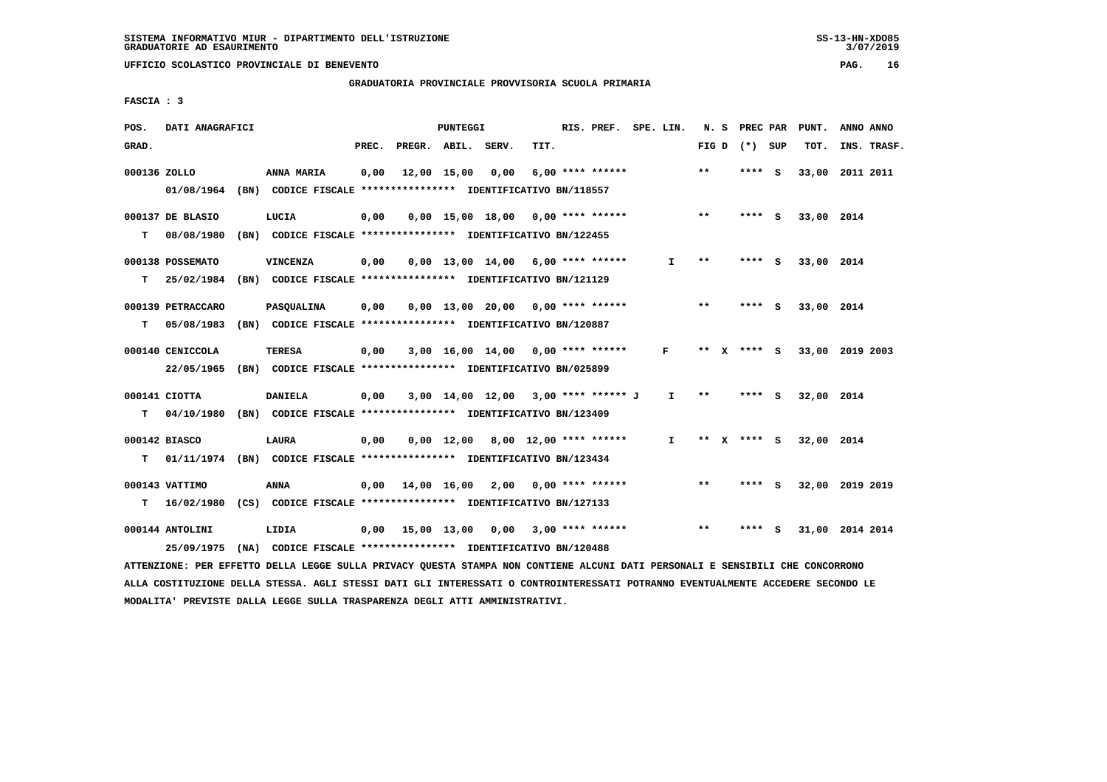**UFFICIO SCOLASTICO PROVINCIALE DI BENEVENTO PAG. 16**

 **GRADUATORIA PROVINCIALE PROVVISORIA SCUOLA PRIMARIA**

 **FASCIA : 3**

| POS.         | DATI ANAGRAFICI   |                                                                                                                               |       |                       | PUNTEGGI |                  |                                          | RIS. PREF. SPE. LIN. |              |       | N. S PREC PAR   | PUNT.      | ANNO ANNO       |
|--------------|-------------------|-------------------------------------------------------------------------------------------------------------------------------|-------|-----------------------|----------|------------------|------------------------------------------|----------------------|--------------|-------|-----------------|------------|-----------------|
| GRAD.        |                   |                                                                                                                               | PREC. | PREGR. ABIL. SERV.    |          |                  | TIT.                                     |                      |              |       | FIG D $(*)$ SUP | тот.       | INS. TRASF.     |
| 000136 ZOLLO |                   | ANNA MARIA                                                                                                                    | 0,00  |                       |          | 12,00 15,00 0,00 |                                          | $6,00$ **** ******   |              | **    | $***$ S         |            | 33,00 2011 2011 |
|              |                   | 01/08/1964 (BN) CODICE FISCALE *************** IDENTIFICATIVO BN/118557                                                       |       |                       |          |                  |                                          |                      |              |       |                 |            |                 |
|              | 000137 DE BLASIO  | LUCIA                                                                                                                         | 0,00  |                       |          |                  | $0,00$ 15,00 18,00 0,00 **** ******      |                      |              | $***$ | **** S          | 33,00 2014 |                 |
| т            | 08/08/1980        | (BN) CODICE FISCALE **************** IDENTIFICATIVO BN/122455                                                                 |       |                       |          |                  |                                          |                      |              |       |                 |            |                 |
|              | 000138 POSSEMATO  | <b>VINCENZA</b>                                                                                                               | 0,00  |                       |          |                  | $0.00$ 13.00 14.00 6.00 **** ******      |                      | I.           | **    | $***$ S         | 33,00 2014 |                 |
| т            |                   | 25/02/1984 (BN) CODICE FISCALE *************** IDENTIFICATIVO BN/121129                                                       |       |                       |          |                  |                                          |                      |              |       |                 |            |                 |
|              | 000139 PETRACCARO | PASQUALINA                                                                                                                    | 0,00  |                       |          |                  | $0,00$ 13,00 20,00 0,00 **** ******      |                      |              | $**$  | **** S          | 33,00 2014 |                 |
| т            |                   | 05/08/1983 (BN) CODICE FISCALE **************** IDENTIFICATIVO BN/120887                                                      |       |                       |          |                  |                                          |                      |              |       |                 |            |                 |
|              | 000140 CENICCOLA  | <b>TERESA</b>                                                                                                                 | 0,00  |                       |          |                  | $3,00$ 16,00 14,00 0,00 **** ******      |                      | $\mathbf{F}$ |       | ** X **** S     |            | 33,00 2019 2003 |
|              |                   | 22/05/1965 (BN) CODICE FISCALE *************** IDENTIFICATIVO BN/025899                                                       |       |                       |          |                  |                                          |                      |              |       |                 |            |                 |
|              | 000141 CIOTTA     | <b>DANIELA</b>                                                                                                                | 0,00  |                       |          |                  | 3,00 14,00 12,00 3,00 **** ****** J      |                      | $\mathbf{I}$ | $***$ | $***$ S         | 32,00 2014 |                 |
| T.           |                   | 04/10/1980 (BN) CODICE FISCALE *************** IDENTIFICATIVO BN/123409                                                       |       |                       |          |                  |                                          |                      |              |       |                 |            |                 |
|              | 000142 BIASCO     | <b>LAURA</b>                                                                                                                  | 0,00  |                       |          |                  | $0,00$ 12,00 8,00 12,00 **** ******      |                      | $\mathbf{I}$ |       | ** $X$ **** S   | 32,00 2014 |                 |
| т            |                   | 01/11/1974 (BN) CODICE FISCALE **************** IDENTIFICATIVO BN/123434                                                      |       |                       |          |                  |                                          |                      |              |       |                 |            |                 |
|              | 000143 VATTIMO    | <b>ANNA</b>                                                                                                                   |       |                       |          |                  | $0,00$ 14,00 16,00 2,00 0,00 **** ****** |                      |              | $***$ | $***$ S         |            | 32,00 2019 2019 |
| т            |                   | 16/02/1980 (CS) CODICE FISCALE **************** IDENTIFICATIVO BN/127133                                                      |       |                       |          |                  |                                          |                      |              |       |                 |            |                 |
|              | 000144 ANTOLINI   | LIDIA                                                                                                                         |       | 0,00 15,00 13,00 0,00 |          |                  |                                          | $3,00$ **** ******   |              | $***$ | **** S          |            | 31,00 2014 2014 |
|              |                   | 25/09/1975 (NA) CODICE FISCALE *************** IDENTIFICATIVO BN/120488                                                       |       |                       |          |                  |                                          |                      |              |       |                 |            |                 |
|              |                   | ATTENZIONE: PER EFFETTO DELLA LEGGE SULLA PRIVACY OUESTA STAMPA NON CONTIENE ALCUNI DATI PERSONALI E SENSIBILI CHE CONCORRONO |       |                       |          |                  |                                          |                      |              |       |                 |            |                 |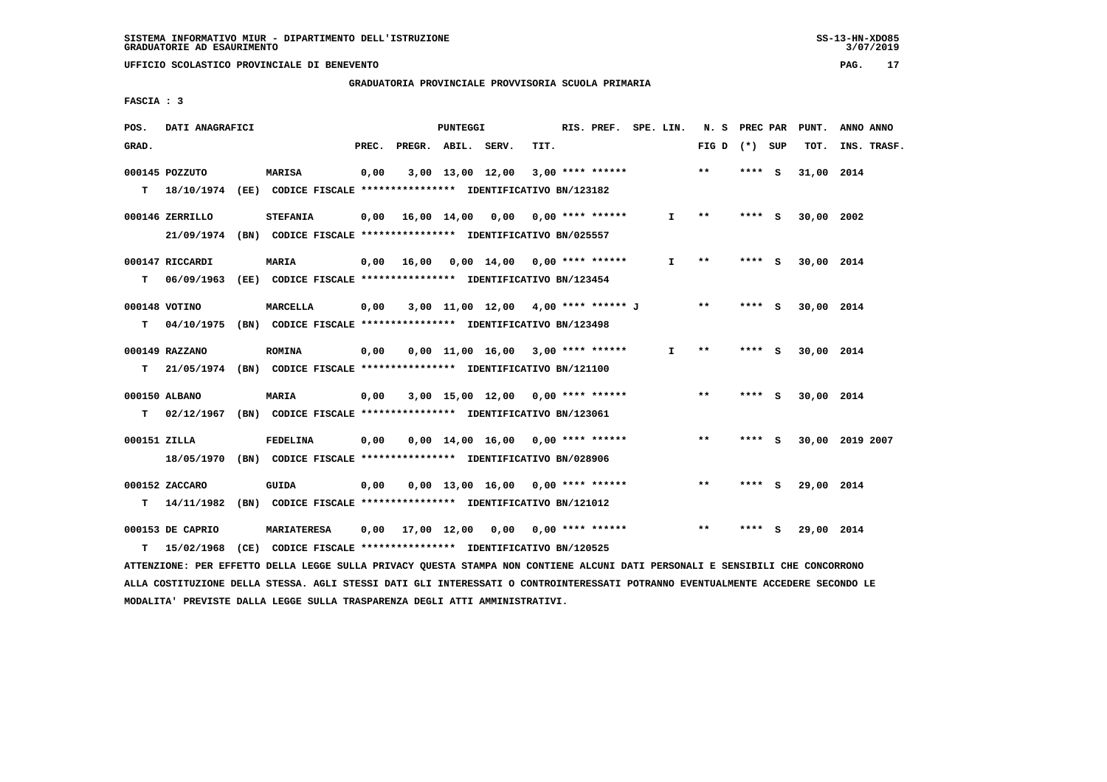**UFFICIO SCOLASTICO PROVINCIALE DI BENEVENTO PAG. 17**

 **GRADUATORIA PROVINCIALE PROVVISORIA SCUOLA PRIMARIA**

 **FASCIA : 3**

| POS.         | DATI ANAGRAFICI                                                           |                    |       | PUNTEGGI |                                          |      | RIS. PREF. SPE. LIN. |              | N. S PREC PAR   |         |     | PUNT.      | ANNO ANNO       |
|--------------|---------------------------------------------------------------------------|--------------------|-------|----------|------------------------------------------|------|----------------------|--------------|-----------------|---------|-----|------------|-----------------|
| GRAD.        |                                                                           |                    | PREC. |          | PREGR. ABIL. SERV.                       | TIT. |                      |              | FIG D $(*)$ SUP |         |     | TOT.       | INS. TRASF.     |
|              | 000145 POZZUTO                                                            | <b>MARISA</b>      | 0,00  |          | 3,00 13,00 12,00                         |      | $3,00$ **** ******   |              | $***$           | **** S  |     | 31,00 2014 |                 |
|              | T 18/10/1974 (EE) CODICE FISCALE *************** IDENTIFICATIVO BN/123182 |                    |       |          |                                          |      |                      |              |                 |         |     |            |                 |
|              | 000146 ZERRILLO                                                           | <b>STEFANIA</b>    |       |          | $0,00$ 16,00 14,00 0,00 0,00 **** ****** |      |                      | $\mathbf{I}$ | $* *$           | $***$ S |     | 30,00 2002 |                 |
|              | 21/09/1974 (BN) CODICE FISCALE *************** IDENTIFICATIVO BN/025557   |                    |       |          |                                          |      |                      |              |                 |         |     |            |                 |
|              | 000147 RICCARDI                                                           | <b>MARIA</b>       |       |          | $0,00$ 16,00 0,00 14,00 0,00 **** ****** |      |                      | I.           | **              | **** S  |     | 30,00 2014 |                 |
| T.           | 06/09/1963 (EE) CODICE FISCALE *************** IDENTIFICATIVO BN/123454   |                    |       |          |                                          |      |                      |              |                 |         |     |            |                 |
|              | 000148 VOTINO                                                             | MARCELLA           | 0,00  |          | 3,00 11,00 12,00 4,00 **** ****** J      |      |                      |              | $***$           | $***$ S |     | 30,00 2014 |                 |
| т            | 04/10/1975 (BN) CODICE FISCALE *************** IDENTIFICATIVO BN/123498   |                    |       |          |                                          |      |                      |              |                 |         |     |            |                 |
|              | 000149 RAZZANO                                                            | <b>ROMINA</b>      | 0,00  |          | $0.00$ 11.00 16.00 3.00 **** ******      |      |                      | I.           | $***$           | **** S  |     | 30,00 2014 |                 |
|              | T 21/05/1974 (BN) CODICE FISCALE *************** IDENTIFICATIVO BN/121100 |                    |       |          |                                          |      |                      |              |                 |         |     |            |                 |
|              | 000150 ALBANO                                                             | <b>MARIA</b>       | 0,00  |          | $3,00$ 15,00 12,00 0,00 **** ******      |      |                      |              | $***$           | $***$ S |     | 30,00 2014 |                 |
| T.           | 02/12/1967 (BN) CODICE FISCALE *************** IDENTIFICATIVO BN/123061   |                    |       |          |                                          |      |                      |              |                 |         |     |            |                 |
| 000151 ZILLA |                                                                           | <b>FEDELINA</b>    | 0,00  |          | $0.00$ 14.00 16.00 0.00 **** ******      |      |                      |              | $* *$           | **** S  |     |            | 30,00 2019 2007 |
|              | 18/05/1970 (BN) CODICE FISCALE *************** IDENTIFICATIVO BN/028906   |                    |       |          |                                          |      |                      |              |                 |         |     |            |                 |
|              | 000152 ZACCARO                                                            | GUIDA              | 0,00  |          | $0.00$ 13.00 16.00 0.00 **** ******      |      |                      |              | $* *$           | **** S  |     | 29,00 2014 |                 |
| T.           | 14/11/1982 (BN) CODICE FISCALE *************** IDENTIFICATIVO BN/121012   |                    |       |          |                                          |      |                      |              |                 |         |     |            |                 |
|              | 000153 DE CAPRIO                                                          | <b>MARIATERESA</b> |       |          | 0,00 17,00 12,00 0,00                    |      | $0.00$ **** ******   |              | $* *$           | ****    | - 5 | 29,00 2014 |                 |
| т            | 15/02/1968 (CE) CODICE FISCALE *************** IDENTIFICATIVO BN/120525   |                    |       |          |                                          |      |                      |              |                 |         |     |            |                 |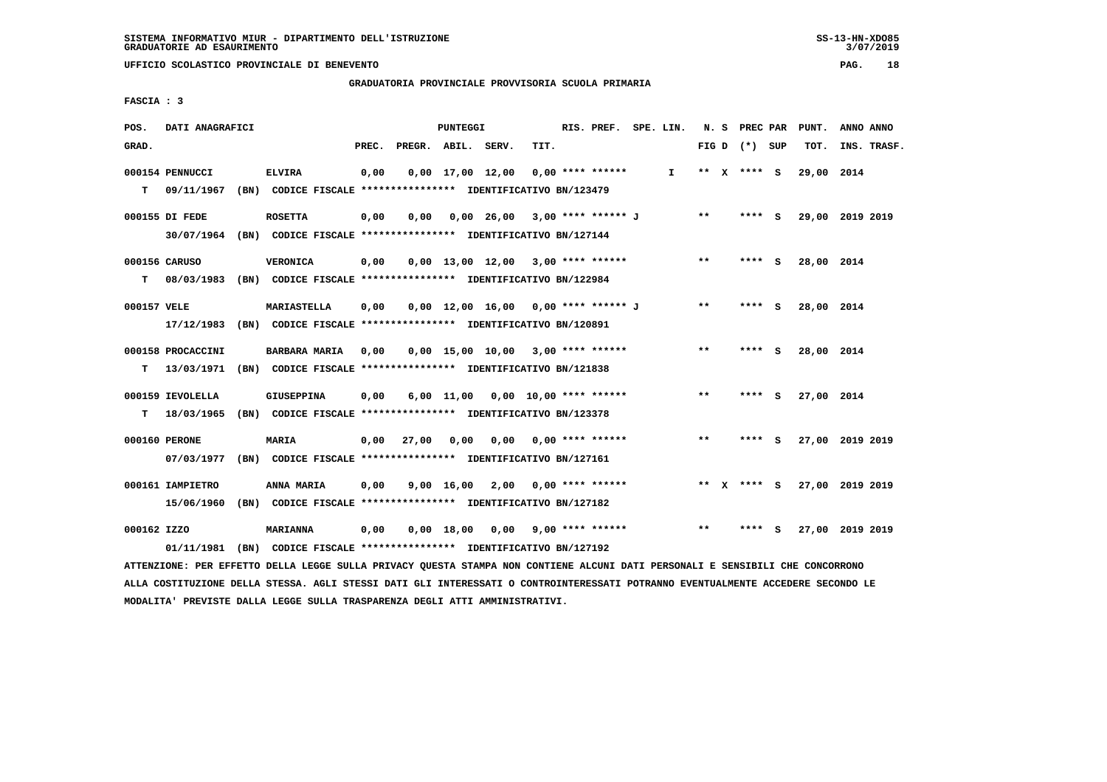**UFFICIO SCOLASTICO PROVINCIALE DI BENEVENTO PAG. 18**

 **GRADUATORIA PROVINCIALE PROVVISORIA SCUOLA PRIMARIA**

 **FASCIA : 3**

| POS.        | DATI ANAGRAFICI   |                                                                                                                               |       |                    | PUNTEGGI     |      |                                     | RIS. PREF. SPE. LIN. |    |       | N. S PREC PAR   | PUNT.      | ANNO ANNO       |
|-------------|-------------------|-------------------------------------------------------------------------------------------------------------------------------|-------|--------------------|--------------|------|-------------------------------------|----------------------|----|-------|-----------------|------------|-----------------|
| GRAD.       |                   |                                                                                                                               | PREC. | PREGR. ABIL. SERV. |              |      | TIT.                                |                      |    |       | FIG D $(*)$ SUP | TOT.       | INS. TRASF.     |
|             | 000154 PENNUCCI   | <b>ELVIRA</b>                                                                                                                 | 0,00  |                    |              |      | $0,00$ 17,00 12,00 0,00 **** ****** |                      | I. |       | ** x **** S     | 29,00 2014 |                 |
|             | T 09/11/1967      | (BN) CODICE FISCALE **************** IDENTIFICATIVO BN/123479                                                                 |       |                    |              |      |                                     |                      |    |       |                 |            |                 |
|             | 000155 DI FEDE    | <b>ROSETTA</b>                                                                                                                | 0,00  | 0,00               |              |      | 0,00 26,00 3,00 **** ****** J       |                      |    | $**$  | **** S          |            | 29,00 2019 2019 |
|             |                   | 30/07/1964 (BN) CODICE FISCALE *************** IDENTIFICATIVO BN/127144                                                       |       |                    |              |      |                                     |                      |    |       |                 |            |                 |
|             |                   |                                                                                                                               |       |                    |              |      |                                     |                      |    |       |                 |            |                 |
|             | 000156 CARUSO     | <b>VERONICA</b>                                                                                                               | 0,00  |                    |              |      | $0,00$ 13,00 12,00 3,00 **** ****** |                      |    | $**$  | **** S          | 28,00 2014 |                 |
| T.          |                   | 08/03/1983 (BN) CODICE FISCALE **************** IDENTIFICATIVO BN/122984                                                      |       |                    |              |      |                                     |                      |    |       |                 |            |                 |
| 000157 VELE |                   | <b>MARIASTELLA</b>                                                                                                            | 0,00  |                    |              |      | 0,00 12,00 16,00 0,00 **** ****** J |                      |    | $***$ | **** S          | 28,00 2014 |                 |
|             |                   | 17/12/1983 (BN) CODICE FISCALE **************** IDENTIFICATIVO BN/120891                                                      |       |                    |              |      |                                     |                      |    |       |                 |            |                 |
|             | 000158 PROCACCINI | <b>BARBARA MARIA</b>                                                                                                          | 0,00  |                    |              |      | $0,00$ 15,00 10,00 3,00 **** ****** |                      |    | $***$ | **** S          | 28,00 2014 |                 |
|             |                   | T 13/03/1971 (BN) CODICE FISCALE **************** IDENTIFICATIVO BN/121838                                                    |       |                    |              |      |                                     |                      |    |       |                 |            |                 |
|             |                   |                                                                                                                               |       |                    |              |      |                                     |                      |    |       |                 |            |                 |
|             | 000159 IEVOLELLA  | <b>GIUSEPPINA</b>                                                                                                             | 0,00  |                    |              |      | 6,00 11,00 0,00 10,00 **** ******   |                      |    | $* *$ | **** S          | 27,00 2014 |                 |
| T.          |                   | 18/03/1965 (BN) CODICE FISCALE *************** IDENTIFICATIVO BN/123378                                                       |       |                    |              |      |                                     |                      |    |       |                 |            |                 |
|             | 000160 PERONE     | <b>MARIA</b>                                                                                                                  |       | 0,00 27,00 0,00    |              | 0,00 |                                     | $0.00$ **** ******   |    | $***$ | **** S          |            | 27,00 2019 2019 |
|             |                   | 07/03/1977 (BN) CODICE FISCALE **************** IDENTIFICATIVO BN/127161                                                      |       |                    |              |      |                                     |                      |    |       |                 |            |                 |
|             | 000161 IAMPIETRO  | ANNA MARIA                                                                                                                    | 0,00  |                    |              |      | $9,00$ 16,00 2,00 0,00 **** ******  |                      |    |       | ** x **** S     |            | 27,00 2019 2019 |
|             | 15/06/1960        | (BN) CODICE FISCALE **************** IDENTIFICATIVO BN/127182                                                                 |       |                    |              |      |                                     |                      |    |       |                 |            |                 |
|             |                   |                                                                                                                               |       |                    |              |      |                                     |                      |    |       |                 |            |                 |
| 000162 IZZO |                   | <b>MARIANNA</b>                                                                                                               | 0,00  |                    | $0,00$ 18,00 |      | 0,00 9,00 **** ******               |                      |    | $* *$ | **** S          |            | 27,00 2019 2019 |
|             | 01/11/1981        | (BN) CODICE FISCALE **************** IDENTIFICATIVO BN/127192                                                                 |       |                    |              |      |                                     |                      |    |       |                 |            |                 |
|             |                   | ATTENZIONE: PER EFFETTO DELLA LEGGE SULLA PRIVACY QUESTA STAMPA NON CONTIENE ALCUNI DATI PERSONALI E SENSIBILI CHE CONCORRONO |       |                    |              |      |                                     |                      |    |       |                 |            |                 |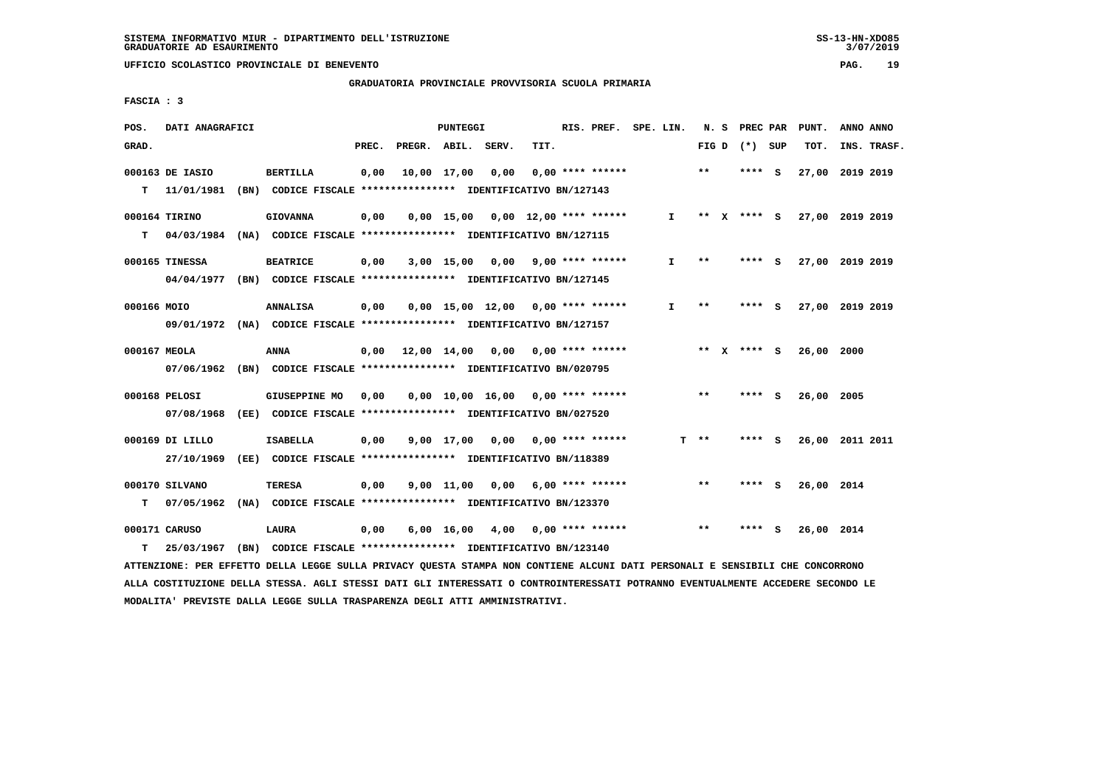**GRADUATORIA PROVINCIALE PROVVISORIA SCUOLA PRIMARIA**

 **FASCIA : 3**

| POS.         | DATI ANAGRAFICI |                                                                          |       |                                          | PUNTEGGI    |                                       |                         | RIS. PREF. SPE. LIN. |              | N.S    | PREC PAR        |     | PUNT.           |      | ANNO ANNO   |
|--------------|-----------------|--------------------------------------------------------------------------|-------|------------------------------------------|-------------|---------------------------------------|-------------------------|----------------------|--------------|--------|-----------------|-----|-----------------|------|-------------|
| GRAD.        |                 |                                                                          | PREC. | PREGR. ABIL. SERV.                       |             |                                       | TIT.                    |                      |              |        | FIG D $(*)$ SUP |     | TOT.            |      | INS. TRASF. |
|              | 000163 DE IASIO | <b>BERTILLA</b>                                                          | 0,00  |                                          | 10,00 17,00 | 0,00                                  |                         | $0.00$ **** ******   |              | $***$  | **** S          |     | 27,00 2019 2019 |      |             |
| т            | 11/01/1981      | (BN) CODICE FISCALE **************** IDENTIFICATIVO BN/127143            |       |                                          |             |                                       |                         |                      |              |        |                 |     |                 |      |             |
|              | 000164 TIRINO   | <b>GIOVANNA</b>                                                          | 0,00  |                                          |             | $0,00$ 15,00 $0,00$ 12,00 **** ****** |                         |                      | $\mathbf{I}$ |        | ** x **** S     |     | 27,00 2019 2019 |      |             |
| т            |                 | 04/03/1984 (NA) CODICE FISCALE **************** IDENTIFICATIVO BN/127115 |       |                                          |             |                                       |                         |                      |              |        |                 |     |                 |      |             |
|              | 000165 TINESSA  | <b>BEATRICE</b>                                                          | 0,00  |                                          | 3,00 15,00  |                                       | $0,00$ 9,00 **** ****** |                      | I.           | $* *$  | ****            | - S | 27,00 2019 2019 |      |             |
|              |                 | 04/04/1977 (BN) CODICE FISCALE *************** IDENTIFICATIVO BN/127145  |       |                                          |             |                                       |                         |                      |              |        |                 |     |                 |      |             |
| 000166 MOIO  |                 | <b>ANNALISA</b>                                                          | 0,00  |                                          |             | $0,00$ 15,00 12,00 0,00 **** ******   |                         |                      | I.           | $* *$  | **** S          |     | 27,00 2019 2019 |      |             |
|              |                 | 09/01/1972 (NA) CODICE FISCALE *************** IDENTIFICATIVO BN/127157  |       |                                          |             |                                       |                         |                      |              |        |                 |     |                 |      |             |
| 000167 MEOLA |                 | <b>ANNA</b>                                                              |       | $0.00$ 12.00 14.00 0.00 0.00 **** ****** |             |                                       |                         |                      |              |        | ** $X$ **** S   |     | 26,00           | 2000 |             |
|              | 07/06/1962      | (BN) CODICE FISCALE **************** IDENTIFICATIVO BN/020795            |       |                                          |             |                                       |                         |                      |              |        |                 |     |                 |      |             |
|              | 000168 PELOSI   | <b>GIUSEPPINE MO</b>                                                     | 0,00  |                                          |             | $0,00$ 10,00 16,00 0,00 **** ******   |                         |                      |              | $***$  | **** S          |     | 26,00 2005      |      |             |
|              | 07/08/1968      | (EE) CODICE FISCALE **************** IDENTIFICATIVO BN/027520            |       |                                          |             |                                       |                         |                      |              |        |                 |     |                 |      |             |
|              | 000169 DI LILLO | <b>ISABELLA</b>                                                          | 0,00  |                                          |             | $9.00$ 17.00 0.00 0.00 **** ******    |                         |                      |              | $T$ ** | **** S          |     | 26,00 2011 2011 |      |             |
|              | 27/10/1969      | (EE) CODICE FISCALE **************** IDENTIFICATIVO BN/118389            |       |                                          |             |                                       |                         |                      |              |        |                 |     |                 |      |             |
|              | 000170 SILVANO  | <b>TERESA</b>                                                            | 0,00  |                                          | 9,00 11,00  |                                       | $0.00$ 6.00 **** ****** |                      |              | $* *$  | ****            | - S | 26,00 2014      |      |             |
| т            | 07/05/1962      | (NA) CODICE FISCALE **************** IDENTIFICATIVO BN/123370            |       |                                          |             |                                       |                         |                      |              |        |                 |     |                 |      |             |
|              | 000171 CARUSO   | LAURA                                                                    | 0,00  |                                          |             | 6,00 16,00 4,00 0,00 **** ******      |                         |                      |              | $* *$  |                 | - S | 26,00 2014      |      |             |
| т            | 25/03/1967      | (BN) CODICE FISCALE **************** IDENTIFICATIVO BN/123140            |       |                                          |             |                                       |                         |                      |              |        |                 |     |                 |      |             |

 **ATTENZIONE: PER EFFETTO DELLA LEGGE SULLA PRIVACY QUESTA STAMPA NON CONTIENE ALCUNI DATI PERSONALI E SENSIBILI CHE CONCORRONO ALLA COSTITUZIONE DELLA STESSA. AGLI STESSI DATI GLI INTERESSATI O CONTROINTERESSATI POTRANNO EVENTUALMENTE ACCEDERE SECONDO LE MODALITA' PREVISTE DALLA LEGGE SULLA TRASPARENZA DEGLI ATTI AMMINISTRATIVI.**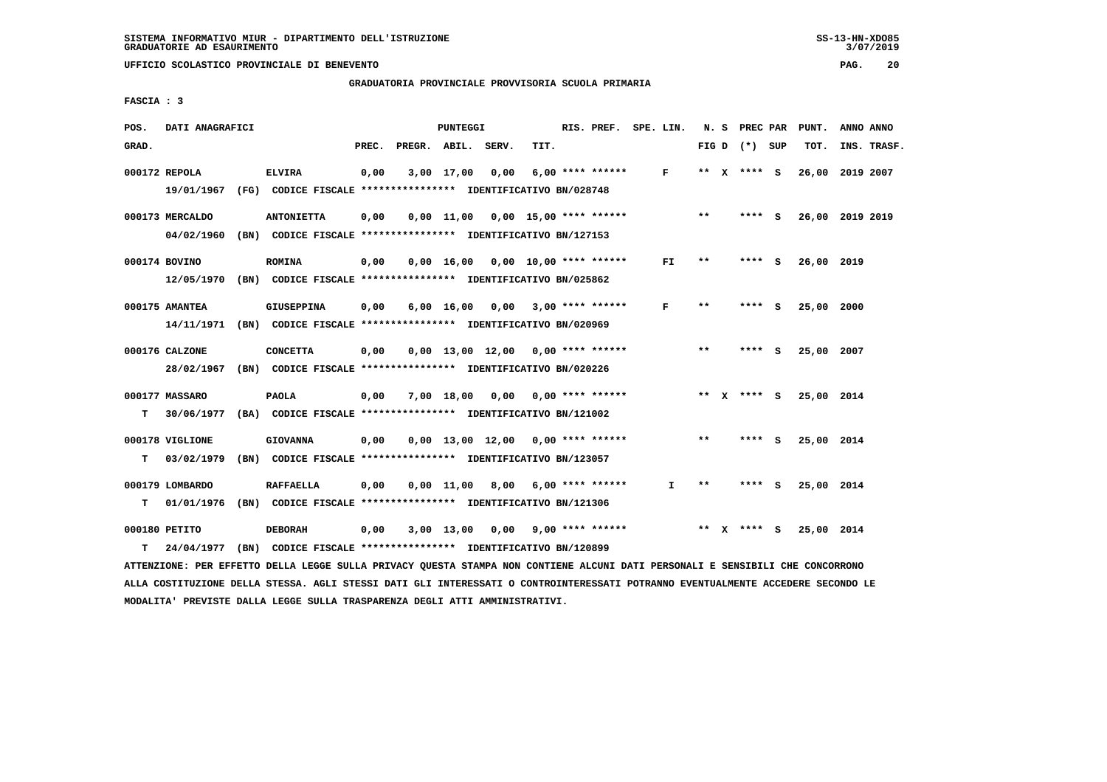### **GRADUATORIA PROVINCIALE PROVVISORIA SCUOLA PRIMARIA**

 **FASCIA : 3**

| POS.  | DATI ANAGRAFICI |                                                                          |       |                    | <b>PUNTEGGI</b> |                                     |      | RIS. PREF. SPE. LIN.    |              |       | N. S PREC PAR   |          | PUNT.           | ANNO ANNO |             |
|-------|-----------------|--------------------------------------------------------------------------|-------|--------------------|-----------------|-------------------------------------|------|-------------------------|--------------|-------|-----------------|----------|-----------------|-----------|-------------|
| GRAD. |                 |                                                                          | PREC. | PREGR. ABIL. SERV. |                 |                                     | TIT. |                         |              |       | FIG D $(*)$ SUP |          | TOT.            |           | INS. TRASF. |
|       | 000172 REPOLA   | <b>ELVIRA</b>                                                            | 0,00  |                    | 3,00 17,00      | 0,00                                |      | $6,00$ **** ******      | $\mathbf{F}$ |       | ** X **** S     |          | 26,00           | 2019 2007 |             |
|       |                 | 19/01/1967 (FG) CODICE FISCALE *************** IDENTIFICATIVO BN/028748  |       |                    |                 |                                     |      |                         |              |       |                 |          |                 |           |             |
|       | 000173 MERCALDO | <b>ANTONIETTA</b>                                                        | 0,00  |                    |                 | 0,00 11,00 0,00 15,00 **** ******   |      |                         |              | $***$ | $***$ S         |          | 26,00 2019 2019 |           |             |
|       | 04/02/1960      | (BN) CODICE FISCALE **************** IDENTIFICATIVO BN/127153            |       |                    |                 |                                     |      |                         |              |       |                 |          |                 |           |             |
|       | 000174 BOVINO   | <b>ROMINA</b>                                                            | 0,00  |                    |                 | $0,00$ 16,00 0,00 10,00 **** ****** |      |                         | FI.          | **    | **** S          |          | 26,00 2019      |           |             |
|       |                 | 12/05/1970 (BN) CODICE FISCALE *************** IDENTIFICATIVO BN/025862  |       |                    |                 |                                     |      |                         |              |       |                 |          |                 |           |             |
|       | 000175 AMANTEA  | <b>GIUSEPPINA</b>                                                        | 0,00  |                    | 6,00 16,00      |                                     |      | $0,00$ 3,00 **** ****** | F            | $* *$ | ****            | <b>S</b> | 25,00 2000      |           |             |
|       |                 | 14/11/1971 (BN) CODICE FISCALE *************** IDENTIFICATIVO BN/020969  |       |                    |                 |                                     |      |                         |              |       |                 |          |                 |           |             |
|       | 000176 CALZONE  | <b>CONCETTA</b>                                                          | 0,00  |                    |                 | $0.00$ 13.00 12.00 0.00 **** ****** |      |                         |              | $* *$ | **** S          |          | 25,00 2007      |           |             |
|       |                 | 28/02/1967 (BN) CODICE FISCALE *************** IDENTIFICATIVO BN/020226  |       |                    |                 |                                     |      |                         |              |       |                 |          |                 |           |             |
|       | 000177 MASSARO  | PAOLA                                                                    | 0,00  |                    |                 | $7,00$ 18,00 0,00 0,00 **** ******  |      |                         |              |       | ** $X$ **** S   |          | 25,00 2014      |           |             |
| T.    |                 | 30/06/1977 (BA) CODICE FISCALE **************** IDENTIFICATIVO BN/121002 |       |                    |                 |                                     |      |                         |              |       |                 |          |                 |           |             |
|       | 000178 VIGLIONE | <b>GIOVANNA</b>                                                          | 0,00  |                    |                 | $0,00$ 13,00 12,00 0,00 **** ****** |      |                         |              | $***$ | **** S          |          | 25,00 2014      |           |             |
| T.    | 03/02/1979      | (BN) CODICE FISCALE **************** IDENTIFICATIVO BN/123057            |       |                    |                 |                                     |      |                         |              |       |                 |          |                 |           |             |
|       | 000179 LOMBARDO | <b>RAFFAELLA</b>                                                         | 0,00  |                    |                 | $0.00$ 11.00 8.00 6.00 **** ******  |      |                         | I.           | $***$ | **** S          |          | 25,00 2014      |           |             |
| т     |                 | 01/01/1976 (BN) CODICE FISCALE *************** IDENTIFICATIVO BN/121306  |       |                    |                 |                                     |      |                         |              |       |                 |          |                 |           |             |
|       | 000180 PETITO   | <b>DEBORAH</b>                                                           | 0,00  |                    |                 | $3,00$ 13,00 0,00 9,00 **** ******  |      |                         |              | ** X  | **** S          |          | 25,00 2014      |           |             |
| T.    | 24/04/1977      | (BN) CODICE FISCALE **************** IDENTIFICATIVO BN/120899            |       |                    |                 |                                     |      |                         |              |       |                 |          |                 |           |             |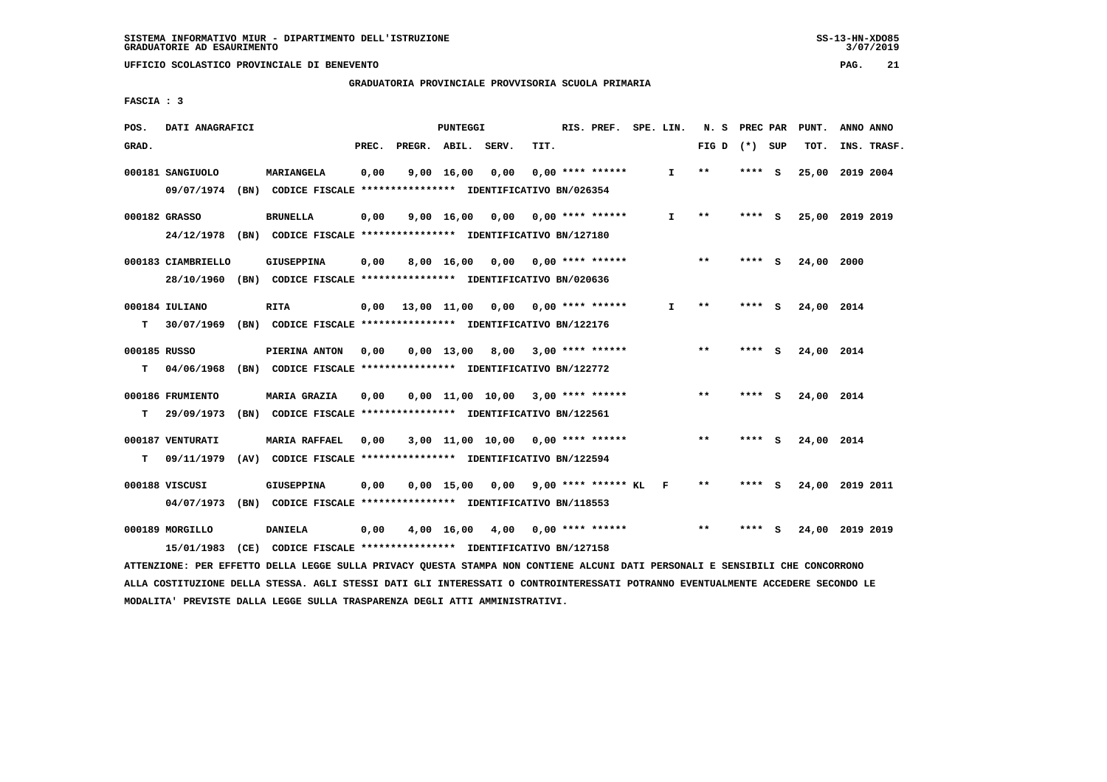**GRADUATORIA PROVINCIALE PROVVISORIA SCUOLA PRIMARIA**

 **FASCIA : 3**

| POS.         | DATI ANAGRAFICI    |                                                                                                                               |       | PUNTEGGI           |                                         |      | RIS. PREF. SPE. LIN. |              |                 | N. S PREC PAR | PUNT.           | ANNO ANNO |             |
|--------------|--------------------|-------------------------------------------------------------------------------------------------------------------------------|-------|--------------------|-----------------------------------------|------|----------------------|--------------|-----------------|---------------|-----------------|-----------|-------------|
| GRAD.        |                    |                                                                                                                               | PREC. |                    | PREGR. ABIL. SERV.                      | TIT. |                      |              | FIG D $(*)$ SUP |               | TOT.            |           | INS. TRASF. |
|              | 000181 SANGIUOLO   | MARIANGELA                                                                                                                    | 0,00  | $9,00 \quad 16,00$ | 0,00                                    |      | $0,00$ **** ******   | $\mathbf{I}$ | $* *$           | **** S        | 25,00 2019 2004 |           |             |
|              |                    | 09/07/1974 (BN) CODICE FISCALE *************** IDENTIFICATIVO BN/026354                                                       |       |                    |                                         |      |                      |              |                 |               |                 |           |             |
|              | 000182 GRASSO      | <b>BRUNELLA</b>                                                                                                               | 0,00  |                    | $9,00$ 16,00 0,00 0,00 **** ******      |      |                      | I.           | **              | **** S        | 25,00 2019 2019 |           |             |
|              |                    | 24/12/1978 (BN) CODICE FISCALE *************** IDENTIFICATIVO BN/127180                                                       |       |                    |                                         |      |                      |              |                 |               |                 |           |             |
|              |                    |                                                                                                                               |       |                    |                                         |      |                      |              |                 |               |                 |           |             |
|              | 000183 CIAMBRIELLO | GIUSEPPINA                                                                                                                    | 0,00  | 8,00 16,00         | $0,00$ $0,00$ **** ******               |      |                      |              | $* *$           | **** S        | 24,00 2000      |           |             |
|              | 28/10/1960         | (BN) CODICE FISCALE **************** IDENTIFICATIVO BN/020636                                                                 |       |                    |                                         |      |                      |              |                 |               |                 |           |             |
|              | 000184 IULIANO     | <b>RITA</b>                                                                                                                   | 0,00  |                    | 13,00 11,00 0,00 0,00 **** ******       |      |                      | I.           | $***$           | **** S        | 24,00 2014      |           |             |
| т            | 30/07/1969         | (BN) CODICE FISCALE **************** IDENTIFICATIVO BN/122176                                                                 |       |                    |                                         |      |                      |              |                 |               |                 |           |             |
|              |                    |                                                                                                                               |       |                    |                                         |      |                      |              |                 |               |                 |           |             |
| 000185 RUSSO |                    | PIERINA ANTON                                                                                                                 | 0,00  |                    | $0,00$ 13,00 8,00 3,00 **** ******      |      |                      |              | $***$           | **** S        | 24,00 2014      |           |             |
| т            | 04/06/1968         | (BN) CODICE FISCALE **************** IDENTIFICATIVO BN/122772                                                                 |       |                    |                                         |      |                      |              |                 |               |                 |           |             |
|              | 000186 FRUMIENTO   | MARIA GRAZIA                                                                                                                  | 0,00  |                    | $0.00$ 11.00 10.00 3.00 **** ******     |      |                      |              | $***$           | **** S        | 24,00 2014      |           |             |
| т            | 29/09/1973         | (BN) CODICE FISCALE **************** IDENTIFICATIVO BN/122561                                                                 |       |                    |                                         |      |                      |              |                 |               |                 |           |             |
|              |                    |                                                                                                                               |       |                    |                                         |      |                      |              |                 |               |                 |           |             |
|              | 000187 VENTURATI   | <b>MARIA RAFFAEL</b>                                                                                                          | 0,00  |                    | 3,00 11,00 10,00 0,00 **** ******       |      |                      |              | $**$            | **** S        | 24,00 2014      |           |             |
| т            | 09/11/1979         | (AV) CODICE FISCALE **************** IDENTIFICATIVO BN/122594                                                                 |       |                    |                                         |      |                      |              |                 |               |                 |           |             |
|              | 000188 VISCUSI     | <b>GIUSEPPINA</b>                                                                                                             | 0,00  |                    | $0,00$ 15,00 0,00 9,00 **** ****** KL F |      |                      |              | $* *$           | **** S        | 24,00 2019 2011 |           |             |
|              | 04/07/1973         | (BN) CODICE FISCALE **************** IDENTIFICATIVO BN/118553                                                                 |       |                    |                                         |      |                      |              |                 |               |                 |           |             |
|              | 000189 MORGILLO    | <b>DANIELA</b>                                                                                                                | 0,00  |                    | 4,00 16,00 4,00 0,00 **** ******        |      |                      |              | $* *$           | **** S        | 24,00 2019 2019 |           |             |
|              | 15/01/1983         | (CE) CODICE FISCALE **************** IDENTIFICATIVO BN/127158                                                                 |       |                    |                                         |      |                      |              |                 |               |                 |           |             |
|              |                    | ATTENZIONE: PER EFFETTO DELLA LEGGE SULLA PRIVACY QUESTA STAMPA NON CONTIENE ALCUNI DATI PERSONALI E SENSIBILI CHE CONCORRONO |       |                    |                                         |      |                      |              |                 |               |                 |           |             |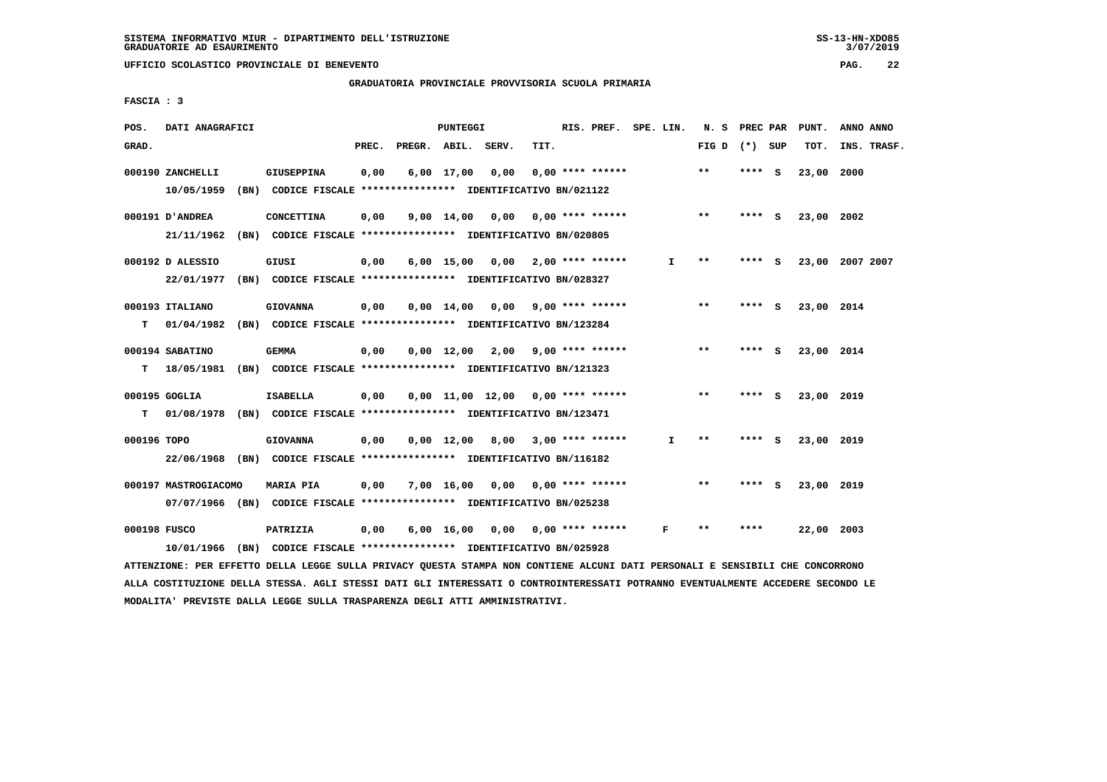**UFFICIO SCOLASTICO PROVINCIALE DI BENEVENTO PAG. 22**

 **GRADUATORIA PROVINCIALE PROVVISORIA SCUOLA PRIMARIA**

 **FASCIA : 3**

| POS.         | DATI ANAGRAFICI      |                                                                          |       |                    | <b>PUNTEGGI</b> |                                     |      | RIS. PREF. SPE. LIN.      |              | N. S PREC PAR   |         | PUNT.      | ANNO ANNO       |
|--------------|----------------------|--------------------------------------------------------------------------|-------|--------------------|-----------------|-------------------------------------|------|---------------------------|--------------|-----------------|---------|------------|-----------------|
| GRAD.        |                      |                                                                          | PREC. | PREGR. ABIL. SERV. |                 |                                     | TIT. |                           |              | FIG D $(*)$ SUP |         | TOT.       | INS. TRASF.     |
|              | 000190 ZANCHELLI     | <b>GIUSEPPINA</b>                                                        | 0,00  |                    | 6,00 17,00      | 0,00                                |      | $0.00$ **** ******        |              | $* *$           | $***5$  | 23,00      | 2000            |
|              | 10/05/1959           | (BN) CODICE FISCALE **************** IDENTIFICATIVO BN/021122            |       |                    |                 |                                     |      |                           |              |                 |         |            |                 |
|              | 000191 D'ANDREA      | <b>CONCETTINA</b>                                                        | 0,00  |                    |                 | $9,00$ 14,00 0,00 0,00 **** ******  |      |                           |              | $**$            | $***$ S | 23,00 2002 |                 |
|              | 21/11/1962           | (BN) CODICE FISCALE **************** IDENTIFICATIVO BN/020805            |       |                    |                 |                                     |      |                           |              |                 |         |            |                 |
|              | 000192 D ALESSIO     | GIUSI                                                                    | 0,00  |                    |                 | $6,00$ 15,00 0,00 2,00 **** ******  |      |                           | Ι.           | $* *$           | **** S  |            | 23,00 2007 2007 |
|              | 22/01/1977           | (BN) CODICE FISCALE **************** IDENTIFICATIVO BN/028327            |       |                    |                 |                                     |      |                           |              |                 |         |            |                 |
|              | 000193 ITALIANO      | <b>GIOVANNA</b>                                                          | 0,00  |                    | $0.00$ 14.00    | 0.00                                |      | $9,00$ **** ******        |              | $***$           | **** S  | 23,00 2014 |                 |
| т            | 01/04/1982           | (BN) CODICE FISCALE **************** IDENTIFICATIVO BN/123284            |       |                    |                 |                                     |      |                           |              |                 |         |            |                 |
|              | 000194 SABATINO      | <b>GEMMA</b>                                                             | 0,00  |                    |                 | $0,00$ $12,00$ $2,00$               |      | 9,00 **** ******          |              | $***$           | **** S  | 23,00 2014 |                 |
| т            |                      | 18/05/1981 (BN) CODICE FISCALE *************** IDENTIFICATIVO BN/121323  |       |                    |                 |                                     |      |                           |              |                 |         |            |                 |
|              |                      |                                                                          |       |                    |                 |                                     |      |                           |              |                 |         |            |                 |
|              | 000195 GOGLIA        | <b>ISABELLA</b>                                                          | 0,00  |                    |                 | $0,00$ 11,00 12,00 0,00 **** ****** |      |                           |              | $***$           | **** S  | 23,00 2019 |                 |
| т            |                      | 01/08/1978 (BN) CODICE FISCALE **************** IDENTIFICATIVO BN/123471 |       |                    |                 |                                     |      |                           |              |                 |         |            |                 |
| 000196 TOPO  |                      | <b>GIOVANNA</b>                                                          | 0,00  |                    |                 | $0,00$ 12,00 8,00 3,00 **** ******  |      |                           | $\mathbf{I}$ | $***$           | **** S  | 23,00 2019 |                 |
|              |                      | 22/06/1968 (BN) CODICE FISCALE *************** IDENTIFICATIVO BN/116182  |       |                    |                 |                                     |      |                           |              |                 |         |            |                 |
|              | 000197 MASTROGIACOMO | <b>MARIA PIA</b>                                                         | 0.00  |                    | 7,00 16,00      | 0,00 0,00 **** ******               |      |                           |              | $***$           | **** S  | 23,00 2019 |                 |
|              |                      | 07/07/1966 (BN) CODICE FISCALE *************** IDENTIFICATIVO BN/025238  |       |                    |                 |                                     |      |                           |              |                 |         |            |                 |
| 000198 FUSCO |                      | PATRIZIA                                                                 | 0,00  |                    | 6,00 16,00      |                                     |      | $0,00$ $0,00$ **** ****** | F            | $* *$           | ****    | 22,00 2003 |                 |
|              | 10/01/1966           | (BN) CODICE FISCALE **************** IDENTIFICATIVO BN/025928            |       |                    |                 |                                     |      |                           |              |                 |         |            |                 |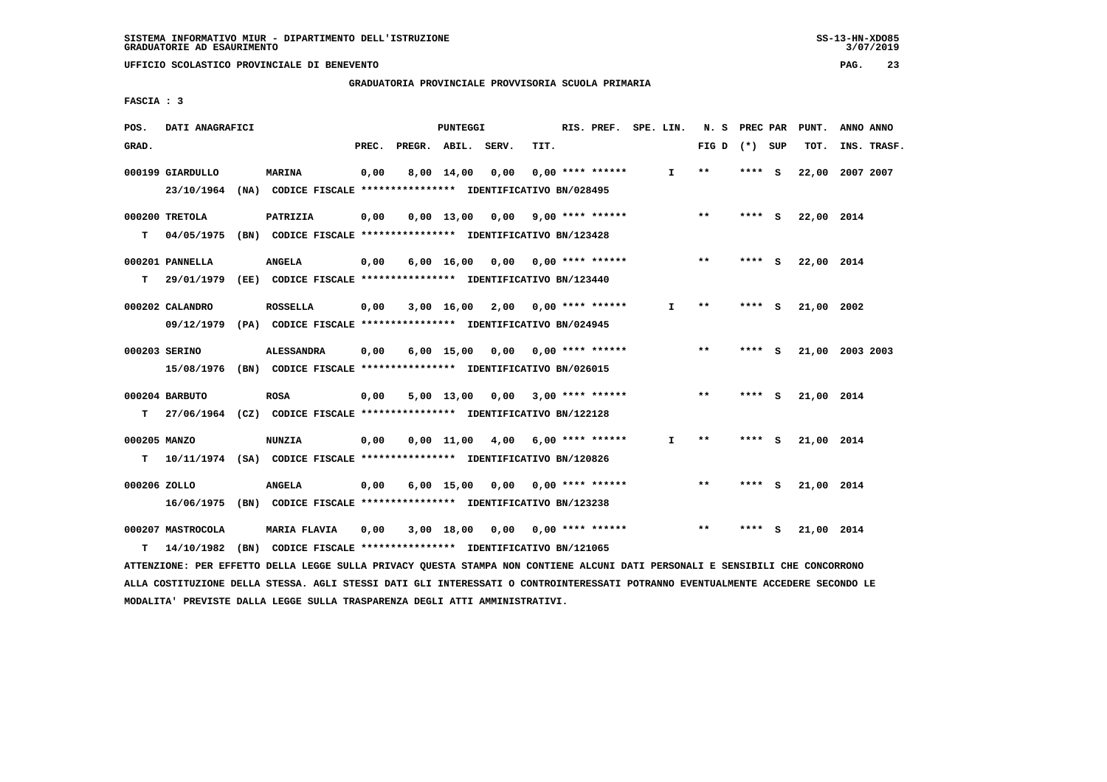**UFFICIO SCOLASTICO PROVINCIALE DI BENEVENTO PAG. 23**

 **GRADUATORIA PROVINCIALE PROVVISORIA SCUOLA PRIMARIA**

 **FASCIA : 3**

| POS.               | DATI ANAGRAFICI                 |                                                                                              |       |                    | <b>PUNTEGGI</b> |                                    |      | RIS. PREF. SPE. LIN. |              | N. S PREC PAR   |          |     | PUNT.           | ANNO ANNO |             |
|--------------------|---------------------------------|----------------------------------------------------------------------------------------------|-------|--------------------|-----------------|------------------------------------|------|----------------------|--------------|-----------------|----------|-----|-----------------|-----------|-------------|
| GRAD.              |                                 |                                                                                              | PREC. | PREGR. ABIL. SERV. |                 |                                    | TIT. |                      |              | FIG D $(*)$ SUP |          |     | TOT.            |           | INS. TRASF. |
|                    | 000199 GIARDULLO<br>23/10/1964  | <b>MARINA</b><br>(NA) CODICE FISCALE **************** IDENTIFICATIVO BN/028495               | 0,00  |                    | 8,00 14,00      | 0.00                               |      | $0.00$ **** ******   | $\mathbf{I}$ | $***$           | **** S   |     | 22,00           | 2007 2007 |             |
| т                  | 000200 TRETOLA                  | PATRIZIA<br>04/05/1975 (BN) CODICE FISCALE *************** IDENTIFICATIVO BN/123428          | 0,00  |                    |                 | $0,00$ 13,00 0,00 9,00 **** ****** |      |                      |              | $***$           | $***$ S  |     | 22,00 2014      |           |             |
| T.                 | 000201 PANNELLA                 | <b>ANGELA</b><br>29/01/1979 (EE) CODICE FISCALE *************** IDENTIFICATIVO BN/123440     | 0,00  |                    |                 | $6,00$ 16,00 0,00 0,00 **** ****** |      |                      |              | $* *$           | $***$ S  |     | 22,00 2014      |           |             |
|                    | 000202 CALANDRO                 | <b>ROSSELLA</b><br>09/12/1979 (PA) CODICE FISCALE *************** IDENTIFICATIVO BN/024945   | 0,00  |                    |                 | $3,00$ 16,00 2,00 0,00 **** ****** |      |                      | I.           | **              | ****     | - S | 21,00 2002      |           |             |
|                    | 000203 SERINO                   | <b>ALESSANDRA</b><br>15/08/1976 (BN) CODICE FISCALE *************** IDENTIFICATIVO BN/026015 | 0,00  |                    |                 | $6,00$ 15,00 0,00 0,00 **** ****** |      |                      |              | $* *$           | **** S   |     | 21,00 2003 2003 |           |             |
| т                  | 000204 BARBUTO                  | <b>ROSA</b><br>27/06/1964 (CZ) CODICE FISCALE **************** IDENTIFICATIVO BN/122128      | 0,00  |                    |                 | 5,00 13,00 0,00 3,00 **** ******   |      |                      |              | $* *$           | **** $S$ |     | 21,00 2014      |           |             |
| 000205 MANZO<br>T. |                                 | <b>NUNZIA</b><br>10/11/1974 (SA) CODICE FISCALE **************** IDENTIFICATIVO BN/120826    | 0,00  |                    |                 | $0.00 \quad 11.00 \quad 4.00$      |      | $6,00$ **** ******   | I.           | **              | **** S   |     | 21,00 2014      |           |             |
| 000206 ZOLLO       |                                 | <b>ANGELA</b><br>16/06/1975 (BN) CODICE FISCALE **************** IDENTIFICATIVO BN/123238    | 0,00  |                    |                 | $6,00$ 15,00 0,00 0,00 **** ****** |      |                      |              | $* *$           | **** S   |     | 21,00 2014      |           |             |
| т                  | 000207 MASTROCOLA<br>14/10/1982 | MARIA FLAVIA<br>(BN) CODICE FISCALE **************** IDENTIFICATIVO BN/121065                | 0,00  |                    |                 | $3,00$ 18,00 0,00 0,00 **** ****** |      |                      |              | $* *$           | **** S   |     | 21,00 2014      |           |             |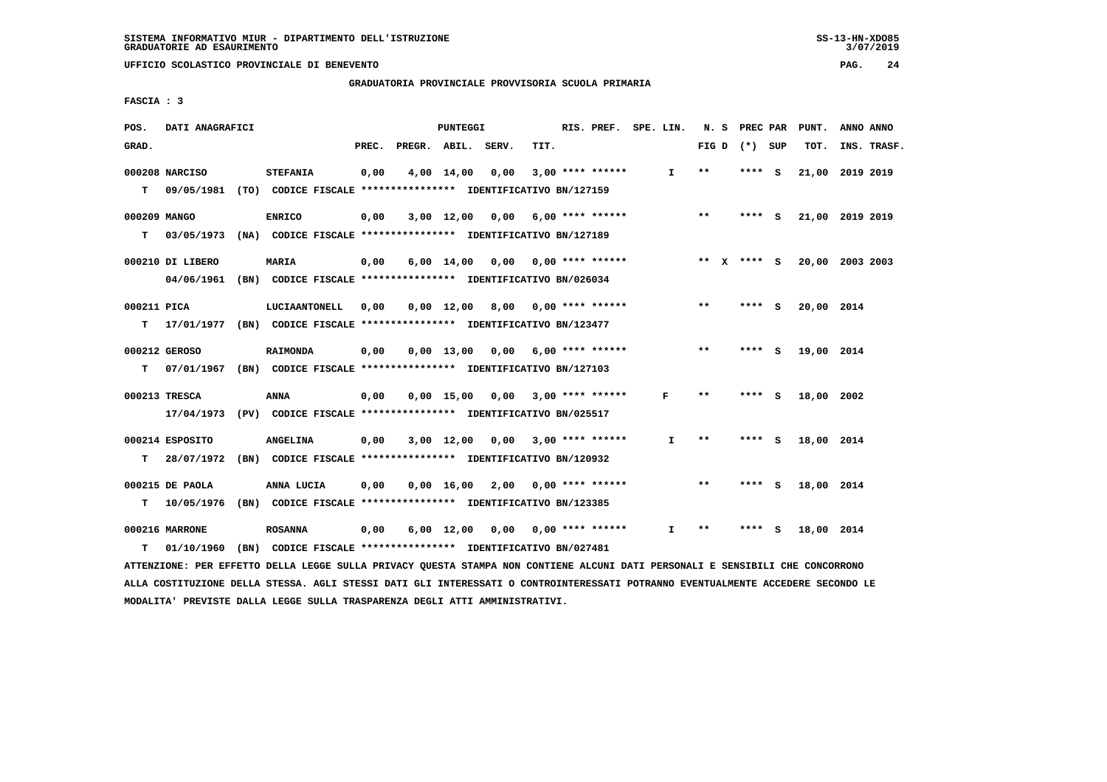$3/07/2019$ 

 **GRADUATORIA PROVINCIALE PROVVISORIA SCUOLA PRIMARIA**

 **FASCIA : 3**

| POS.         | DATI ANAGRAFICI  |                                                                          |       |                    | PUNTEGGI     |                                    |      | RIS. PREF. SPE. LIN.      |    |       |                 |          | N. S PREC PAR PUNT. | ANNO ANNO       |
|--------------|------------------|--------------------------------------------------------------------------|-------|--------------------|--------------|------------------------------------|------|---------------------------|----|-------|-----------------|----------|---------------------|-----------------|
| GRAD.        |                  |                                                                          | PREC. | PREGR. ABIL. SERV. |              |                                    | TIT. |                           |    |       | FIG D $(*)$ SUP |          | TOT.                | INS. TRASF.     |
|              | 000208 NARCISO   | <b>STEFANIA</b>                                                          | 0,00  |                    | 4,00 14,00   | 0,00                               |      | $3,00$ **** ******        | I. | $**$  | ****            | - S      |                     | 21,00 2019 2019 |
| т            | 09/05/1981       | (TO) CODICE FISCALE **************** IDENTIFICATIVO BN/127159            |       |                    |              |                                    |      |                           |    |       |                 |          |                     |                 |
| 000209 MANGO |                  | <b>ENRICO</b>                                                            | 0,00  |                    |              | $3,00$ 12,00 0,00 6,00 **** ****** |      |                           |    | $***$ | **** S          |          |                     | 21,00 2019 2019 |
| т            | 03/05/1973       | (NA) CODICE FISCALE *************** IDENTIFICATIVO BN/127189             |       |                    |              |                                    |      |                           |    |       |                 |          |                     |                 |
|              | 000210 DI LIBERO | <b>MARIA</b>                                                             | 0,00  |                    |              | $6,00$ 14,00 0,00 0,00 **** ****** |      |                           |    |       | ** $X$ **** S   |          |                     | 20,00 2003 2003 |
|              | 04/06/1961       | (BN) CODICE FISCALE **************** IDENTIFICATIVO BN/026034            |       |                    |              |                                    |      |                           |    |       |                 |          |                     |                 |
| 000211 PICA  |                  | LUCIAANTONELL                                                            | 0,00  |                    |              | $0.00$ 12.00 8.00 0.00 **** ****** |      |                           |    | $***$ | **** S          |          | 20,00 2014          |                 |
| т            |                  | 17/01/1977 (BN) CODICE FISCALE *************** IDENTIFICATIVO BN/123477  |       |                    |              |                                    |      |                           |    |       |                 |          |                     |                 |
|              | 000212 GEROSO    | <b>RAIMONDA</b>                                                          | 0,00  |                    |              | 0,00 13,00 0,00                    |      | $6,00$ **** ******        |    | $***$ | **** $S$        |          | 19,00 2014          |                 |
| т            |                  | 07/01/1967 (BN) CODICE FISCALE **************** IDENTIFICATIVO BN/127103 |       |                    |              |                                    |      |                           |    |       |                 |          |                     |                 |
|              | 000213 TRESCA    | <b>ANNA</b>                                                              | 0,00  |                    |              | $0,00$ 15,00 0,00 3,00 **** ****** |      |                           | F  | **    | **** S          |          | 18,00 2002          |                 |
|              |                  | 17/04/1973 (PV) CODICE FISCALE *************** IDENTIFICATIVO BN/025517  |       |                    |              |                                    |      |                           |    |       |                 |          |                     |                 |
|              | 000214 ESPOSITO  | <b>ANGELINA</b>                                                          | 0,00  |                    |              | $3,00$ 12,00 0,00 3,00 **** ****** |      |                           | I. | $* *$ | **** S          |          | 18,00 2014          |                 |
| т            | 28/07/1972       | (BN) CODICE FISCALE **************** IDENTIFICATIVO BN/120932            |       |                    |              |                                    |      |                           |    |       |                 |          |                     |                 |
|              | 000215 DE PAOLA  | ANNA LUCIA                                                               | 0,00  |                    | $0,00$ 16,00 |                                    |      | $2,00$ 0,00 **** ******   |    | $* *$ | ****            | <b>S</b> | 18,00 2014          |                 |
| т            | 10/05/1976       | (BN) CODICE FISCALE **************** IDENTIFICATIVO BN/123385            |       |                    |              |                                    |      |                           |    |       |                 |          |                     |                 |
|              | 000216 MARRONE   | <b>ROSANNA</b>                                                           | 0,00  |                    | $6,00$ 12,00 |                                    |      | $0,00$ $0,00$ **** ****** | I. | * *   |                 | s        | 18,00 2014          |                 |
| т            | 01/10/1960       | (BN) CODICE FISCALE **************** IDENTIFICATIVO BN/027481            |       |                    |              |                                    |      |                           |    |       |                 |          |                     |                 |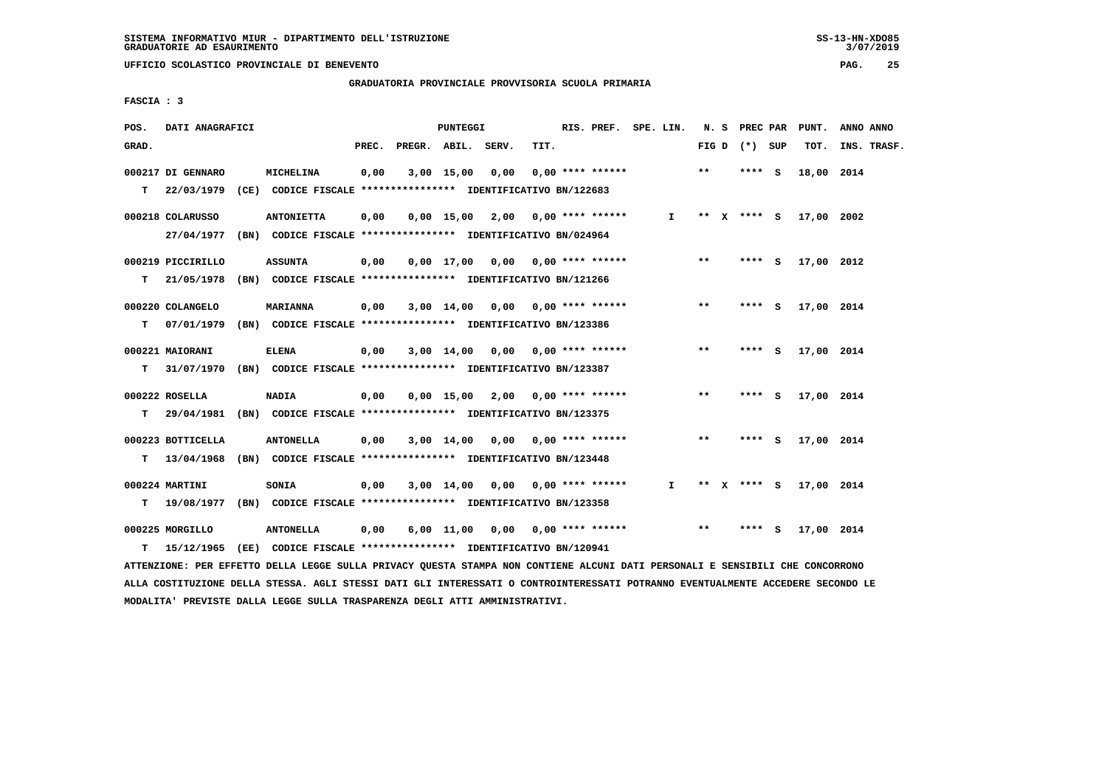**UFFICIO SCOLASTICO PROVINCIALE DI BENEVENTO PAG. 25**

 **GRADUATORIA PROVINCIALE PROVVISORIA SCUOLA PRIMARIA**

 **FASCIA : 3**

| POS.  | DATI ANAGRAFICI   |                                                                           |       |                    | PUNTEGGI   |      |                                    | RIS. PREF. SPE. LIN. |              |       | N. S PREC PAR   |     | PUNT.      | ANNO ANNO   |
|-------|-------------------|---------------------------------------------------------------------------|-------|--------------------|------------|------|------------------------------------|----------------------|--------------|-------|-----------------|-----|------------|-------------|
| GRAD. |                   |                                                                           | PREC. | PREGR. ABIL. SERV. |            |      | TIT.                               |                      |              |       | FIG D $(*)$ SUP |     | TOT.       | INS. TRASF. |
|       | 000217 DI GENNARO | MICHELINA                                                                 | 0,00  |                    | 3,00 15,00 | 0,00 | $0.00$ **** ******                 |                      |              | $***$ | $***$ S         |     | 18,00 2014 |             |
| т     |                   | 22/03/1979 (CE) CODICE FISCALE *************** IDENTIFICATIVO BN/122683   |       |                    |            |      |                                    |                      |              |       |                 |     |            |             |
|       | 000218 COLARUSSO  | <b>ANTONIETTA</b>                                                         | 0,00  |                    |            |      | $0,00$ 15,00 2,00 0,00 **** ****** |                      | $\mathbf{I}$ |       | ** x **** S     |     | 17,00 2002 |             |
|       |                   | 27/04/1977 (BN) CODICE FISCALE *************** IDENTIFICATIVO BN/024964   |       |                    |            |      |                                    |                      |              |       |                 |     |            |             |
|       | 000219 PICCIRILLO | <b>ASSUNTA</b>                                                            | 0,00  |                    |            |      | $0.00$ 17,00 0.00 0.00 **** ****** |                      |              | $***$ | **** S          |     | 17,00 2012 |             |
| T.    | 21/05/1978        | (BN) CODICE FISCALE **************** IDENTIFICATIVO BN/121266             |       |                    |            |      |                                    |                      |              |       |                 |     |            |             |
|       | 000220 COLANGELO  | <b>MARIANNA</b>                                                           | 0,00  |                    | 3,00 14,00 |      |                                    |                      |              | **    | **** S          |     | 17,00 2014 |             |
| T.    |                   | 07/01/1979 (BN) CODICE FISCALE *************** IDENTIFICATIVO BN/123386   |       |                    |            |      |                                    |                      |              |       |                 |     |            |             |
|       | 000221 MAIORANI   | <b>ELENA</b>                                                              | 0,00  |                    |            |      | $3,00$ 14,00 0,00 0,00 **** ****** |                      |              | $***$ | **** S          |     | 17,00 2014 |             |
| T.    | 31/07/1970        | (BN) CODICE FISCALE *************** IDENTIFICATIVO BN/123387              |       |                    |            |      |                                    |                      |              |       |                 |     |            |             |
|       | 000222 ROSELLA    | <b>NADIA</b>                                                              | 0,00  |                    |            |      | $0,00$ 15,00 2,00 0,00 **** ****** |                      |              | $***$ | $***$ S         |     | 17,00 2014 |             |
| T.    |                   | 29/04/1981 (BN) CODICE FISCALE *************** IDENTIFICATIVO BN/123375   |       |                    |            |      |                                    |                      |              |       |                 |     |            |             |
|       | 000223 BOTTICELLA | <b>ANTONELLA</b>                                                          | 0,00  |                    |            |      | $3,00$ 14,00 0,00 0,00 **** ****** |                      |              | $***$ | **** S          |     | 17,00 2014 |             |
|       |                   | T 13/04/1968 (BN) CODICE FISCALE *************** IDENTIFICATIVO BN/123448 |       |                    |            |      |                                    |                      |              |       |                 |     |            |             |
|       | 000224 MARTINI    | SONIA                                                                     | 0,00  |                    | 3,00 14,00 |      | $0.00$ $0.00$ **** ******          |                      | I.           |       | ** x **** s     |     | 17,00 2014 |             |
| т     |                   | 19/08/1977 (BN) CODICE FISCALE **************** IDENTIFICATIVO BN/123358  |       |                    |            |      |                                    |                      |              |       |                 |     |            |             |
|       | 000225 MORGILLO   | <b>ANTONELLA</b>                                                          | 0,00  |                    | 6,00 11,00 | 0,00 | $0,00$ **** ******                 |                      |              | $***$ | ****            | - S | 17,00 2014 |             |
| T.    |                   | 15/12/1965 (EE) CODICE FISCALE *************** IDENTIFICATIVO BN/120941   |       |                    |            |      |                                    |                      |              |       |                 |     |            |             |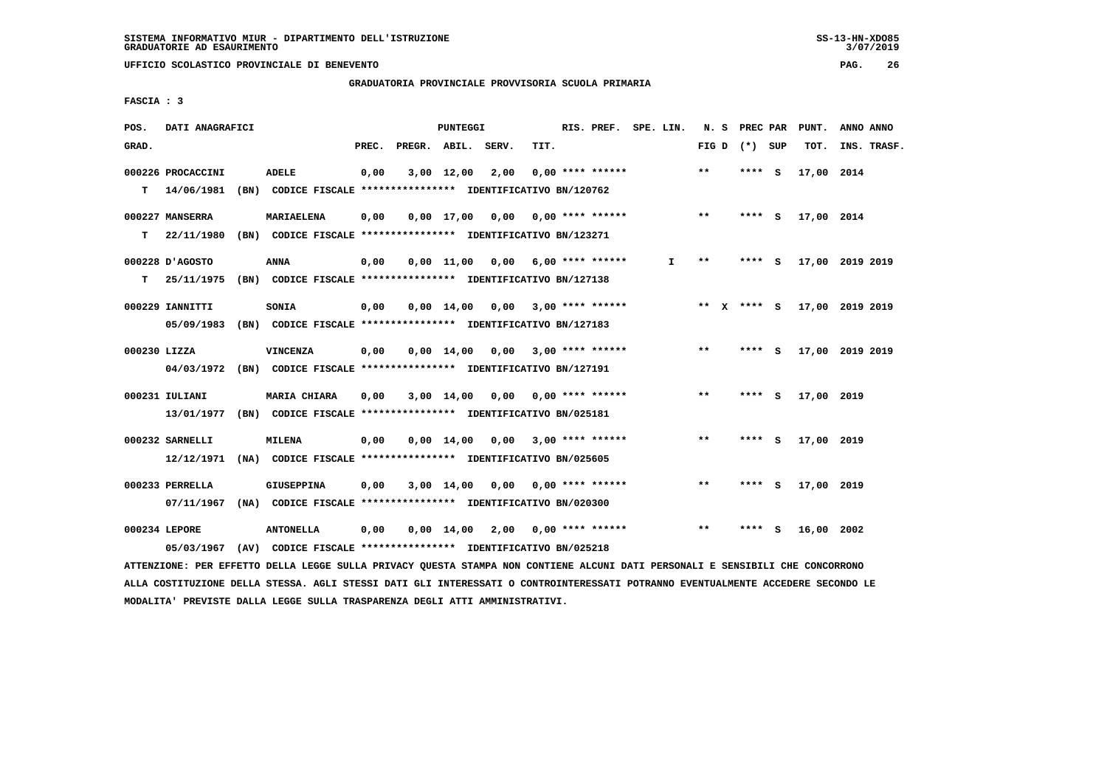## **GRADUATORIA PROVINCIALE PROVVISORIA SCUOLA PRIMARIA**

 **FASCIA : 3**

| POS.         | DATI ANAGRAFICI   |      |                                                               |       |                    | <b>PUNTEGGI</b>    |                                    |                         | RIS. PREF.         | SPE. LIN. | N.S   | PREC PAR    |          | PUNT.           | ANNO ANNO |             |
|--------------|-------------------|------|---------------------------------------------------------------|-------|--------------------|--------------------|------------------------------------|-------------------------|--------------------|-----------|-------|-------------|----------|-----------------|-----------|-------------|
| GRAD.        |                   |      |                                                               | PREC. | PREGR. ABIL. SERV. |                    |                                    | TIT.                    |                    |           | FIG D | $(*)$       | SUP      | TOT.            |           | INS. TRASF. |
|              | 000226 PROCACCINI |      | <b>ADELE</b>                                                  | 0,00  |                    | $3,00$ 12,00       | 2,00                               |                         | $0,00$ **** ****** |           | $***$ | ****        | - S      | 17,00 2014      |           |             |
| т            | 14/06/1981        |      | (BN) CODICE FISCALE **************** IDENTIFICATIVO BN/120762 |       |                    |                    |                                    |                         |                    |           |       |             |          |                 |           |             |
|              | 000227 MANSERRA   |      | <b>MARIAELENA</b>                                             | 0,00  |                    | 0,00 17,00         | 0,00                               | 0,00 **** ******        |                    |           | $* *$ | ****        | - S      | 17,00 2014      |           |             |
| т            | 22/11/1980        |      | (BN) CODICE FISCALE **************** IDENTIFICATIVO BN/123271 |       |                    |                    |                                    |                         |                    |           |       |             |          |                 |           |             |
|              | 000228 D'AGOSTO   |      | <b>ANNA</b>                                                   | 0,00  |                    | $0,00$ 11,00       |                                    | $0,00$ 6,00 **** ****** |                    | I.        | $* *$ | ****        | - S      | 17,00 2019 2019 |           |             |
| т            | 25/11/1975        |      | (BN) CODICE FISCALE **************** IDENTIFICATIVO BN/127138 |       |                    |                    |                                    |                         |                    |           |       |             |          |                 |           |             |
|              | 000229 IANNITTI   |      | SONIA                                                         | 0,00  |                    | $0.00 \quad 14.00$ | 0.00                               |                         | $3,00$ **** ****** |           |       | ** X **** S |          | 17,00 2019 2019 |           |             |
|              | 05/09/1983        |      | (BN) CODICE FISCALE **************** IDENTIFICATIVO BN/127183 |       |                    |                    |                                    |                         |                    |           |       |             |          |                 |           |             |
| 000230 LIZZA |                   |      | <b>VINCENZA</b>                                               | 0,00  |                    | $0.00 \quad 14.00$ |                                    | $0.00$ 3.00 **** ****** |                    |           | $***$ | ****        | <b>S</b> | 17,00 2019 2019 |           |             |
|              | 04/03/1972        |      | (BN) CODICE FISCALE **************** IDENTIFICATIVO BN/127191 |       |                    |                    |                                    |                         |                    |           |       |             |          |                 |           |             |
|              | 000231 IULIANI    |      | <b>MARIA CHIARA</b>                                           | 0,00  |                    | $3,00$ 14,00       | 0,00                               | 0,00 **** ******        |                    |           | $* *$ | ****        | - S      | 17,00 2019      |           |             |
|              | 13/01/1977        |      | (BN) CODICE FISCALE **************** IDENTIFICATIVO BN/025181 |       |                    |                    |                                    |                         |                    |           |       |             |          |                 |           |             |
|              | 000232 SARNELLI   |      | MILENA                                                        | 0,00  |                    | 0,00 14,00         | 0.00                               |                         | $3,00$ **** ****** |           | $* *$ | ****        | - S      | 17,00 2019      |           |             |
|              | 12/12/1971        |      | (NA) CODICE FISCALE **************** IDENTIFICATIVO BN/025605 |       |                    |                    |                                    |                         |                    |           |       |             |          |                 |           |             |
|              | 000233 PERRELLA   |      | <b>GIUSEPPINA</b>                                             | 0,00  |                    | $3,00$ $14,00$     | 0,00                               |                         | $0.00$ **** ****** |           | $* *$ | ****        | - S      | 17,00 2019      |           |             |
|              | 07/11/1967        | (NA) | CODICE FISCALE **************** IDENTIFICATIVO BN/020300      |       |                    |                    |                                    |                         |                    |           |       |             |          |                 |           |             |
|              | 000234 LEPORE     |      | <b>ANTONELLA</b>                                              | 0,00  |                    |                    | $0,00$ 14,00 2,00 0,00 **** ****** |                         |                    |           | $***$ | ****        | - S      | 16,00 2002      |           |             |
|              | 05/03/1967        | (AV) | CODICE FISCALE **************** IDENTIFICATIVO BN/025218      |       |                    |                    |                                    |                         |                    |           |       |             |          |                 |           |             |

 **ATTENZIONE: PER EFFETTO DELLA LEGGE SULLA PRIVACY QUESTA STAMPA NON CONTIENE ALCUNI DATI PERSONALI E SENSIBILI CHE CONCORRONO ALLA COSTITUZIONE DELLA STESSA. AGLI STESSI DATI GLI INTERESSATI O CONTROINTERESSATI POTRANNO EVENTUALMENTE ACCEDERE SECONDO LE MODALITA' PREVISTE DALLA LEGGE SULLA TRASPARENZA DEGLI ATTI AMMINISTRATIVI.**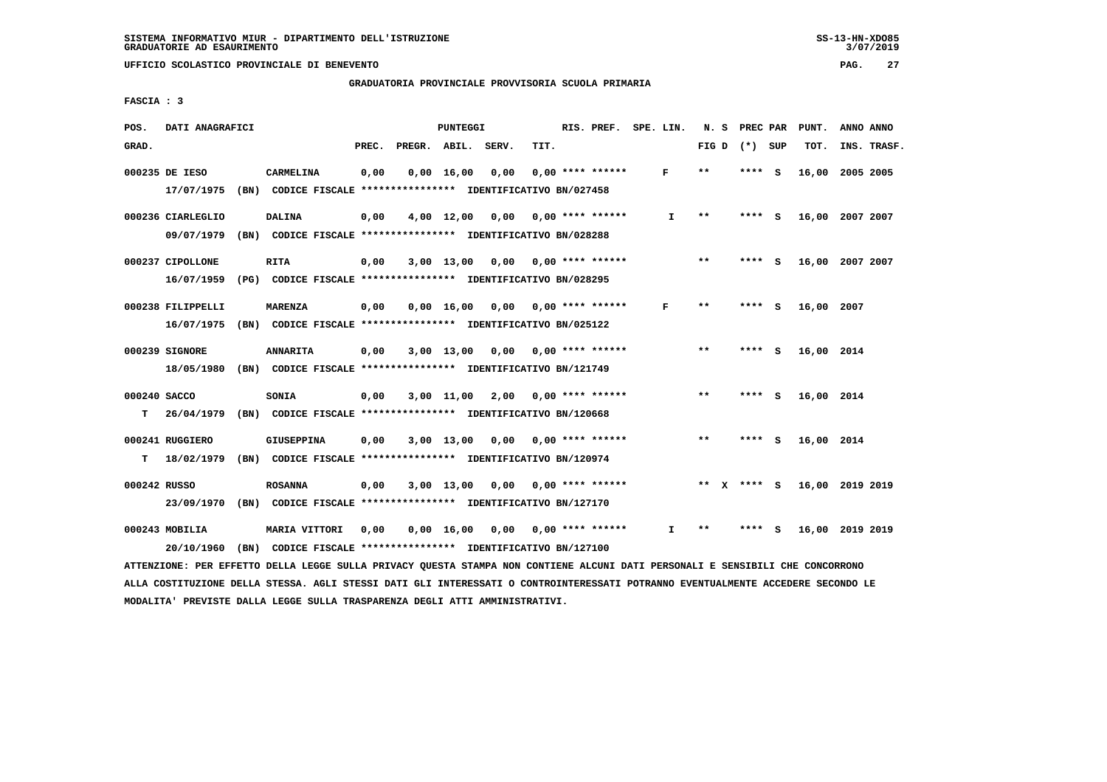### **GRADUATORIA PROVINCIALE PROVVISORIA SCUOLA PRIMARIA**

 **FASCIA : 3**

| POS.               | DATI ANAGRAFICI                                                                              |                                                                                       |       |                    | PUNTEGGI           |                                    |      | RIS. PREF. SPE. LIN.            |              |                            |      | N. S PREC PAR | PUNT.      | ANNO ANNO       |  |
|--------------------|----------------------------------------------------------------------------------------------|---------------------------------------------------------------------------------------|-------|--------------------|--------------------|------------------------------------|------|---------------------------------|--------------|----------------------------|------|---------------|------------|-----------------|--|
| GRAD.              |                                                                                              |                                                                                       | PREC. | PREGR. ABIL. SERV. |                    |                                    | TIT. |                                 |              | FIG D $(*)$ SUP            |      |               | TOT.       | INS. TRASF.     |  |
|                    | 000235 DE IESO<br>17/07/1975 (BN) CODICE FISCALE **************** IDENTIFICATIVO BN/027458   | CARMELINA                                                                             | 0,00  |                    | $0,00 \quad 16,00$ | 0,00                               |      | $0.00$ **** ******              | F            | **                         |      | **** S        | 16,00      | 2005 2005       |  |
|                    | 000236 CIARLEGLIO<br>09/07/1979                                                              | <b>DALINA</b><br>(BN) CODICE FISCALE **************** IDENTIFICATIVO BN/028288        | 0,00  |                    |                    | $4,00$ 12,00 0,00 0,00 **** ****** |      |                                 | $\mathbf{I}$ | $\pmb{\times}\pmb{\times}$ |      | **** S        |            | 16,00 2007 2007 |  |
|                    | 000237 CIPOLLONE<br>16/07/1959 (PG) CODICE FISCALE *************** IDENTIFICATIVO BN/028295  | <b>RITA</b>                                                                           | 0,00  |                    |                    | $3,00$ 13,00 0,00 0,00 **** ****** |      |                                 |              | $***$                      |      | **** S        |            | 16,00 2007 2007 |  |
|                    | 000238 FILIPPELLI<br>16/07/1975 (BN) CODICE FISCALE *************** IDENTIFICATIVO BN/025122 | <b>MARENZA</b>                                                                        | 0,00  |                    | $0,00 \quad 16,00$ |                                    |      | $0,00$ $0,00$ **** ******       | F            | $* *$                      |      | **** S        | 16,00 2007 |                 |  |
|                    | 000239 SIGNORE<br>18/05/1980 (BN) CODICE FISCALE **************** IDENTIFICATIVO BN/121749   | <b>ANNARITA</b>                                                                       | 0,00  |                    | 3,00 13,00         |                                    |      | $0,00$ $0,00$ **** ******       |              | $* *$                      |      | **** S        | 16,00 2014 |                 |  |
| 000240 SACCO<br>T. | 26/04/1979                                                                                   | <b>SONIA</b><br>(BN) CODICE FISCALE **************** IDENTIFICATIVO BN/120668         | 0,00  |                    |                    | 3,00 11,00 2,00                    |      | $0.00$ **** ******              |              | $\star\star$               |      | $***5$        | 16,00 2014 |                 |  |
| T.                 | 000241 RUGGIERO<br>18/02/1979 (BN) CODICE FISCALE **************** IDENTIFICATIVO BN/120974  | <b>GIUSEPPINA</b>                                                                     | 0,00  |                    |                    | $3,00$ 13,00 0,00 0,00 **** ****** |      |                                 |              | $* *$                      |      | $***$ S       | 16,00 2014 |                 |  |
| 000242 RUSSO       | 23/09/1970                                                                                   | <b>ROSANNA</b><br>(BN) CODICE FISCALE **************** IDENTIFICATIVO BN/127170       | 0,00  |                    | 3,00 13,00         |                                    |      | $0,00$ $0,00$ **** ******       |              | ** x **** s                |      |               |            | 16,00 2019 2019 |  |
|                    | 000243 MOBILIA<br>20/10/1960                                                                 | <b>MARIA VITTORI</b><br>(BN) CODICE FISCALE **************** IDENTIFICATIVO BN/127100 | 0,00  |                    | $0,00 \quad 16,00$ |                                    |      | $0.00$ $0.00$ $***$ **** ****** | I.           | $* *$                      | **** | - S           |            | 16,00 2019 2019 |  |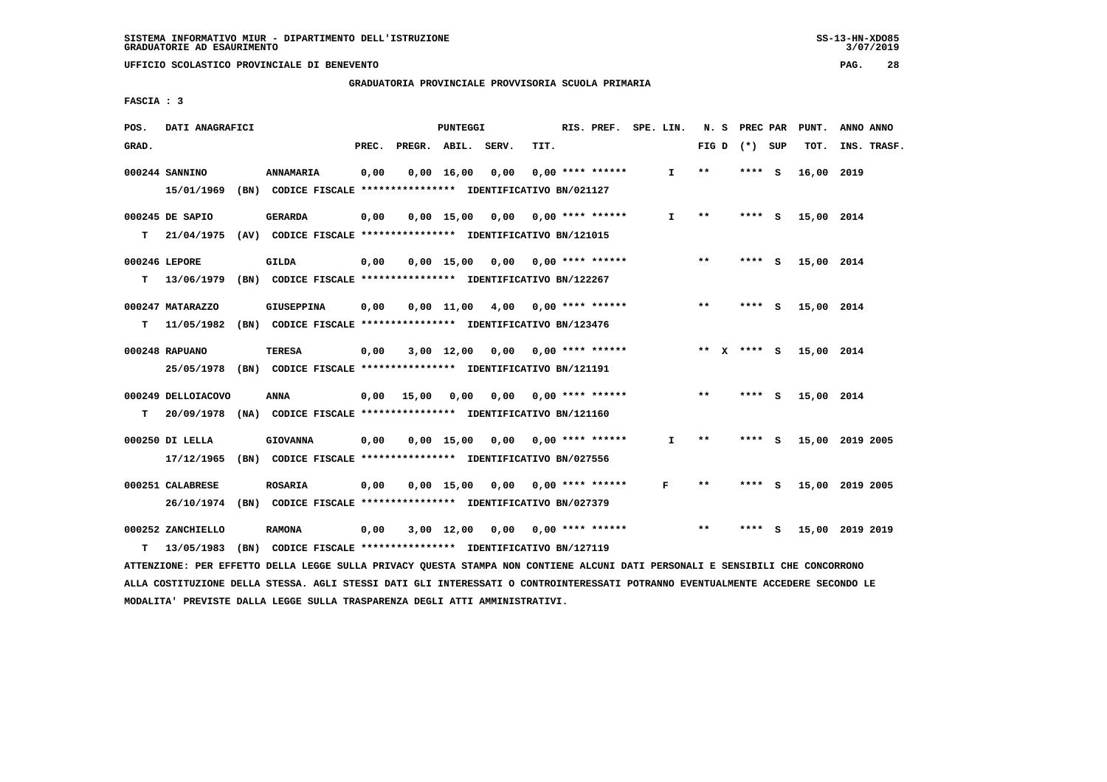**UFFICIO SCOLASTICO PROVINCIALE DI BENEVENTO PAG. 28**

 **GRADUATORIA PROVINCIALE PROVVISORIA SCUOLA PRIMARIA**

 **FASCIA : 3**

| POS.  | DATI ANAGRAFICI    |                                                                                                                               |       |                    | PUNTEGGI |                                    |      | RIS. PREF. SPE. LIN.      |              |                 | N. S PREC PAR | PUNT.      | ANNO ANNO       |
|-------|--------------------|-------------------------------------------------------------------------------------------------------------------------------|-------|--------------------|----------|------------------------------------|------|---------------------------|--------------|-----------------|---------------|------------|-----------------|
| GRAD. |                    |                                                                                                                               | PREC. | PREGR. ABIL. SERV. |          |                                    | TIT. |                           |              | FIG D $(*)$ SUP |               | тот.       | INS. TRASF.     |
|       | 000244 SANNINO     | <b>ANNAMARIA</b>                                                                                                              | 0,00  |                    |          | $0,00 \quad 16,00 \quad 0,00$      |      | $0.00$ **** ******        | $\mathbf{I}$ | $***$           | **** S        | 16,00 2019 |                 |
|       | 15/01/1969         | (BN) CODICE FISCALE **************** IDENTIFICATIVO BN/021127                                                                 |       |                    |          |                                    |      |                           |              |                 |               |            |                 |
|       | 000245 DE SAPIO    | <b>GERARDA</b>                                                                                                                | 0,00  |                    |          | $0,00$ 15,00 0,00 0,00 **** ****** |      |                           | I.           | $***$           | **** S        | 15,00 2014 |                 |
|       |                    | T 21/04/1975 (AV) CODICE FISCALE *************** IDENTIFICATIVO BN/121015                                                     |       |                    |          |                                    |      |                           |              |                 |               |            |                 |
|       | 000246 LEPORE      | GILDA                                                                                                                         | 0,00  |                    |          | $0,00$ 15,00 0,00 0,00 **** ****** |      |                           |              | $***$           | $***$ S       | 15,00 2014 |                 |
|       |                    | T 13/06/1979 (BN) CODICE FISCALE *************** IDENTIFICATIVO BN/122267                                                     |       |                    |          |                                    |      |                           |              |                 |               |            |                 |
|       | 000247 MATARAZZO   | <b>GIUSEPPINA</b>                                                                                                             | 0,00  |                    |          | $0,00$ 11,00 4,00 0,00 **** ****** |      |                           |              | $* *$           | $***$ S       | 15,00 2014 |                 |
|       |                    | T 11/05/1982 (BN) CODICE FISCALE *************** IDENTIFICATIVO BN/123476                                                     |       |                    |          |                                    |      |                           |              |                 |               |            |                 |
|       | 000248 RAPUANO     | <b>TERESA</b>                                                                                                                 | 0,00  |                    |          | $3,00$ 12,00 0,00 0,00 **** ****** |      |                           |              | ** x **** s     |               | 15,00 2014 |                 |
|       |                    | 25/05/1978 (BN) CODICE FISCALE *************** IDENTIFICATIVO BN/121191                                                       |       |                    |          |                                    |      |                           |              |                 |               |            |                 |
|       | 000249 DELLOIACOVO | ANNA                                                                                                                          |       | 0,00 15,00 0,00    |          |                                    |      | $0,00$ $0,00$ **** ****** |              | $***$           | $***5$        | 15,00 2014 |                 |
| т     |                    | 20/09/1978 (NA) CODICE FISCALE **************** IDENTIFICATIVO BN/121160                                                      |       |                    |          |                                    |      |                           |              |                 |               |            |                 |
|       | 000250 DI LELLA    | <b>GIOVANNA</b>                                                                                                               | 0,00  |                    |          | $0,00$ 15,00 0,00 0,00 **** ****** |      |                           | $\mathbf{I}$ | $* *$           | **** S        |            | 15,00 2019 2005 |
|       |                    | 17/12/1965 (BN) CODICE FISCALE *************** IDENTIFICATIVO BN/027556                                                       |       |                    |          |                                    |      |                           |              |                 |               |            |                 |
|       | 000251 CALABRESE   | <b>ROSARIA</b>                                                                                                                | 0,00  |                    |          | $0,00$ 15,00 0,00 0,00 **** ****** |      |                           | F            | $***$           | **** S        |            | 15,00 2019 2005 |
|       |                    | 26/10/1974 (BN) CODICE FISCALE *************** IDENTIFICATIVO BN/027379                                                       |       |                    |          |                                    |      |                           |              |                 |               |            |                 |
|       | 000252 ZANCHIELLO  | <b>RAMONA</b>                                                                                                                 | 0,00  |                    |          | 3,00 12,00 0,00 0,00 **** ******   |      |                           |              | $**$            | **** S        |            | 15,00 2019 2019 |
| т     |                    | 13/05/1983 (BN) CODICE FISCALE **************** IDENTIFICATIVO BN/127119                                                      |       |                    |          |                                    |      |                           |              |                 |               |            |                 |
|       |                    | ATTENZIONE: PER EFFETTO DELLA LEGGE SULLA PRIVACY QUESTA STAMPA NON CONTIENE ALCUNI DATI PERSONALI E SENSIBILI CHE CONCORRONO |       |                    |          |                                    |      |                           |              |                 |               |            |                 |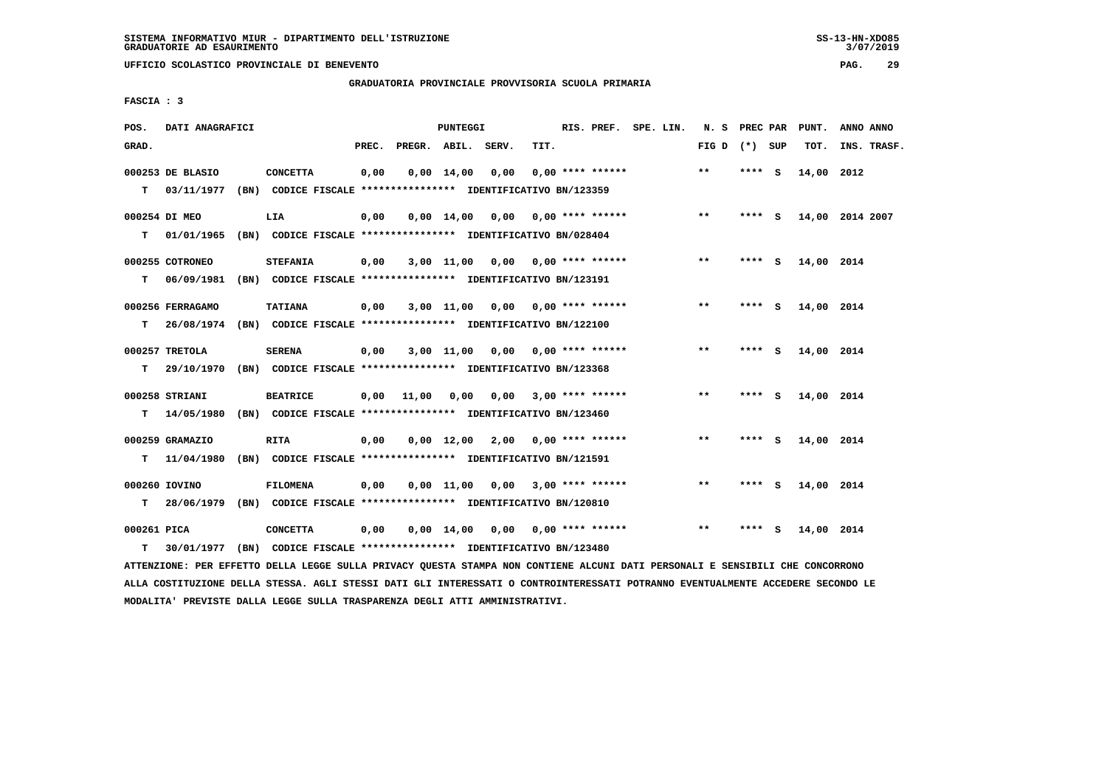**UFFICIO SCOLASTICO PROVINCIALE DI BENEVENTO PAG. 29**

 **GRADUATORIA PROVINCIALE PROVVISORIA SCUOLA PRIMARIA**

 **FASCIA : 3**

| POS.        | DATI ANAGRAFICI  |                                                                          |       |                    | PUNTEGGI           |                                    |      | RIS. PREF. SPE. LIN.      |  | N. S PREC PAR   |         |   | PUNT.      | ANNO ANNO       |
|-------------|------------------|--------------------------------------------------------------------------|-------|--------------------|--------------------|------------------------------------|------|---------------------------|--|-----------------|---------|---|------------|-----------------|
| GRAD.       |                  |                                                                          | PREC. | PREGR. ABIL. SERV. |                    |                                    | TIT. |                           |  | FIG D $(*)$ SUP |         |   | TOT.       | INS. TRASF.     |
|             | 000253 DE BLASIO | <b>CONCETTA</b>                                                          | 0,00  |                    | $0,00 \quad 14,00$ | 0,00                               |      | $0.00$ **** ******        |  | $***$           | **** S  |   | 14,00 2012 |                 |
| T.          |                  | 03/11/1977 (BN) CODICE FISCALE **************** IDENTIFICATIVO BN/123359 |       |                    |                    |                                    |      |                           |  |                 |         |   |            |                 |
|             | 000254 DI MEO    | LIA                                                                      | 0,00  |                    |                    | $0,00$ 14,00 0,00 0,00 **** ****** |      |                           |  | $* *$           | $***$ S |   |            | 14,00 2014 2007 |
| T.          |                  | 01/01/1965 (BN) CODICE FISCALE *************** IDENTIFICATIVO BN/028404  |       |                    |                    |                                    |      |                           |  |                 |         |   |            |                 |
|             | 000255 COTRONEO  | <b>STEFANIA</b>                                                          | 0,00  |                    |                    | $3,00$ 11,00 0,00 0,00 **** ****** |      |                           |  | **              | **** S  |   | 14,00 2014 |                 |
| т           |                  | 06/09/1981 (BN) CODICE FISCALE **************** IDENTIFICATIVO BN/123191 |       |                    |                    |                                    |      |                           |  |                 |         |   |            |                 |
|             | 000256 FERRAGAMO | <b>TATIANA</b>                                                           | 0,00  |                    | $3,00$ 11,00       |                                    |      | $0,00$ 0,00 **** ******   |  | $***$           | $***5$  |   | 14,00 2014 |                 |
| T.          |                  | 26/08/1974 (BN) CODICE FISCALE **************** IDENTIFICATIVO BN/122100 |       |                    |                    |                                    |      |                           |  |                 |         |   |            |                 |
|             | 000257 TRETOLA   | <b>SERENA</b>                                                            | 0,00  |                    | 3,00 11,00         |                                    |      | $0,00$ $0,00$ **** ****** |  | $***$           | **** S  |   | 14,00 2014 |                 |
| T.          | 29/10/1970       | (BN) CODICE FISCALE **************** IDENTIFICATIVO BN/123368            |       |                    |                    |                                    |      |                           |  |                 |         |   |            |                 |
|             | 000258 STRIANI   | <b>BEATRICE</b>                                                          |       | $0,00$ 11,00       | 0,00               |                                    |      | $0,00$ 3,00 **** ******   |  | $* *$           | $***$ S |   | 14,00 2014 |                 |
| т           | 14/05/1980       | (BN) CODICE FISCALE **************** IDENTIFICATIVO BN/123460            |       |                    |                    |                                    |      |                           |  |                 |         |   |            |                 |
|             | 000259 GRAMAZIO  | <b>RITA</b>                                                              | 0,00  |                    |                    | $0.00$ 12.00 2.00 0.00 **** ****** |      |                           |  | $* *$           | **** S  |   | 14,00 2014 |                 |
| т           |                  | 11/04/1980 (BN) CODICE FISCALE *************** IDENTIFICATIVO BN/121591  |       |                    |                    |                                    |      |                           |  |                 |         |   |            |                 |
|             |                  |                                                                          |       |                    |                    |                                    |      |                           |  |                 |         |   |            |                 |
|             | 000260 IOVINO    | <b>FILOMENA</b>                                                          | 0,00  |                    | $0,00 \quad 11,00$ | 0.00                               |      | $3,00$ **** ******        |  | $* *$           | **** S  |   | 14,00 2014 |                 |
| т           |                  | 28/06/1979 (BN) CODICE FISCALE *************** IDENTIFICATIVO BN/120810  |       |                    |                    |                                    |      |                           |  |                 |         |   |            |                 |
| 000261 PICA |                  | <b>CONCETTA</b>                                                          | 0,00  |                    | $0,00 \quad 14,00$ | 0,00                               |      | 0,00 **** ******          |  | $* *$           | ****    | s | 14,00 2014 |                 |
| т           |                  | 30/01/1977 (BN) CODICE FISCALE *************** IDENTIFICATIVO BN/123480  |       |                    |                    |                                    |      |                           |  |                 |         |   |            |                 |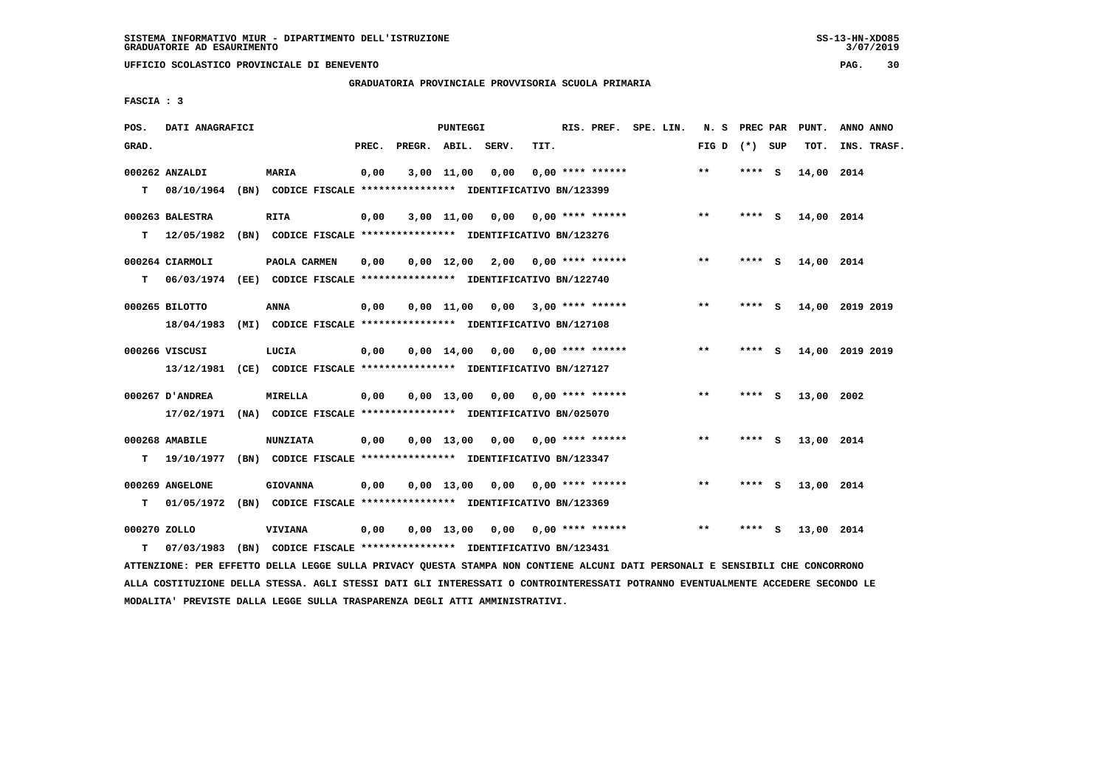**GRADUATORIA PROVINCIALE PROVVISORIA SCUOLA PRIMARIA**

 **FASCIA : 3**

| POS.         | DATI ANAGRAFICI |                                                                          |       |                    | PUNTEGGI     |                                    |      | RIS. PREF. SPE. LIN.      |  | N. S PREC PAR   |         |          | PUNT.      | ANNO ANNO       |  |
|--------------|-----------------|--------------------------------------------------------------------------|-------|--------------------|--------------|------------------------------------|------|---------------------------|--|-----------------|---------|----------|------------|-----------------|--|
| GRAD.        |                 |                                                                          | PREC. | PREGR. ABIL. SERV. |              |                                    | TIT. |                           |  | FIG D $(*)$ SUP |         |          | TOT.       | INS. TRASF.     |  |
|              | 000262 ANZALDI  | <b>MARIA</b>                                                             | 0,00  |                    | 3,00 11,00   | 0,00                               |      | $0.00$ **** ******        |  | $**$            | $***5$  |          | 14,00 2014 |                 |  |
| т            | 08/10/1964      | (BN) CODICE FISCALE **************** IDENTIFICATIVO BN/123399            |       |                    |              |                                    |      |                           |  |                 |         |          |            |                 |  |
|              | 000263 BALESTRA | <b>RITA</b>                                                              | 0,00  |                    |              | $3,00$ 11,00 0,00 0,00 **** ****** |      |                           |  | $***$           | **** S  |          | 14,00 2014 |                 |  |
| т            | 12/05/1982      | (BN) CODICE FISCALE **************** IDENTIFICATIVO BN/123276            |       |                    |              |                                    |      |                           |  |                 |         |          |            |                 |  |
|              | 000264 CIARMOLI | PAOLA CARMEN                                                             | 0,00  |                    |              | $0,00$ 12,00 2,00 0,00 **** ****** |      |                           |  | **              | **** S  |          | 14,00 2014 |                 |  |
| т            |                 | 06/03/1974 (EE) CODICE FISCALE **************** IDENTIFICATIVO BN/122740 |       |                    |              |                                    |      |                           |  |                 |         |          |            |                 |  |
|              | 000265 BILOTTO  | ANNA                                                                     | 0,00  |                    | $0.00$ 11,00 |                                    |      | $0,00$ 3,00 **** ******   |  | $* *$           | **** S  |          |            | 14,00 2019 2019 |  |
|              | 18/04/1983      | (MI) CODICE FISCALE **************** IDENTIFICATIVO BN/127108            |       |                    |              |                                    |      |                           |  |                 |         |          |            |                 |  |
|              | 000266 VISCUSI  | LUCIA                                                                    | 0.00  |                    |              | $0.00$ 14.00 0.00 0.00 **** ****** |      |                           |  | $***$           | ****    | <b>S</b> |            | 14,00 2019 2019 |  |
|              | 13/12/1981      | (CE) CODICE FISCALE **************** IDENTIFICATIVO BN/127127            |       |                    |              |                                    |      |                           |  |                 |         |          |            |                 |  |
|              | 000267 D'ANDREA | <b>MIRELLA</b>                                                           | 0,00  |                    |              | $0,00$ 13,00 0,00 0,00 **** ****** |      |                           |  | $* *$           | **** S  |          | 13,00 2002 |                 |  |
|              | 17/02/1971      | (NA) CODICE FISCALE **************** IDENTIFICATIVO BN/025070            |       |                    |              |                                    |      |                           |  |                 |         |          |            |                 |  |
|              | 000268 AMABILE  | <b>NUNZIATA</b>                                                          | 0.00  |                    |              | $0.00$ 13.00 0.00 0.00 **** ****** |      |                           |  | $***$           | **** S  |          | 13,00 2014 |                 |  |
| т            | 19/10/1977      | (BN) CODICE FISCALE **************** IDENTIFICATIVO BN/123347            |       |                    |              |                                    |      |                           |  |                 |         |          |            |                 |  |
|              | 000269 ANGELONE | <b>GIOVANNA</b>                                                          | 0,00  |                    |              | $0,00$ 13,00 0,00 0,00 **** ****** |      |                           |  | $***$           | $***$ S |          | 13,00 2014 |                 |  |
| т            | 01/05/1972      | (BN) CODICE FISCALE **************** IDENTIFICATIVO BN/123369            |       |                    |              |                                    |      |                           |  |                 |         |          |            |                 |  |
| 000270 ZOLLO |                 | <b>VIVIANA</b>                                                           | 0,00  |                    | 0,00 13,00   |                                    |      | $0,00$ $0,00$ **** ****** |  | $* *$           |         | - S      | 13,00 2014 |                 |  |
| т            | 07/03/1983      | (BN) CODICE FISCALE **************** IDENTIFICATIVO BN/123431            |       |                    |              |                                    |      |                           |  |                 |         |          |            |                 |  |

 **ATTENZIONE: PER EFFETTO DELLA LEGGE SULLA PRIVACY QUESTA STAMPA NON CONTIENE ALCUNI DATI PERSONALI E SENSIBILI CHE CONCORRONO ALLA COSTITUZIONE DELLA STESSA. AGLI STESSI DATI GLI INTERESSATI O CONTROINTERESSATI POTRANNO EVENTUALMENTE ACCEDERE SECONDO LE MODALITA' PREVISTE DALLA LEGGE SULLA TRASPARENZA DEGLI ATTI AMMINISTRATIVI.**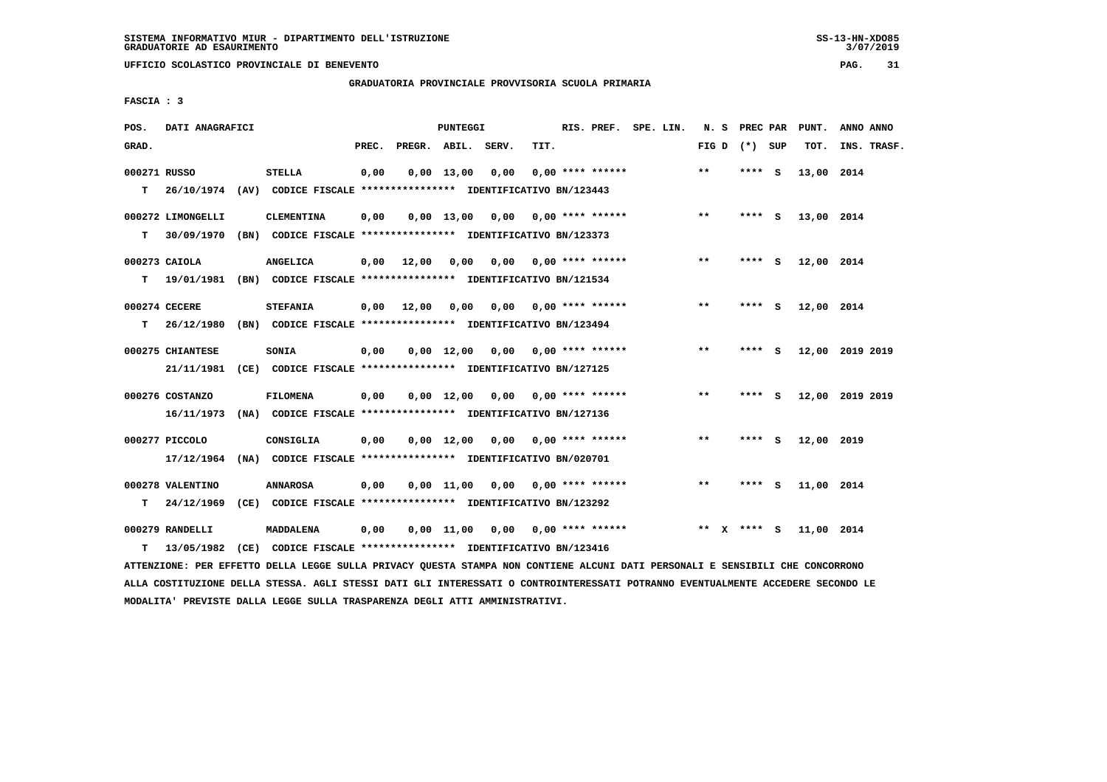**GRADUATORIA PROVINCIALE PROVVISORIA SCUOLA PRIMARIA**

 **FASCIA : 3**

| POS.         | DATI ANAGRAFICI   |                                                                          |       |                    | <b>PUNTEGGI</b> |                                    |                           | RIS. PREF.         | SPE. LIN. | N.S   | PREC PAR        |     | PUNT.      | ANNO ANNO       |
|--------------|-------------------|--------------------------------------------------------------------------|-------|--------------------|-----------------|------------------------------------|---------------------------|--------------------|-----------|-------|-----------------|-----|------------|-----------------|
| GRAD.        |                   |                                                                          | PREC. | PREGR. ABIL. SERV. |                 |                                    | TIT.                      |                    |           |       | FIG D $(*)$ SUP |     | TOT.       | INS. TRASF.     |
| 000271 RUSSO |                   | <b>STELLA</b>                                                            | 0,00  |                    | $0.00$ 13.00    | 0,00                               |                           | $0.00$ **** ****** |           | $**$  | ****            | - S | 13,00 2014 |                 |
| т            |                   | 26/10/1974 (AV) CODICE FISCALE **************** IDENTIFICATIVO BN/123443 |       |                    |                 |                                    |                           |                    |           |       |                 |     |            |                 |
|              | 000272 LIMONGELLI | <b>CLEMENTINA</b>                                                        | 0,00  |                    |                 | $0,00$ 13,00 0,00 0,00 **** ****** |                           |                    |           | $***$ | $***$ S         |     | 13,00 2014 |                 |
| т            | 30/09/1970        | (BN) CODICE FISCALE *************** IDENTIFICATIVO BN/123373             |       |                    |                 |                                    |                           |                    |           |       |                 |     |            |                 |
|              | 000273 CAIOLA     | <b>ANGELICA</b>                                                          | 0.00  | 12,00              | 0,00            |                                    | $0.00$ $0.00$ **** ****** |                    |           | **    | ****            | - S | 12,00 2014 |                 |
| т            | 19/01/1981        | (BN) CODICE FISCALE **************** IDENTIFICATIVO BN/121534            |       |                    |                 |                                    |                           |                    |           |       |                 |     |            |                 |
|              | 000274 CECERE     | <b>STEFANIA</b>                                                          | 0,00  | 12,00              | 0,00            |                                    | $0,00$ $0,00$ **** ****** |                    |           | **    | **** $S$        |     | 12,00 2014 |                 |
| т            | 26/12/1980        | (BN) CODICE FISCALE **************** IDENTIFICATIVO BN/123494            |       |                    |                 |                                    |                           |                    |           |       |                 |     |            |                 |
|              | 000275 CHIANTESE  | <b>SONIA</b>                                                             | 0,00  |                    |                 | $0,00$ 12,00 0,00 0,00 **** ****** |                           |                    |           | **    | $***$ S         |     |            | 12,00 2019 2019 |
|              | 21/11/1981        | (CE) CODICE FISCALE **************** IDENTIFICATIVO BN/127125            |       |                    |                 |                                    |                           |                    |           |       |                 |     |            |                 |
|              | 000276 COSTANZO   | <b>FILOMENA</b>                                                          | 0,00  |                    |                 | $0,00$ 12,00 0,00 0,00 **** ****** |                           |                    |           | $* *$ | **** $S$        |     |            | 12,00 2019 2019 |
|              | 16/11/1973        | (NA) CODICE FISCALE **************** IDENTIFICATIVO BN/127136            |       |                    |                 |                                    |                           |                    |           |       |                 |     |            |                 |
|              | 000277 PICCOLO    | CONSIGLIA                                                                | 0,00  |                    | 0,00 12,00      | 0,00                               | 0,00 **** ******          |                    |           | **    | $***$ S         |     | 12,00 2019 |                 |
|              | 17/12/1964        | (NA) CODICE FISCALE **************** IDENTIFICATIVO BN/020701            |       |                    |                 |                                    |                           |                    |           |       |                 |     |            |                 |
|              | 000278 VALENTINO  | <b>ANNAROSA</b>                                                          | 0,00  |                    |                 | $0,00$ 11,00 0,00 0,00 **** ****** |                           |                    |           | $* *$ | **** S          |     | 11,00 2014 |                 |
| т            | 24/12/1969        | (CE) CODICE FISCALE **************** IDENTIFICATIVO BN/123292            |       |                    |                 |                                    |                           |                    |           |       |                 |     |            |                 |
|              | 000279 RANDELLI   | <b>MADDALENA</b>                                                         | 0,00  |                    | 0,00 11,00      |                                    | $0,00$ $0,00$ **** ****** |                    |           | ** X  | **** S          |     | 11,00 2014 |                 |
| т            | 13/05/1982        | (CE) CODICE FISCALE **************** IDENTIFICATIVO BN/123416            |       |                    |                 |                                    |                           |                    |           |       |                 |     |            |                 |

 **ATTENZIONE: PER EFFETTO DELLA LEGGE SULLA PRIVACY QUESTA STAMPA NON CONTIENE ALCUNI DATI PERSONALI E SENSIBILI CHE CONCORRONO ALLA COSTITUZIONE DELLA STESSA. AGLI STESSI DATI GLI INTERESSATI O CONTROINTERESSATI POTRANNO EVENTUALMENTE ACCEDERE SECONDO LE MODALITA' PREVISTE DALLA LEGGE SULLA TRASPARENZA DEGLI ATTI AMMINISTRATIVI.**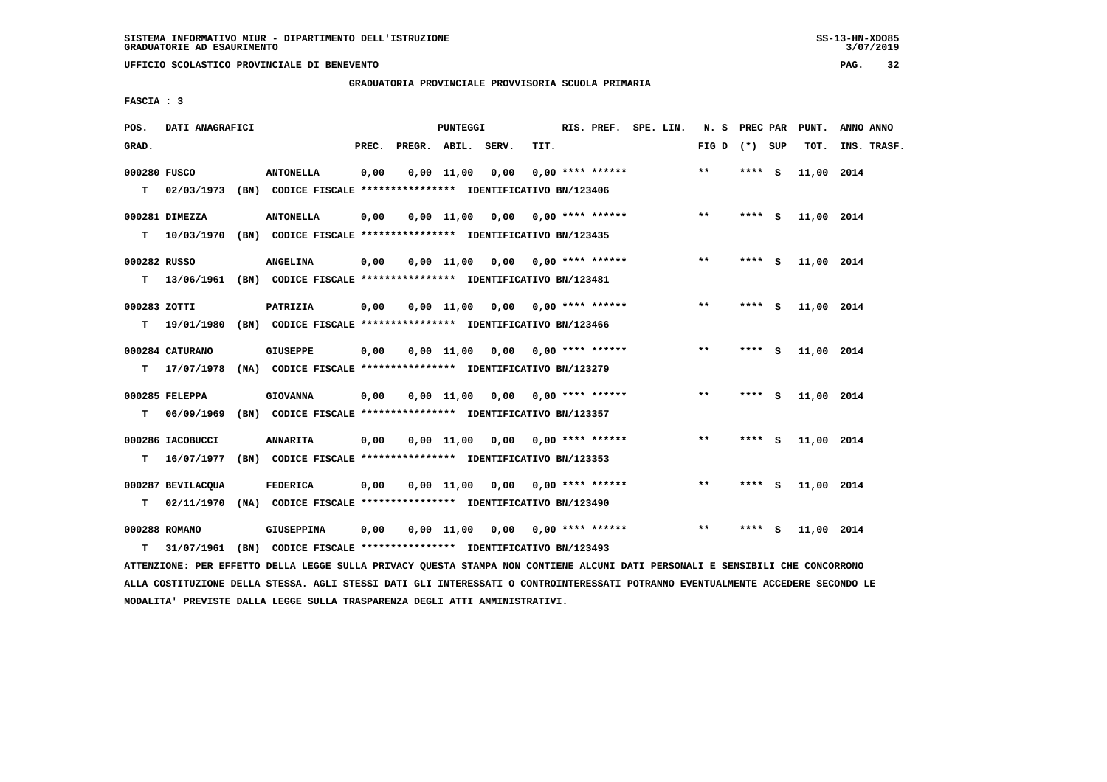**GRADUATORIA PROVINCIALE PROVVISORIA SCUOLA PRIMARIA**

 **FASCIA : 3**

| POS.         | DATI ANAGRAFICI   |                                                               |       |                    | <b>PUNTEGGI</b> |                                    |      | RIS. PREF.                | SPE. LIN. | N.S             | PREC PAR |     | PUNT.      | ANNO ANNO   |
|--------------|-------------------|---------------------------------------------------------------|-------|--------------------|-----------------|------------------------------------|------|---------------------------|-----------|-----------------|----------|-----|------------|-------------|
| GRAD.        |                   |                                                               | PREC. | PREGR. ABIL. SERV. |                 |                                    | TIT. |                           |           | FIG D $(*)$ SUP |          |     | TOT.       | INS. TRASF. |
| 000280 FUSCO |                   | <b>ANTONELLA</b>                                              | 0,00  |                    | $0,00$ 11,00    | 0,00                               |      | $0.00$ **** ******        |           | $***$           | ****     | - S | 11,00 2014 |             |
| т            | 02/03/1973        | (BN) CODICE FISCALE **************** IDENTIFICATIVO BN/123406 |       |                    |                 |                                    |      |                           |           |                 |          |     |            |             |
|              | 000281 DIMEZZA    | <b>ANTONELLA</b>                                              | 0,00  |                    | 0,00 11,00      |                                    |      | $0,00$ $0,00$ **** ****** |           | $**$            | **** S   |     | 11,00 2014 |             |
| т            | 10/03/1970        | (BN) CODICE FISCALE **************** IDENTIFICATIVO BN/123435 |       |                    |                 |                                    |      |                           |           |                 |          |     |            |             |
| 000282 RUSSO |                   | <b>ANGELINA</b>                                               | 0,00  |                    | $0,00$ 11,00    | 0,00                               |      | 0,00 **** ******          |           | $\star\star$    | **** S   |     | 11,00 2014 |             |
| т            | 13/06/1961        | (BN) CODICE FISCALE **************** IDENTIFICATIVO BN/123481 |       |                    |                 |                                    |      |                           |           |                 |          |     |            |             |
| 000283 ZOTTI |                   | PATRIZIA                                                      | 0,00  |                    |                 | $0,00$ $11,00$ $0,00$              |      | 0,00 **** ******          |           | $* *$           | **** S   |     | 11,00 2014 |             |
| т            | 19/01/1980        | (BN) CODICE FISCALE **************** IDENTIFICATIVO BN/123466 |       |                    |                 |                                    |      |                           |           |                 |          |     |            |             |
|              | 000284 CATURANO   | <b>GIUSEPPE</b>                                               | 0,00  |                    |                 | $0,00$ 11,00 0,00 0,00 **** ****** |      |                           |           | $* *$           | **** S   |     | 11,00 2014 |             |
| т            | 17/07/1978        | (NA) CODICE FISCALE **************** IDENTIFICATIVO BN/123279 |       |                    |                 |                                    |      |                           |           |                 |          |     |            |             |
|              | 000285 FELEPPA    | <b>GIOVANNA</b>                                               | 0,00  |                    |                 | $0,00$ 11,00 0,00 0,00 **** ****** |      |                           |           | $* *$           | **** S   |     | 11,00 2014 |             |
| т            | 06/09/1969        | (BN) CODICE FISCALE **************** IDENTIFICATIVO BN/123357 |       |                    |                 |                                    |      |                           |           |                 |          |     |            |             |
|              | 000286 IACOBUCCI  | <b>ANNARITA</b>                                               | 0,00  |                    | $0,00$ 11,00    |                                    |      | $0,00$ $0,00$ **** ****** |           | $* *$           | ****     | - 5 | 11,00 2014 |             |
| т            | 16/07/1977        | (BN) CODICE FISCALE **************** IDENTIFICATIVO BN/123353 |       |                    |                 |                                    |      |                           |           |                 |          |     |            |             |
|              | 000287 BEVILACQUA | <b>FEDERICA</b>                                               | 0,00  |                    | $0,00$ 11,00    | 0,00                               |      | 0,00 **** ******          |           | $* *$           | ****     | - S | 11,00 2014 |             |
| т            | 02/11/1970        | (NA) CODICE FISCALE **************** IDENTIFICATIVO BN/123490 |       |                    |                 |                                    |      |                           |           |                 |          |     |            |             |
|              | 000288 ROMANO     | <b>GIUSEPPINA</b>                                             | 0,00  |                    | 0,00 11,00      |                                    |      | $0.00$ $0.00$ **** ****** |           | $* *$           | ****     | - S | 11,00 2014 |             |
| т            | 31/07/1961        | (BN) CODICE FISCALE **************** IDENTIFICATIVO BN/123493 |       |                    |                 |                                    |      |                           |           |                 |          |     |            |             |

 **ATTENZIONE: PER EFFETTO DELLA LEGGE SULLA PRIVACY QUESTA STAMPA NON CONTIENE ALCUNI DATI PERSONALI E SENSIBILI CHE CONCORRONO ALLA COSTITUZIONE DELLA STESSA. AGLI STESSI DATI GLI INTERESSATI O CONTROINTERESSATI POTRANNO EVENTUALMENTE ACCEDERE SECONDO LE MODALITA' PREVISTE DALLA LEGGE SULLA TRASPARENZA DEGLI ATTI AMMINISTRATIVI.**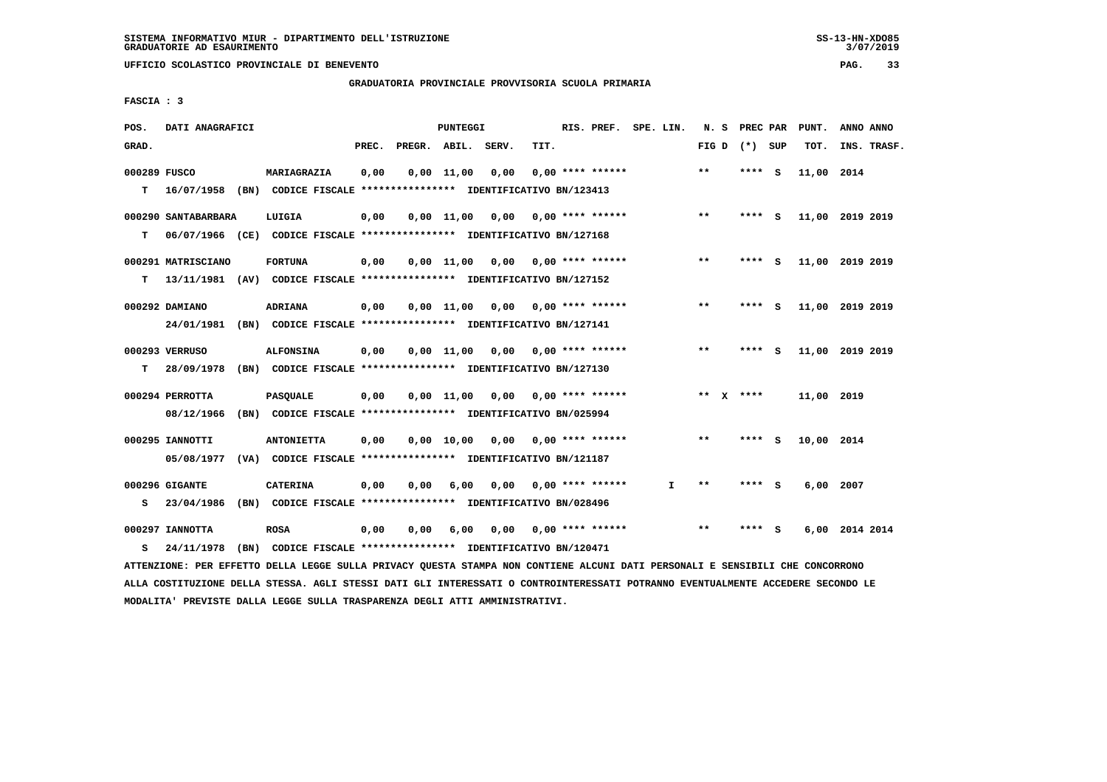**UFFICIO SCOLASTICO PROVINCIALE DI BENEVENTO PAG. 33**

 **GRADUATORIA PROVINCIALE PROVVISORIA SCUOLA PRIMARIA**

 **FASCIA : 3**

| POS.         | DATI ANAGRAFICI     |                                                                                                                               |       |                    | PUNTEGGI           |                               |                           | RIS. PREF. SPE. LIN. |    |                            | N. S PREC PAR     |     | PUNT.           | ANNO ANNO      |             |
|--------------|---------------------|-------------------------------------------------------------------------------------------------------------------------------|-------|--------------------|--------------------|-------------------------------|---------------------------|----------------------|----|----------------------------|-------------------|-----|-----------------|----------------|-------------|
| GRAD.        |                     |                                                                                                                               | PREC. | PREGR. ABIL. SERV. |                    |                               | TIT.                      |                      |    |                            | FIG $D$ $(*)$ SUP |     | TOT.            |                | INS. TRASF. |
| 000289 FUSCO |                     | MARIAGRAZIA                                                                                                                   | 0,00  |                    | $0,00$ 11,00       | 0,00                          |                           | $0.00$ **** ******   |    | $* *$                      | ****              | - S | 11,00 2014      |                |             |
| т            |                     | 16/07/1958 (BN) CODICE FISCALE **************** IDENTIFICATIVO BN/123413                                                      |       |                    |                    |                               |                           |                      |    |                            |                   |     |                 |                |             |
|              | 000290 SANTABARBARA | LUIGIA                                                                                                                        | 0,00  |                    | $0,00$ 11,00       | 0,00                          |                           | $0.00$ **** ******   |    | $**$                       | **** S            |     | 11,00 2019 2019 |                |             |
| т            |                     | 06/07/1966 (CE) CODICE FISCALE *************** IDENTIFICATIVO BN/127168                                                       |       |                    |                    |                               |                           |                      |    |                            |                   |     |                 |                |             |
|              | 000291 MATRISCIANO  | <b>FORTUNA</b>                                                                                                                | 0,00  |                    | $0,00 \quad 11,00$ |                               | $0,00$ $0,00$ **** ****** |                      |    | $***$                      | **** S            |     | 11,00 2019 2019 |                |             |
| т            |                     | 13/11/1981 (AV) CODICE FISCALE **************** IDENTIFICATIVO BN/127152                                                      |       |                    |                    |                               |                           |                      |    |                            |                   |     |                 |                |             |
|              | 000292 DAMIANO      | <b>ADRIANA</b>                                                                                                                | 0,00  |                    |                    | $0,00 \quad 11,00 \quad 0,00$ |                           | $0.00$ **** ******   |    | $\star\star$               | **** S            |     | 11,00 2019 2019 |                |             |
|              |                     | 24/01/1981 (BN) CODICE FISCALE *************** IDENTIFICATIVO BN/127141                                                       |       |                    |                    |                               |                           |                      |    |                            |                   |     |                 |                |             |
|              | 000293 VERRUSO      | <b>ALFONSINA</b>                                                                                                              | 0,00  |                    | $0,00$ 11,00       |                               | $0,00$ $0,00$ **** ****** |                      |    | $***$                      | **** S            |     | 11,00 2019 2019 |                |             |
| T.           |                     | 28/09/1978 (BN) CODICE FISCALE **************** IDENTIFICATIVO BN/127130                                                      |       |                    |                    |                               |                           |                      |    |                            |                   |     |                 |                |             |
|              | 000294 PERROTTA     | <b>PASQUALE</b>                                                                                                               | 0,00  |                    | $0.00$ 11.00       |                               | $0,00$ 0,00 **** ******   |                      |    |                            | ** $X$ ****       |     | 11,00 2019      |                |             |
|              | 08/12/1966          | (BN) CODICE FISCALE **************** IDENTIFICATIVO BN/025994                                                                 |       |                    |                    |                               |                           |                      |    |                            |                   |     |                 |                |             |
|              | 000295 IANNOTTI     | <b>ANTONIETTA</b>                                                                                                             | 0,00  |                    |                    | 0,00 10,00 0,00               |                           | $0.00$ **** ******   |    | $\pmb{\times}\pmb{\times}$ | **** S            |     | 10,00 2014      |                |             |
|              |                     | 05/08/1977 (VA) CODICE FISCALE **************** IDENTIFICATIVO BN/121187                                                      |       |                    |                    |                               |                           |                      |    |                            |                   |     |                 |                |             |
|              | 000296 GIGANTE      | <b>CATERINA</b>                                                                                                               | 0,00  | 0,00               | 6,00               |                               | $0.00$ $0.00$ **** ****** |                      | I. | **                         | **** S            |     | 6,00 2007       |                |             |
| s            | 23/04/1986          | (BN) CODICE FISCALE **************** IDENTIFICATIVO BN/028496                                                                 |       |                    |                    |                               |                           |                      |    |                            |                   |     |                 |                |             |
|              | 000297 IANNOTTA     | <b>ROSA</b>                                                                                                                   | 0,00  | 0,00               | 6,00               | 0.00                          |                           | $0.00$ **** ******   |    | $* *$                      | **** S            |     |                 | 6,00 2014 2014 |             |
| s            | 24/11/1978          | (BN) CODICE FISCALE **************** IDENTIFICATIVO BN/120471                                                                 |       |                    |                    |                               |                           |                      |    |                            |                   |     |                 |                |             |
|              |                     | ATTENZIONE: PER EFFETTO DELLA LEGGE SULLA PRIVACY QUESTA STAMPA NON CONTIENE ALCUNI DATI PERSONALI E SENSIBILI CHE CONCORRONO |       |                    |                    |                               |                           |                      |    |                            |                   |     |                 |                |             |